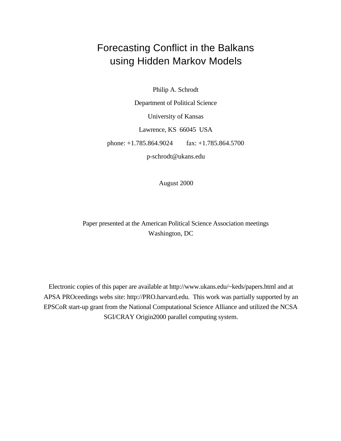# Forecasting Conflict in the Balkans using Hidden Markov Models

Philip A. Schrodt

Department of Political Science

University of Kansas

Lawrence, KS 66045 USA

phone: +1.785.864.9024 fax: +1.785.864.5700

p-schrodt@ukans.edu

August 2000

Paper presented at the American Political Science Association meetings Washington, DC

Electronic copies of this paper are available at http://www.ukans.edu/~keds/papers.html and at APSA PROceedings webs site: http://PRO.harvard.edu. This work was partially supported by an EPSCoR start-up grant from the National Computational Science Alliance and utilized the NCSA SGI/CRAY Origin2000 parallel computing system.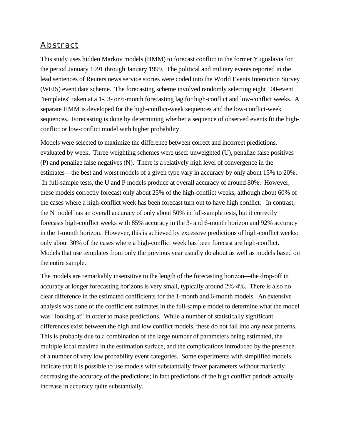# Abstract

This study uses hidden Markov models (HMM) to forecast conflict in the former Yugoslavia for the period January 1991 through January 1999. The political and military events reported in the lead sentences of Reuters news service stories were coded into the World Events Interaction Survey (WEIS) event data scheme. The forecasting scheme involved randomly selecting eight 100-event "templates" taken at a 1-, 3- or 6-month forecasting lag for high-conflict and low-conflict weeks. A separate HMM is developed for the high-conflict-week sequences and the low-conflict-week sequences. Forecasting is done by determining whether a sequence of observed events fit the highconflict or low-conflict model with higher probability.

Models were selected to maximize the difference between correct and incorrect predictions, evaluated by week. Three weighting schemes were used: unweighted (U), penalize false positives (P) and penalize false negatives (N). There is a relatively high level of convergence in the estimates—the best and worst models of a given type vary in accuracy by only about 15% to 20%. In full-sample tests, the U and P models produce at overall accuracy of around 80%. However, these models correctly forecast only about 25% of the high-conflict weeks, although about 60% of the cases where a high-conflict week has been forecast turn out to have high conflict. In contrast, the N model has an overall accuracy of only about 50% in full-sample tests, but it correctly forecasts high-conflict weeks with 85% accuracy in the 3- and 6-month horizon and 92% accuracy in the 1-month horizon. However, this is achieved by excessive predictions of high-conflict weeks: only about 30% of the cases where a high-conflict week has been forecast are high-conflict. Models that use templates from only the previous year usually do about as well as models based on the entire sample.

The models are remarkably insensitive to the length of the forecasting horizon—the drop-off in accuracy at longer forecasting horizons is very small, typically around 2%-4%. There is also no clear difference in the estimated coefficients for the 1-month and 6-month models. An extensive analysis was done of the coefficient estimates in the full-sample model to determine what the model was "looking at" in order to make predictions. While a number of statistically significant differences exist between the high and low conflict models, these do not fall into any neat patterns. This is probably due to a combination of the large number of parameters being estimated, the multiple local maxima in the estimation surface, and the complications introduced by the presence of a number of very low probability event categories. Some experiments with simplified models indicate that it is possible to use models with substantially fewer parameters without markedly decreasing the accuracy of the predictions; in fact predictions of the high conflict periods actually increase in accuracy quite substantially.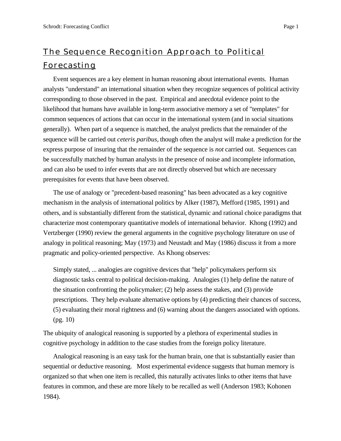# The Sequence Recognition Approach to Political **Forecasting**

Event sequences are a key element in human reasoning about international events. Human analysts "understand" an international situation when they recognize sequences of political activity corresponding to those observed in the past. Empirical and anecdotal evidence point to the likelihood that humans have available in long-term associative memory a set of "templates" for common sequences of actions that can occur in the international system (and in social situations generally). When part of a sequence is matched, the analyst predicts that the remainder of the sequence will be carried out *ceteris paribus,* though often the analyst will make a prediction for the express purpose of insuring that the remainder of the sequence is *not* carried out. Sequences can be successfully matched by human analysts in the presence of noise and incomplete information, and can also be used to infer events that are not directly observed but which are necessary prerequisites for events that have been observed.

The use of analogy or "precedent-based reasoning" has been advocated as a key cognitive mechanism in the analysis of international politics by Alker (1987), Mefford (1985, 1991) and others, and is substantially different from the statistical, dynamic and rational choice paradigms that characterize most contemporary quantitative models of international behavior. Khong (1992) and Vertzberger (1990) review the general arguments in the cognitive psychology literature on use of analogy in political reasoning; May (1973) and Neustadt and May (1986) discuss it from a more pragmatic and policy-oriented perspective. As Khong observes:

Simply stated, ... analogies are cognitive devices that "help" policymakers perform six diagnostic tasks central to political decision-making. Analogies (1) help define the nature of the situation confronting the policymaker; (2) help assess the stakes, and (3) provide prescriptions. They help evaluate alternative options by (4) predicting their chances of success, (5) evaluating their moral rightness and (6) warning about the dangers associated with options. (pg. 10)

The ubiquity of analogical reasoning is supported by a plethora of experimental studies in cognitive psychology in addition to the case studies from the foreign policy literature.

Analogical reasoning is an easy task for the human brain, one that is substantially easier than sequential or deductive reasoning. Most experimental evidence suggests that human memory is organized so that when one item is recalled, this naturally activates links to other items that have features in common, and these are more likely to be recalled as well (Anderson 1983; Kohonen 1984).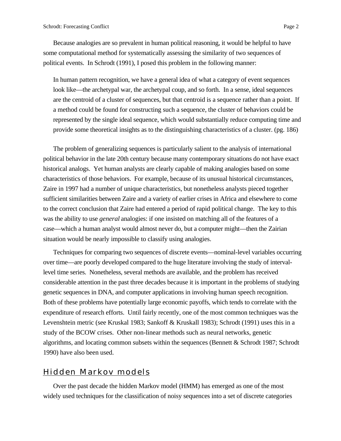Because analogies are so prevalent in human political reasoning, it would be helpful to have some computational method for systematically assessing the similarity of two sequences of political events. In Schrodt (1991), I posed this problem in the following manner:

In human pattern recognition, we have a general idea of what a category of event sequences look like—the archetypal war, the archetypal coup, and so forth. In a sense, ideal sequences are the centroid of a cluster of sequences, but that centroid is a sequence rather than a point. If a method could be found for constructing such a sequence, the cluster of behaviors could be represented by the single ideal sequence, which would substantially reduce computing time and provide some theoretical insights as to the distinguishing characteristics of a cluster. (pg. 186)

The problem of generalizing sequences is particularly salient to the analysis of international political behavior in the late 20th century because many contemporary situations do not have exact historical analogs. Yet human analysts are clearly capable of making analogies based on some characteristics of those behaviors. For example, because of its unusual historical circumstances, Zaire in 1997 had a number of unique characteristics, but nonetheless analysts pieced together sufficient similarities between Zaire and a variety of earlier crises in Africa and elsewhere to come to the correct conclusion that Zaire had entered a period of rapid political change. The key to this was the ability to use *general* analogies: if one insisted on matching all of the features of a case—which a human analyst would almost never do, but a computer might—then the Zairian situation would be nearly impossible to classify using analogies.

Techniques for comparing two sequences of discrete events—nominal-level variables occurring over time—are poorly developed compared to the huge literature involving the study of intervallevel time series. Nonetheless, several methods are available, and the problem has received considerable attention in the past three decades because it is important in the problems of studying genetic sequences in DNA, and computer applications in involving human speech recognition. Both of these problems have potentially large economic payoffs, which tends to correlate with the expenditure of research efforts. Until fairly recently, one of the most common techniques was the Levenshtein metric (see Kruskal 1983; Sankoff & Kruskall 1983); Schrodt (1991) uses this in a study of the BCOW crises. Other non-linear methods such as neural networks, genetic algorithms, and locating common subsets within the sequences (Bennett & Schrodt 1987; Schrodt 1990) have also been used.

#### Hidden Markov models

Over the past decade the hidden Markov model (HMM) has emerged as one of the most widely used techniques for the classification of noisy sequences into a set of discrete categories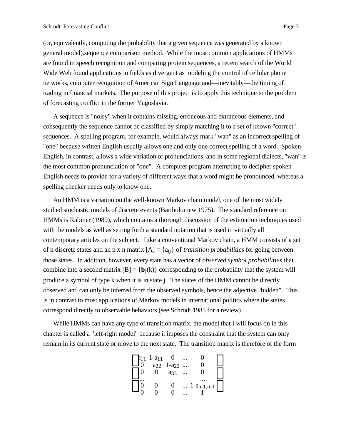(or, equivalently, computing the probability that a given sequence was generated by a known general model).sequence comparison method. While the most common applications of HMMs are found in speech recognition and comparing protein sequences, a recent search of the World Wide Web found applications in fields as divergent as modeling the control of cellular phone networks, computer recognition of American Sign Language and—inevitably—the timing of trading in financial markets. The purpose of this project is to apply this technique to the problem of forecasting conflict in the former Yugoslavia.

A sequence is "noisy" when it contains missing, erroneous and extraneous elements, and consequently the sequence cannot be classified by simply matching it to a set of known "correct" sequences. A spelling program, for example, would always mark "wan" as an incorrect spelling of "one" because written English usually allows one and only one correct spelling of a word. Spoken English, in contrast, allows a wide variation of pronunciations, and in some regional dialects, "wan" is the most common pronunciation of "one". A computer program attempting to decipher spoken English needs to provide for a variety of different ways that a word might be pronounced, whereas a spelling checker needs only to know one.

An HMM is a variation on the well-known Markov chain model, one of the most widely studied stochastic models of discrete events (Bartholomew 1975). The standard reference on HMMs is Rabiner (1989), which contains a thorough discussion of the estimation techniques used with the models as well as setting forth a standard notation that is used in virtually all contemporary articles on the subject. Like a conventional Markov chain, a HMM consists of a set of n discrete states and an n x n matrix  $[A] = \{a_{ij}\}\$  of *transition probabilities* for going between those states. In addition, however, every state has a vector of *observed symbol probabilities* that combine into a second matrix  $[B] = \{b_j(k)\}\$  corresponding to the probability that the system will produce a symbol of type k when it is in state j. The states of the HMM cannot be directly observed and can only be inferred from the observed symbols, hence the adjective "hidden". This is in contrast to most applications of Markov models in international politics where the states correspond directly to observable behaviors (see Schrodt 1985 for a review)

While HMMs can have any type of transition matrix, the model that I will focus on in this chapter is called a "left-right model" because it imposes the constraint that the system can only remain in its current state or move to the next state. The transition matrix is therefore of the form

| $a_{11}$ | $1-a_{11}$ | 0          | ... | 0               |
|----------|------------|------------|-----|-----------------|
| 0        | $a_{22}$   | $1-a_{22}$ | ... | 0               |
| 0        | 0          | $a_{33}$   | ... | 0               |
| ...      | ...        | ...        | ... |                 |
| 0        | 0          | 0          | ... | $1-a_{n-1,n-1}$ |
| 0        | 0          | 0          | ... | 1               |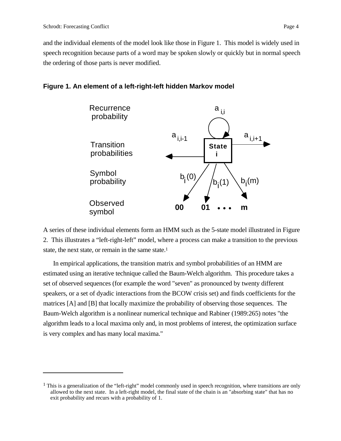l

and the individual elements of the model look like those in Figure 1. This model is widely used in speech recognition because parts of a word may be spoken slowly or quickly but in normal speech the ordering of those parts is never modified.





A series of these individual elements form an HMM such as the 5-state model illustrated in Figure 2. This illustrates a "left-right-left" model, where a process can make a transition to the previous state, the next state, or remain in the same state.<sup>1</sup>

In empirical applications, the transition matrix and symbol probabilities of an HMM are estimated using an iterative technique called the Baum-Welch algorithm. This procedure takes a set of observed sequences (for example the word "seven" as pronounced by twenty different speakers, or a set of dyadic interactions from the BCOW crisis set) and finds coefficients for the matrices [A] and [B] that locally maximize the probability of observing those sequences. The Baum-Welch algorithm is a nonlinear numerical technique and Rabiner (1989:265) notes "the algorithm leads to a local maxima only and, in most problems of interest, the optimization surface is very complex and has many local maxima."

 $<sup>1</sup>$  This is a generalization of the "left-right" model commonly used in speech recognition, where transitions are only</sup> allowed to the next state. In a left-right model, the final state of the chain is an "absorbing state" that has no exit probability and recurs with a probability of 1.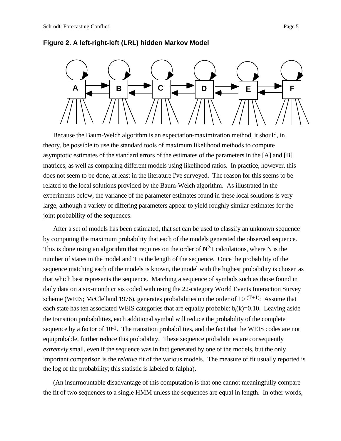

#### **Figure 2. A left-right-left (LRL) hidden Markov Model**

Because the Baum-Welch algorithm is an expectation-maximization method, it should, in theory, be possible to use the standard tools of maximum likelihood methods to compute asymptotic estimates of the standard errors of the estimates of the parameters in the [A] and [B] matrices, as well as comparing different models using likelihood ratios. In practice, however, this does not seem to be done, at least in the literature I've surveyed. The reason for this seems to be related to the local solutions provided by the Baum-Welch algorithm. As illustrated in the experiments below, the variance of the parameter estimates found in these local solutions is very large, although a variety of differing parameters appear to yield roughly similar estimates for the joint probability of the sequences.

After a set of models has been estimated, that set can be used to classify an unknown sequence by computing the maximum probability that each of the models generated the observed sequence. This is done using an algorithm that requires on the order of  $N^2T$  calculations, where N is the number of states in the model and T is the length of the sequence. Once the probability of the sequence matching each of the models is known, the model with the highest probability is chosen as that which best represents the sequence. Matching a sequence of symbols such as those found in daily data on a six-month crisis coded with using the 22-category World Events Interaction Survey scheme (WEIS; McClelland 1976), generates probabilities on the order of  $10^{-(T+1)}$ : Assume that each state has ten associated WEIS categories that are equally probable:  $b_i(k)=0.10$ . Leaving aside the transition probabilities, each additional symbol will reduce the probability of the complete sequence by a factor of  $10^{-1}$ . The transition probabilities, and the fact that the WEIS codes are not equiprobable, further reduce this probability. These sequence probabilities are consequently *extremely* small, even if the sequence was in fact generated by one of the models, but the only important comparison is the *relative* fit of the various models. The measure of fit usually reported is the log of the probability; this statistic is labeled (alpha).

(An insurmountable disadvantage of this computation is that one cannot meaningfully compare the fit of two sequences to a single HMM unless the sequences are equal in length. In other words,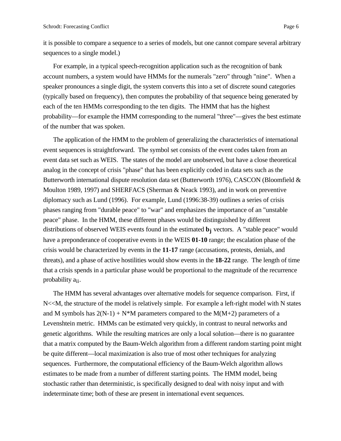it is possible to compare a sequence to a series of models, but one cannot compare several arbitrary sequences to a single model.)

For example, in a typical speech-recognition application such as the recognition of bank account numbers, a system would have HMMs for the numerals "zero" through "nine". When a speaker pronounces a single digit, the system converts this into a set of discrete sound categories (typically based on frequency), then computes the probability of that sequence being generated by each of the ten HMMs corresponding to the ten digits. The HMM that has the highest probability—for example the HMM corresponding to the numeral "three"—gives the best estimate of the number that was spoken.

The application of the HMM to the problem of generalizing the characteristics of international event sequences is straightforward. The symbol set consists of the event codes taken from an event data set such as WEIS. The states of the model are unobserved, but have a close theoretical analog in the concept of crisis "phase" that has been explicitly coded in data sets such as the Butterworth international dispute resolution data set (Butterworth 1976), CASCON (Bloomfield & Moulton 1989, 1997) and SHERFACS (Sherman & Neack 1993), and in work on preventive diplomacy such as Lund (1996). For example, Lund (1996:38-39) outlines a series of crisis phases ranging from "durable peace" to "war" and emphasizes the importance of an "unstable peace" phase. In the HMM, these different phases would be distinguished by different distributions of observed WEIS events found in the estimated **bj** vectors. A "stable peace" would have a preponderance of cooperative events in the WEIS **01-10** range; the escalation phase of the crisis would be characterized by events in the **11-17** range (accusations, protests, denials, and threats), and a phase of active hostilities would show events in the **18-22** range. The length of time that a crisis spends in a particular phase would be proportional to the magnitude of the recurrence probability  $a_{ii}$ .

The HMM has several advantages over alternative models for sequence comparison. First, if  $N \ll M$ , the structure of the model is relatively simple. For example a left-right model with N states and M symbols has  $2(N-1) + N^*M$  parameters compared to the  $M(M+2)$  parameters of a Levenshtein metric. HMMs can be estimated very quickly, in contrast to neural networks and genetic algorithms. While the resulting matrices are only a local solution—there is no guarantee that a matrix computed by the Baum-Welch algorithm from a different random starting point might be quite different—local maximization is also true of most other techniques for analyzing sequences. Furthermore, the computational efficiency of the Baum-Welch algorithm allows estimates to be made from a number of different starting points. The HMM model, being stochastic rather than deterministic, is specifically designed to deal with noisy input and with indeterminate time; both of these are present in international event sequences.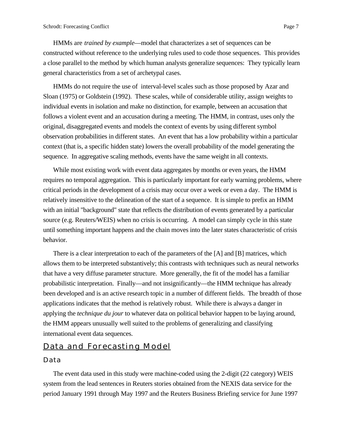HMMs are *trained by example*—model that characterizes a set of sequences can be constructed without reference to the underlying rules used to code those sequences. This provides a close parallel to the method by which human analysts generalize sequences: They typically learn general characteristics from a set of archetypal cases.

HMMs do not require the use of interval-level scales such as those proposed by Azar and Sloan (1975) or Goldstein (1992). These scales, while of considerable utility, assign weights to individual events in isolation and make no distinction, for example, between an accusation that follows a violent event and an accusation during a meeting. The HMM, in contrast, uses only the original, disaggregated events and models the context of events by using different symbol observation probabilities in different states. An event that has a low probability within a particular context (that is, a specific hidden state) lowers the overall probability of the model generating the sequence. In aggregative scaling methods, events have the same weight in all contexts.

While most existing work with event data aggregates by months or even years, the HMM requires no temporal aggregation. This is particularly important for early warning problems, where critical periods in the development of a crisis may occur over a week or even a day. The HMM is relatively insensitive to the delineation of the start of a sequence. It is simple to prefix an HMM with an initial "background" state that reflects the distribution of events generated by a particular source (e.g. Reuters/WEIS) when no crisis is occurring. A model can simply cycle in this state until something important happens and the chain moves into the later states characteristic of crisis behavior.

There is a clear interpretation to each of the parameters of the [A] and [B] matrices, which allows them to be interpreted substantively; this contrasts with techniques such as neural networks that have a very diffuse parameter structure. More generally, the fit of the model has a familiar probabilistic interpretation. Finally—and not insignificantly—the HMM technique has already been developed and is an active research topic in a number of different fields. The breadth of those applications indicates that the method is relatively robust. While there is always a danger in applying the *technique du jour* to whatever data on political behavior happen to be laying around, the HMM appears unusually well suited to the problems of generalizing and classifying international event data sequences.

## Data and Forecasting Model

#### Data

The event data used in this study were machine-coded using the 2-digit (22 category) WEIS system from the lead sentences in Reuters stories obtained from the NEXIS data service for the period January 1991 through May 1997 and the Reuters Business Briefing service for June 1997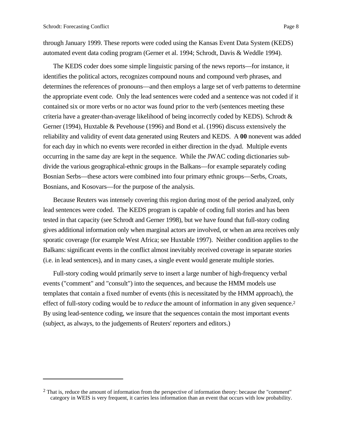l

through January 1999. These reports were coded using the Kansas Event Data System (KEDS) automated event data coding program (Gerner et al. 1994; Schrodt, Davis & Weddle 1994).

The KEDS coder does some simple linguistic parsing of the news reports—for instance, it identifies the political actors, recognizes compound nouns and compound verb phrases, and determines the references of pronouns—and then employs a large set of verb patterns to determine the appropriate event code. Only the lead sentences were coded and a sentence was not coded if it contained six or more verbs or no actor was found prior to the verb (sentences meeting these criteria have a greater-than-average likelihood of being incorrectly coded by KEDS). Schrodt  $\&$ Gerner (1994), Huxtable & Pevehouse (1996) and Bond et al. (1996) discuss extensively the reliability and validity of event data generated using Reuters and KEDS. A **00** nonevent was added for each day in which no events were recorded in either direction in the dyad. Multiple events occurring in the same day are kept in the sequence. While the JWAC coding dictionaries subdivide the various geographical-ethnic groups in the Balkans—for example separately coding Bosnian Serbs—these actors were combined into four primary ethnic groups—Serbs, Croats, Bosnians, and Kosovars—for the purpose of the analysis.

Because Reuters was intensely covering this region during most of the period analyzed, only lead sentences were coded. The KEDS program is capable of coding full stories and has been tested in that capacity (see Schrodt and Gerner 1998), but we have found that full-story coding gives additional information only when marginal actors are involved, or when an area receives only sporatic coverage (for example West Africa; see Huxtable 1997). Neither condition applies to the Balkans: significant events in the conflict almost inevitably received coverage in separate stories (i.e. in lead sentences), and in many cases, a single event would generate multiple stories.

Full-story coding would primarily serve to insert a large number of high-frequency verbal events ("comment" and "consult") into the sequences, and because the HMM models use templates that contain a fixed number of events (this is necessitated by the HMM approach), the effect of full-story coding would be to *reduce* the amount of information in any given sequence.<sup>2</sup> By using lead-sentence coding, we insure that the sequences contain the most important events (subject, as always, to the judgements of Reuters' reporters and editors.)

<sup>2</sup> That is, reduce the amount of information from the perspective of information theory: because the "comment" category in WEIS is very frequent, it carries less information than an event that occurs with low probability.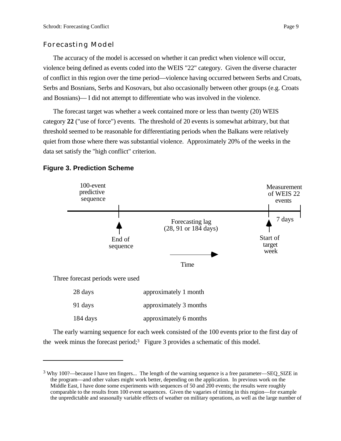#### Forecasting Model

The accuracy of the model is accessed on whether it can predict when violence will occur, violence being defined as events coded into the WEIS "22" category. Given the diverse character of conflict in this region over the time period—violence having occurred between Serbs and Croats, Serbs and Bosnians, Serbs and Kosovars, but also occasionally between other groups (e.g. Croats and Bosnians)— I did not attempt to differentiate who was involved in the violence.

The forecast target was whether a week contained more or less than twenty (20) WEIS category **22** ("use of force") events. The threshold of 20 events is somewhat arbitrary, but that threshold seemed to be reasonable for differentiating periods when the Balkans were relatively quiet from those where there was substantial violence. Approximately 20% of the weeks in the data set satisfy the "high conflict" criterion.



#### **Figure 3. Prediction Scheme**

l

The early warning sequence for each week consisted of the 100 events prior to the first day of the week minus the forecast period;<sup>3</sup> Figure 3 provides a schematic of this model.

<sup>&</sup>lt;sup>3</sup> Why 100?—because I have ten fingers... The length of the warning sequence is a free parameter—SEQ\_SIZE in the program—and other values might work better, depending on the application. In previous work on the Middle East, I have done some experiments with sequences of 50 and 200 events; the results were roughly comparable to the results from 100 event sequences. Given the vagaries of timing in this region—for example the unpredictable and seasonally variable effects of weather on military operations, as well as the large number of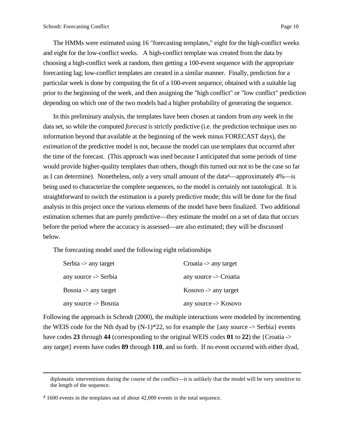The HMMs were estimated using 16 "forecasting templates," eight for the high-conflict weeks and eight for the low-conflict weeks. A high-conflict template was created from the data by choosing a high-conflict week at random, then getting a 100-event sequence with the appropriate forecasting lag; low-conflict templates are created in a similar manner. Finally, prediction for a particular week is done by computing the fit of a 100-event sequence, obtained with a suitable lag prior to the beginning of the week, and then assigning the "high conflict" or "low conflict" prediction depending on which one of the two models had a higher probability of generating the sequence.

In this preliminary analysis, the templates have been chosen at random from *any* week in the data set, so while the computed *forecast* is strictly predictive (i.e. the prediction technique uses no information beyond that available at the beginning of the week minus FORECAST days), the *estimation* of the predictive model is not, because the model can use templates that occurred after the time of the forecast. (This approach was used because I anticipated that some periods of time would provide higher-quality templates than others, though this turned out not to be the case so far as I can determine). Nonetheless, only a very small amount of the data4—approximately 4%—is being used to characterize the complete sequences, so the model is certainly not tautological. It is straightforward to switch the estimation is a purely predictive mode; this will be done for the final analysis in this project once the various elements of the model have been finalized. Two additional estimation schemes that are purely predictive—they estimate the model on a set of data that occurs before the period where the accuracy is assessed—are also estimated; they will be discussed below.

The forecasting model used the following eight relationships

| Serbia $\rightarrow$ any target | Croatia $\rightarrow$ any target |
|---------------------------------|----------------------------------|
| any source -> Serbia            | any source $\rightarrow$ Croatia |
| Bosnia $\rightarrow$ any target | Kosovo -> any target             |
| any source -> Bosnia            | any source -> Kosovo             |

Following the approach in Schrodt (2000), the multiple interactions were modeled by incrementing the WEIS code for the Nth dyad by  $(N-1)*22$ , so for example the {any source  $\ge$  Serbia} events have codes **23** through **44** (corresponding to the original WEIS codes **01** to **22**) the {Croatia -> any target} events have codes **89** through **110**, and so forth. If no event occurred with either dyad,

l

diplomatic interventions during the course of the conflict—it is unlikely that the model will be very sensitive to the length of the sequence.

<sup>&</sup>lt;sup>4</sup> 1600 events in the templates out of about 42,000 events in the total sequence.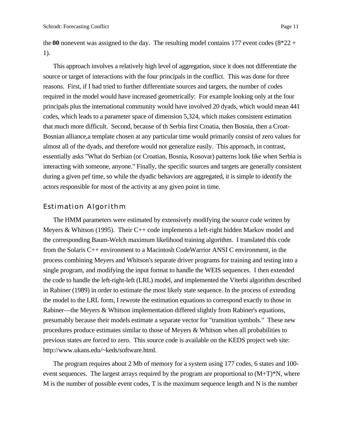the 00 nonevent was assigned to the day. The resulting model contains 177 event codes  $(8*22 +$ 1).

This approach involves a relatively high level of aggregation, since it does not differentiate the source or target of interactions with the four principals in the conflict. This was done for three reasons. First, if I had tried to further differentiate sources and targets, the number of codes required in the model would have increased geometrically: For example looking only at the four principals plus the international community would have involved 20 dyads, which would mean 441 codes, which leads to a parameter space of dimension 5,324, which makes consistent estimation that much more difficult. Second, because of th Serbia first Croatia, then Bosnia, then a Croat-Bosnian alliance,a template chosen at any particular time would primarily consist of zero values for almost all of the dyads, and therefore would not generalize easily. This approach, in contrast, essentially asks "What do Serbian (or Croatian, Bosnia, Kosovar) patterns look like when Serbia is interacting with someone, anyone." Finally, the specific sources and targets are generally consistent during a given pef time, so while the dyadic behaviors are aggregated, it is simple to identify the actors responsible for most of the activity at any given point in time.

#### Estimation Algorithm

The HMM parameters were estimated by extensively modifying the source code written by Meyers & Whitson (1995). Their  $C++$  code implements a left-right hidden Markov model and the corresponding Baum-Welch maximum likelihood training algorithm. I translated this code from the Solaris C++ environment to a Macintosh CodeWarrior ANSI C environment, in the process combining Meyers and Whitson's separate driver programs for training and testing into a single program, and modifying the input format to handle the WEIS sequences. I then extended the code to handle the left-right-left (LRL) model, and implemented the Viterbi algorithm described in Rabiner (1989) in order to estimate the most likely state sequence. In the process of extending the model to the LRL form, I rewrote the estimation equations to correspond exactly to those in Rabiner—the Meyers & Whitson implementation differed slightly from Rabiner's equations, presumably because their models estimate a separate vector for "transition symbols." These new procedures produce estimates similar to those of Meyers & Whitson when all probabilities to previous states are forced to zero. This source code is available on the KEDS project web site: http://www.ukans.edu/~keds/software.html.

The program requires about 2 Mb of memory for a system using 177 codes, 6 states and 100 event sequences. The largest arrays required by the program are proportional to  $(M+T)^*N$ , where M is the number of possible event codes, T is the maximum sequence length and N is the number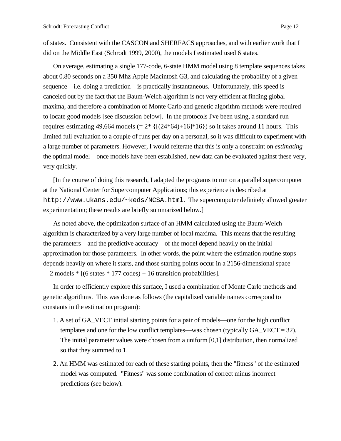of states. Consistent with the CASCON and SHERFACS approaches, and with earlier work that I did on the Middle East (Schrodt 1999, 2000), the models I estimated used 6 states.

On average, estimating a single 177-code, 6-state HMM model using 8 template sequences takes about 0.80 seconds on a 350 Mhz Apple Macintosh G3, and calculating the probability of a given sequence—i.e. doing a prediction—is practically instantaneous. Unfortunately, this speed is canceled out by the fact that the Baum-Welch algorithm is not very efficient at finding global maxima, and therefore a combination of Monte Carlo and genetic algorithm methods were required to locate good models [see discussion below]. In the protocols I've been using, a standard run requires estimating 49,664 models  $(= 2^* \{[(24*64)+16]*16\})$  so it takes around 11 hours. This limited full evaluation to a couple of runs per day on a personal, so it was difficult to experiment with a large number of parameters. However, I would reiterate that this is only a constraint on *estimating* the optimal model—once models have been established, new data can be evaluated against these very, very quickly.

[In the course of doing this research, I adapted the programs to run on a parallel supercomputer at the National Center for Supercomputer Applications; this experience is described at http://www.ukans.edu/~keds/NCSA.html. The supercomputer definitely allowed greater experimentation; these results are briefly summarized below.]

As noted above, the optimization surface of an HMM calculated using the Baum-Welch algorithm is characterized by a very large number of local maxima. This means that the resulting the parameters—and the predictive accuracy—of the model depend heavily on the initial approximation for those parameters. In other words, the point where the estimation routine stops depends heavily on where it starts, and those starting points occur in a 2156-dimensional space  $-2$  models  $*$  [(6 states  $*$  177 codes) + 16 transition probabilities].

In order to efficiently explore this surface, I used a combination of Monte Carlo methods and genetic algorithms. This was done as follows (the capitalized variable names correspond to constants in the estimation program):

- 1. A set of GA\_VECT initial starting points for a pair of models—one for the high conflict templates and one for the low conflict templates—was chosen (typically  $GA$ <sub></sub>VECT = 32). The initial parameter values were chosen from a uniform [0,1] distribution, then normalized so that they summed to 1.
- 2. An HMM was estimated for each of these starting points, then the "fitness" of the estimated model was computed. "Fitness" was some combination of correct minus incorrect predictions (see below).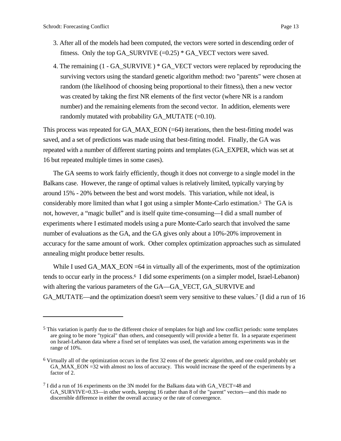l

- 3. After all of the models had been computed, the vectors were sorted in descending order of fitness. Only the top GA\_SURVIVE  $(=0.25) * GA$  VECT vectors were saved.
- 4. The remaining (1 GA\_SURVIVE ) \* GA\_VECT vectors were replaced by reproducing the surviving vectors using the standard genetic algorithm method: two "parents" were chosen at random (the likelihood of choosing being proportional to their fitness), then a new vector was created by taking the first NR elements of the first vector (where NR is a random number) and the remaining elements from the second vector. In addition, elements were randomly mutated with probability  $GA_MUTATE (=0.10)$ .

This process was repeated for GA\_MAX\_EON (=64) iterations, then the best-fitting model was saved, and a set of predictions was made using that best-fitting model. Finally, the GA was repeated with a number of different starting points and templates (GA\_EXPER, which was set at 16 but repeated multiple times in some cases).

The GA seems to work fairly efficiently, though it does not converge to a single model in the Balkans case. However, the range of optimal values is relatively limited, typically varying by around 15% - 20% between the best and worst models. This variation, while not ideal, is considerably more limited than what I got using a simpler Monte-Carlo estimation.5 The GA is not, however, a "magic bullet" and is itself quite time-consuming—I did a small number of experiments where I estimated models using a pure Monte-Carlo search that involved the same number of evaluations as the GA, and the GA gives only about a 10%-20% improvement in accuracy for the same amount of work. Other complex optimization approaches such as simulated annealing might produce better results.

While I used GA\_MAX\_EON =64 in virtually all of the experiments, most of the optimization tends to occur early in the process.6 I did some experiments (on a simpler model, Israel-Lebanon) with altering the various parameters of the GA—GA\_VECT, GA\_SURVIVE and GA\_MUTATE—and the optimization doesn't seem very sensitive to these values.7 (I did a run of 16

<sup>5</sup> This variation is partly due to the different choice of templates for high and low conflict periods: some templates are going to be more "typical" than others, and consequently will provide a better fit. In a separate experiment on Israel-Lebanon data where a fixed set of templates was used, the variation among experiments was in the range of 10%.

<sup>6</sup> Virtually all of the optimization occurs in the first 32 eons of the genetic algorithm, and one could probably set GA\_MAX\_EON =32 with almost no loss of accuracy. This would increase the speed of the experiments by a factor of 2.

<sup>7</sup> I did a run of 16 experiments on the 3N model for the Balkans data with GA\_VECT=48 and GA\_SURVIVE=0.33—in other words, keeping 16 rather than 8 of the "parent" vectors—and this made no discernible difference in either the overall accuracy or the rate of convergence.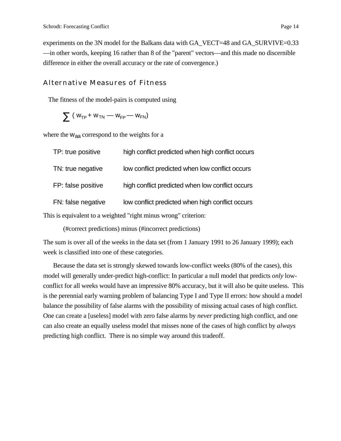experiments on the 3N model for the Balkans data with GA\_VECT=48 and GA\_SURVIVE=0.33 —in other words, keeping 16 rather than 8 of the "parent" vectors—and this made no discernible difference in either the overall accuracy or the rate of convergence.)

#### Alternative Measures of Fitness

The fitness of the model-pairs is computed using

 $(W_{TP} + W_{TN} - W_{FP} - W_{FN})$ 

where the W<sub>aa</sub> correspond to the weights for a

| TP: true positive  | high conflict predicted when high conflict occurs               |
|--------------------|-----------------------------------------------------------------|
| TN: true negative  | low conflict predicted when low conflict occurs                 |
| FP: false positive | high conflict predicted when low conflict occurs                |
| FN: false negative | low conflict predicted when high conflict occurs                |
|                    | This is equivalent to a weighted "right minus wrong" criterion: |

(#correct predictions) minus (#incorrect predictions)

The sum is over all of the weeks in the data set (from 1 January 1991 to 26 January 1999); each week is classified into one of these categories.

Because the data set is strongly skewed towards low-conflict weeks (80% of the cases), this model will generally under-predict high-conflict: In particular a null model that predicts *only* lowconflict for all weeks would have an impressive 80% accuracy, but it will also be quite useless. This is the perennial early warning problem of balancing Type I and Type II errors: how should a model balance the possibility of false alarms with the possibility of missing actual cases of high conflict. One can create a [useless] model with zero false alarms by *never* predicting high conflict, and one can also create an equally useless model that misses none of the cases of high conflict by *always* predicting high conflict. There is no simple way around this tradeoff.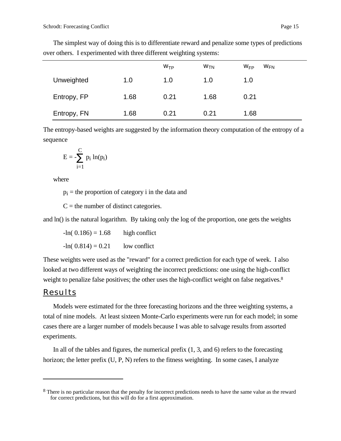|             |      | W <sub>TP</sub> | <b>W<sub>TN</sub></b> | $W_{FP}$<br>W <sub>FN</sub> |  |
|-------------|------|-----------------|-----------------------|-----------------------------|--|
| Unweighted  | 1.0  | 1.0             | 1.0                   | 1.0                         |  |
| Entropy, FP | 1.68 | 0.21            | 1.68                  | 0.21                        |  |
| Entropy, FN | 1.68 | 0.21            | 0.21                  | 1.68                        |  |

The simplest way of doing this is to differentiate reward and penalize some types of predictions over others. I experimented with three different weighting systems:

The entropy-based weights are suggested by the information theory computation of the entropy of a sequence

$$
E = - \hspace{-1cm} \sum_{i=1}^{C} \hspace{-1cm} p_i \hspace{0.1cm} ln(p_i)
$$

where

pi = the proportion of category i in the data and

 $C =$  the number of distinct categories.

and ln() is the natural logarithm. By taking only the log of the proportion, one gets the weights

 $-\ln(0.186) = 1.68$  high conflict  $ln( 0.814) = 0.21$  low conflict

These weights were used as the "reward" for a correct prediction for each type of week. I also looked at two different ways of weighting the incorrect predictions: one using the high-conflict weight to penalize false positives; the other uses the high-conflict weight on false negatives.<sup>8</sup>

#### <u>Results</u>

l

Models were estimated for the three forecasting horizons and the three weighting systems, a total of nine models. At least sixteen Monte-Carlo experiments were run for each model; in some cases there are a larger number of models because I was able to salvage results from assorted experiments.

In all of the tables and figures, the numerical prefix (1, 3, and 6) refers to the forecasting horizon; the letter prefix (U, P, N) refers to the fitness weighting. In some cases, I analyze

<sup>&</sup>lt;sup>8</sup> There is no particular reason that the penalty for incorrect predictions needs to have the same value as the reward for correct predictions, but this will do for a first approximation.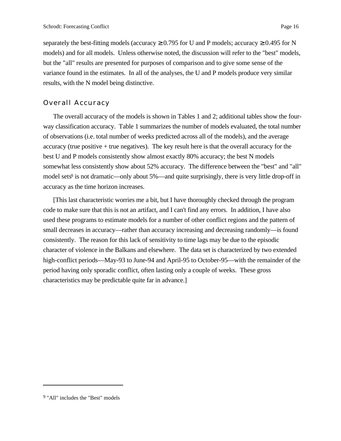separately the best-fitting models (accuracy 0.795 for U and P models; accuracy 0.495 for N models) and for all models. Unless otherwise noted, the discussion will refer to the "best" models, but the "all" results are presented for purposes of comparison and to give some sense of the variance found in the estimates. In all of the analyses, the U and P models produce very similar results, with the N model being distinctive.

#### Overall Accuracy

The overall accuracy of the models is shown in Tables 1 and 2; additional tables show the fourway classification accuracy. Table 1 summarizes the number of models evaluated, the total number of observations (i.e. total number of weeks predicted across all of the models), and the average accuracy (true positive + true negatives). The key result here is that the overall accuracy for the best U and P models consistently show almost exactly 80% accuracy; the best N models somewhat less consistently show about 52% accuracy. The difference between the "best" and "all" model sets<sup>9</sup> is not dramatic—only about  $5\%$ —and quite surprisingly, there is very little drop-off in accuracy as the time horizon increases.

[This last characteristic worries me a bit, but I have thoroughly checked through the program code to make sure that this is not an artifact, and I can't find any errors. In addition, I have also used these programs to estimate models for a number of other conflict regions and the pattern of small decreases in accuracy—rather than accuracy increasing and decreasing randomly—is found consistently. The reason for this lack of sensitivity to time lags may be due to the episodic character of violence in the Balkans and elsewhere. The data set is characterized by two extended high-conflict periods—May-93 to June-94 and April-95 to October-95—with the remainder of the period having only sporadic conflict, often lasting only a couple of weeks. These gross characteristics may be predictable quite far in advance.]

l

<sup>9</sup> "All" includes the "Best" models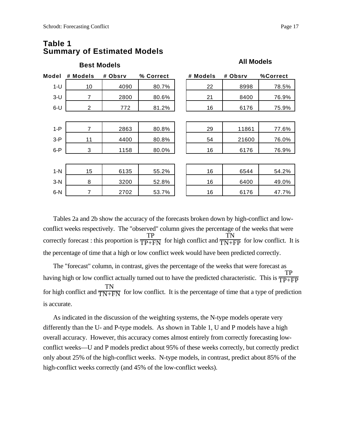## **Table 1 Summary of Estimated Models**

| Model | # Models       | # Obsrv | % Correct | # Models | # Obsrv | %Correct |
|-------|----------------|---------|-----------|----------|---------|----------|
| $1-U$ | 10             | 4090    | 80.7%     | 22       | 8998    | 78.5%    |
| $3-U$ | 7              | 2800    | 80.6%     | 21       | 8400    | 76.9%    |
| $6-U$ | $\overline{2}$ | 772     | 81.2%     | 16       | 6176    | 75.9%    |
|       |                |         |           |          |         |          |
| $1-P$ | 7              | 2863    | 80.8%     | 29       | 11861   | 77.6%    |
| $3-P$ | 11             | 4400    | 80.8%     | 54       | 21600   | 76.0%    |
| $6-P$ | 3              | 1158    | 80.0%     | 16       | 6176    | 76.9%    |
|       |                |         |           |          |         |          |
| $1-N$ | 15             | 6135    | 55.2%     | 16       | 6544    | 54.2%    |
| $3-N$ | 8              | 3200    | 52.8%     | 16       | 6400    | 49.0%    |
| $6-N$ | 7              | 2702    | 53.7%     | 16       | 6176    | 47.7%    |

# **Best Models All Models**

Tables 2a and 2b show the accuracy of the forecasts broken down by high-conflict and lowconflict weeks respectively. The "observed" column gives the percentage of the weeks that were correctly forecast : this proportion is TP  $\frac{1}{TP+FN}$  for high conflict and TN  $\frac{1}{TN+FP}$  for low conflict. It is the percentage of time that a high or low conflict week would have been predicted correctly.

The "forecast" column, in contrast, gives the percentage of the weeks that were forecast as having high or low conflict actually turned out to have the predicted characteristic. This is TP  $\overline{\text{TP+FP}}$ for high conflict and TN  $T\overline{N+FN}$  for low conflict. It is the percentage of time that a type of prediction is accurate.

As indicated in the discussion of the weighting systems, the N-type models operate very differently than the U- and P-type models. As shown in Table 1, U and P models have a high overall accuracy. However, this accuracy comes almost entirely from correctly forecasting lowconflict weeks—U and P models predict about 95% of these weeks correctly, but correctly predict only about 25% of the high-conflict weeks. N-type models, in contrast, predict about 85% of the high-conflict weeks correctly (and 45% of the low-conflict weeks).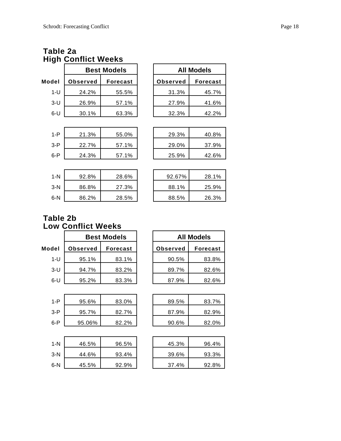# **Table 2a High Conflict Weeks**

|       |                 | <b>Best Models</b> |                 | <b>All Models</b> |
|-------|-----------------|--------------------|-----------------|-------------------|
| Model | <b>Observed</b> | <b>Forecast</b>    | <b>Observed</b> | <b>Forecast</b>   |
| $1-U$ | 24.2%           | 55.5%              | 31.3%           | 45.7%             |
| $3-U$ | 26.9%           | 57.1%              | 27.9%           | 41.6%             |
| 6-U   | 30.1%           | 63.3%              | 32.3%           | 42.2%             |
|       |                 |                    |                 |                   |

| 1-P | 21.3% | 55.0% | 29.3% | 40.8% |
|-----|-------|-------|-------|-------|
| 3-P | 22.7% | 57.1% | 29.0% | 37.9% |
| 6-P | 24.3% | 57.1% | 25.9% | 42.6% |
|     |       |       |       |       |

|                  | <b>Best Models</b> | <b>All Models</b> |                 |  |
|------------------|--------------------|-------------------|-----------------|--|
| ved <sup>.</sup> | <b>Forecast</b>    | <b>Observed</b>   | <b>Forecast</b> |  |
| .2%              | 55.5%              | 31.3%             | 45.7%           |  |
| $.9\%$           | 57.1%              | 27.9%             | 41.6%           |  |
| $.1\%$           | 63.3%              | 32.3%             | 42.2%           |  |

| 29.3% | 40.8% |
|-------|-------|
| 29.0% | 37.9% |
| 25.9% | 42.6% |

| $1-N$ | 92.8% | 28.6% | 92.67% | 28.1% |
|-------|-------|-------|--------|-------|
| $3-N$ | 86.8% | 27.3% | 88.1%  | 25.9% |
| $6-N$ | 86.2% | 28.5% | 88.5%  | 26.3% |
|       |       |       |        |       |

| 92.67% | 28.1% |
|--------|-------|
| 88.1%  | 25.9% |
| 88.5%  | 26.3% |

# **Table 2b Low Conflict Weeks**

|         | <b>Best Models</b> |                 |  |                 | <b>All Models</b> |
|---------|--------------------|-----------------|--|-----------------|-------------------|
| Model   | <b>Observed</b>    | <b>Forecast</b> |  | <b>Observed</b> | <b>Forecast</b>   |
| 1-U     | 95.1%              | 83.1%           |  | 90.5%           | 83.8%             |
| $3-U$   | 94.7%              | 83.2%           |  | 89.7%           | 82.6%             |
| $6 - U$ | 95.2%              | 83.3%           |  | 87.9%           | 82.6%             |

| 1-P | 95.6%  | 83.0% | 89.5% | 83.7% |
|-----|--------|-------|-------|-------|
| 3-P | 95.7%  | 82.7% | 87.9% | 82.9% |
| 6-P | 95.06% | 82.2% | 90.6% | 82.0% |

|        | <b>Best Models</b> |                 | <b>All Models</b> |
|--------|--------------------|-----------------|-------------------|
| ved:   | <b>Forecast</b>    | <b>Observed</b> | <b>Forecast</b>   |
| $.1\%$ | 83.1%              | 90.5%           | 83.8%             |
| $.7\%$ | 83.2%              | 89.7%           | 82.6%             |
| $.2\%$ | 83.3%              | 87.9%           | 82.6%             |

| 89.5% | 83.7% |
|-------|-------|
| 87.9% | 82.9% |
| 90.6% | 82.0% |

| 1-N | 46.5% | 96.5% | 45.3% | 96.4% |
|-----|-------|-------|-------|-------|
| 3-N | 44.6% | 93.4% | 39.6% | 93.3% |
| 6-N | 45.5% | 92.9% | 37.4% | 92.8% |

| 45.3% | 96.4% |
|-------|-------|
| 39.6% | 93.3% |
| 37.4% | 92.8% |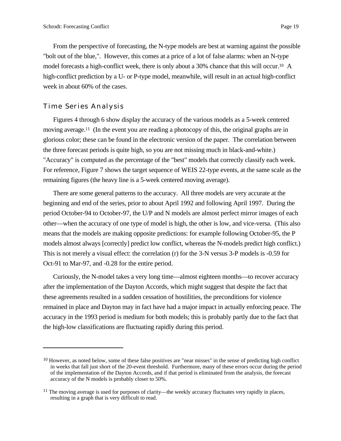From the perspective of forecasting, the N-type models are best at warning against the possible "bolt out of the blue,". However, this comes at a price of a lot of false alarms: when an N-type model forecasts a high-conflict week, there is only about a 30% chance that this will occur.<sup>10</sup> A high-conflict prediction by a U- or P-type model, meanwhile, will result in an actual high-conflict week in about 60% of the cases.

#### Time Series Analysis

l

Figures 4 through 6 show display the accuracy of the various models as a 5-week centered moving average.<sup>11</sup> (In the event you are reading a photocopy of this, the original graphs are in glorious color; these can be found in the electronic version of the paper. The correlation between the three forecast periods is quite high, so you are not missing much in black-and-white.) "Accuracy" is computed as the percentage of the "best" models that correctly classify each week. For reference, Figure 7 shows the target sequence of WEIS 22-type events, at the same scale as the remaining figures (the heavy line is a 5-week centered moving average).

There are some general patterns to the accuracy. All three models are very accurate at the beginning and end of the series, prior to about April 1992 and following April 1997. During the period October-94 to October-97, the U/P and N models are almost perfect mirror images of each other—when the accuracy of one type of model is high, the other is low, and vice-versa. (This also means that the models are making opposite predictions: for example following October-95, the P models almost always [correctly] predict low conflict, whereas the N-models predict high conflict.) This is not merely a visual effect: the correlation (r) for the 3-N versus 3-P models is -0.59 for Oct-91 to Mar-97, and -0.28 for the entire period.

Curiously, the N-model takes a very long time—almost eighteen months—to recover accuracy after the implementation of the Dayton Accords, which might suggest that despite the fact that these agreements resulted in a sudden cessation of hostilities, the preconditions for violence remained in place and Dayton may in fact have had a major impact in actually enforcing peace. The accuracy in the 1993 period is medium for both models; this is probably partly due to the fact that the high-low classifications are fluctuating rapidly during this period.

<sup>&</sup>lt;sup>10</sup> However, as noted below, some of these false positives are "near misses" in the sense of predicting high conflict in weeks that fall just short of the 20-event threshold. Furthermore, many of these errors occur during the period of the implementation of the Dayton Accords, and if that period is eliminated from the analysis, the forecast accuracy of the N models is probably closer to 50%.

<sup>&</sup>lt;sup>11</sup> The moving average is used for purposes of clarity—the weekly accuracy fluctuates very rapidly in places, resulting in a graph that is very difficult to read.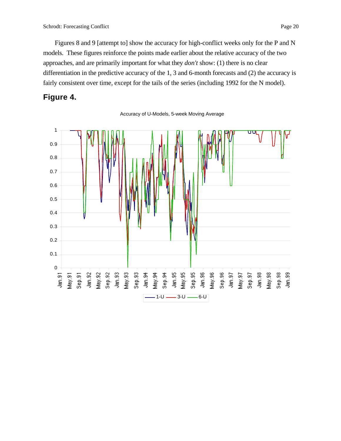Figures 8 and 9 [attempt to] show the accuracy for high-conflict weeks only for the P and N models. These figures reinforce the points made earlier about the relative accuracy of the two approaches, and are primarily important for what they *don't* show: (1) there is no clear differentiation in the predictive accuracy of the 1, 3 and 6-month forecasts and (2) the accuracy is fairly consistent over time, except for the tails of the series (including 1992 for the N model).

## **Figure 4.**



Accuracy of U-Models, 5-week Moving Average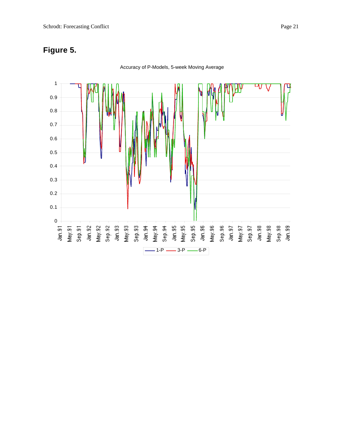

#### Accuracy of P-Models, 5-week Moving Average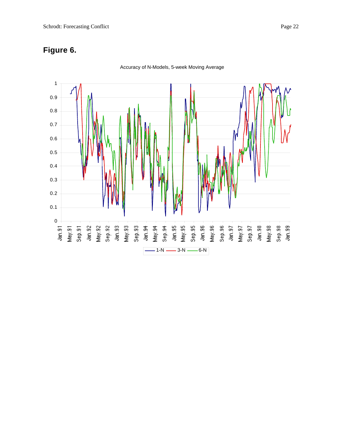# **Figure 6.**



#### Accuracy of N-Models, 5-week Moving Average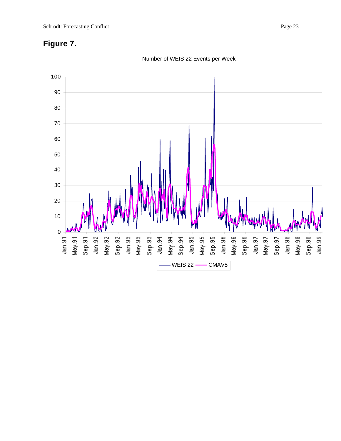



Number of WEIS 22 Events per Week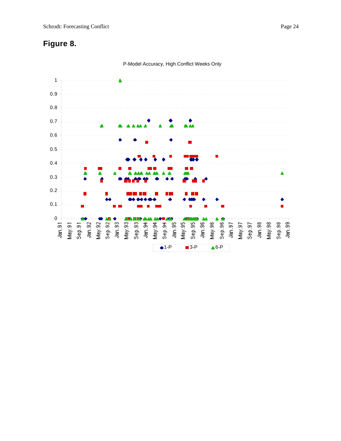# **Figure 8.**



#### P-Model Accuracy, High Conflict Weeks Only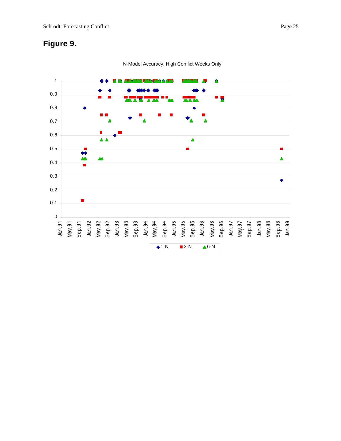# **Figure 9.**



N-Model Accuracy, High Conflict Weeks Only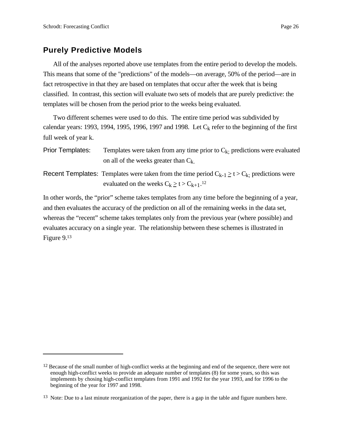l

## **Purely Predictive Models**

All of the analyses reported above use templates from the entire period to develop the models. This means that some of the "predictions" of the models—on average, 50% of the period—are in fact retrospective in that they are based on templates that occur after the week that is being classified. In contrast, this section will evaluate two sets of models that are purely predictive: the templates will be chosen from the period prior to the weeks being evaluated.

Two different schemes were used to do this. The entire time period was subdivided by calendar years: 1993, 1994, 1995, 1996, 1997 and 1998. Let  $C_k$  refer to the beginning of the first full week of year k.

| <b>Prior Templates:</b> | Templates were taken from any time prior to $C_k$ predictions were evaluated<br>on all of the weeks greater than $C_k$ .                                             |
|-------------------------|----------------------------------------------------------------------------------------------------------------------------------------------------------------------|
|                         | Recent Templates: Templates were taken from the time period $C_{k-1} \ge t > C_k$ ; predictions were<br>evaluated on the weeks $C_k \ge t > C_{k+1}$ . <sup>12</sup> |
|                         |                                                                                                                                                                      |

In other words, the "prior" scheme takes templates from any time before the beginning of a year, and then evaluates the accuracy of the prediction on all of the remaining weeks in the data set, whereas the "recent" scheme takes templates only from the previous year (where possible) and evaluates accuracy on a single year. The relationship between these schemes is illustrated in Figure 9.<sup>13</sup>

<sup>&</sup>lt;sup>12</sup> Because of the small number of high-conflict weeks at the beginning and end of the sequence, there were not enough high-conflict weeks to provide an adequate number of templates (8) for some years, so this was implements by chosing high-conflict templates from 1991 and 1992 for the year 1993, and for 1996 to the beginning of the year for 1997 and 1998.

<sup>&</sup>lt;sup>13</sup> Note: Due to a last minute reorganization of the paper, there is a gap in the table and figure numbers here.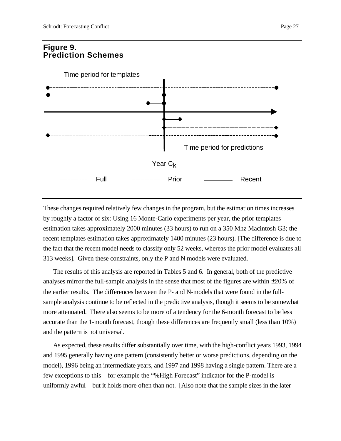#### **Figure 9. Prediction Schemes**



These changes required relatively few changes in the program, but the estimation times increases by roughly a factor of six: Using 16 Monte-Carlo experiments per year, the prior templates estimation takes approximately 2000 minutes (33 hours) to run on a 350 Mhz Macintosh G3; the recent templates estimation takes approximately 1400 minutes (23 hours). [The difference is due to the fact that the recent model needs to classify only 52 weeks, whereas the prior model evaluates all 313 weeks]. Given these constraints, only the P and N models were evaluated.

The results of this analysis are reported in Tables 5 and 6. In general, both of the predictive analyses mirror the full-sample analysis in the sense that most of the figures are within  $\pm 20\%$  of the earlier results. The differences between the P- and N-models that were found in the fullsample analysis continue to be reflected in the predictive analysis, though it seems to be somewhat more attenuated. There also seems to be more of a tendency for the 6-month forecast to be less accurate than the 1-month forecast, though these differences are frequently small (less than 10%) and the pattern is not universal.

As expected, these results differ substantially over time, with the high-conflict years 1993, 1994 and 1995 generally having one pattern (consistently better or worse predictions, depending on the model), 1996 being an intermediate years, and 1997 and 1998 having a single pattern. There are a few exceptions to this—for example the "%High Forecast" indicator for the P-model is uniformly awful—but it holds more often than not. [Also note that the sample sizes in the later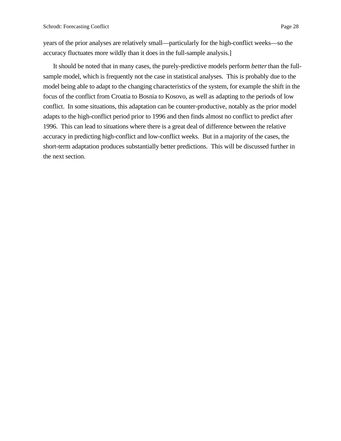years of the prior analyses are relatively small—particularly for the high-conflict weeks—so the accuracy fluctuates more wildly than it does in the full-sample analysis.]

It should be noted that in many cases, the purely-predictive models perform *better* than the fullsample model, which is frequently not the case in statistical analyses. This is probably due to the model being able to adapt to the changing characteristics of the system, for example the shift in the focus of the conflict from Croatia to Bosnia to Kosovo, as well as adapting to the periods of low conflict. In some situations, this adaptation can be counter-productive, notably as the prior model adapts to the high-conflict period prior to 1996 and then finds almost no conflict to predict after 1996. This can lead to situations where there is a great deal of difference between the relative accuracy in predicting high-conflict and low-conflict weeks. But in a majority of the cases, the short-term adaptation produces substantially better predictions. This will be discussed further in the next section.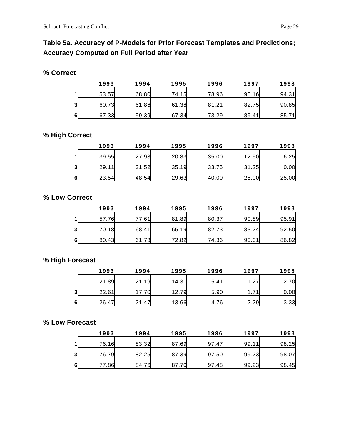# **Table 5a. Accuracy of P-Models for Prior Forecast Templates and Predictions; Accuracy Computed on Full Period after Year**

#### **% Correct**

|                | 1993  | 1994  | 1995  | 1996  | 1997  | 1998  |
|----------------|-------|-------|-------|-------|-------|-------|
|                | 53.57 | 68.80 | 74.15 | 78.96 | 90.16 | 94.31 |
| 3 <sup>1</sup> | 60.73 | 61.86 | 61.38 | 81.21 | 82.75 | 90.85 |
| 6 <sup>1</sup> | 67.33 | 59.39 | 67.34 | 73.29 | 89.41 | 85.71 |

#### **% High Correct**

|   | 1993  | 1994  | 1995  | 1996  | 1997  | 1998  |
|---|-------|-------|-------|-------|-------|-------|
|   | 39.55 | 27.93 | 20.83 | 35.00 | 12.50 | 6.25  |
| 3 | 29.11 | 31.52 | 35.19 | 33.75 | 31.25 | 0.00  |
| 6 | 23.54 | 48.54 | 29.63 | 40.00 | 25.00 | 25.00 |

#### **% Low Correct**

|                | 1993  | 1994  | 1995  | 1996  | 1997  | 1998  |
|----------------|-------|-------|-------|-------|-------|-------|
|                | 57.76 | 77.61 | 81.89 | 80.37 | 90.89 | 95.91 |
| $\mathbf{3}$   | 70.18 | 68.41 | 65.19 | 82.73 | 83.24 | 92.50 |
| 6 <sup>1</sup> | 80.43 | 61.73 | 72.82 | 74.36 | 90.01 | 86.82 |

#### **% High Forecast**

|   | 1993  | 1994  | 1995  | 1996 | 1997 | 1998 |
|---|-------|-------|-------|------|------|------|
|   | 21.89 | 21.19 | 14.31 | 5.41 | 1.27 | 2.70 |
| 3 | 22.61 | 17.70 | 12.79 | 5.90 | 1.71 | 0.00 |
| 6 | 26.47 | 21.47 | 13.66 | 4.76 | 2.29 | 3.33 |

|                | 1993  | 1994  | 1995  | 1996  | 1997  | 1998  |
|----------------|-------|-------|-------|-------|-------|-------|
|                | 76.16 | 83.32 | 87.69 | 97.47 | 99.11 | 98.25 |
| 3 <sub>l</sub> | 76.79 | 82.25 | 87.39 | 97.50 | 99.23 | 98.07 |
| 6              | 77.86 | 84.76 | 87.70 | 97.48 | 99.23 | 98.45 |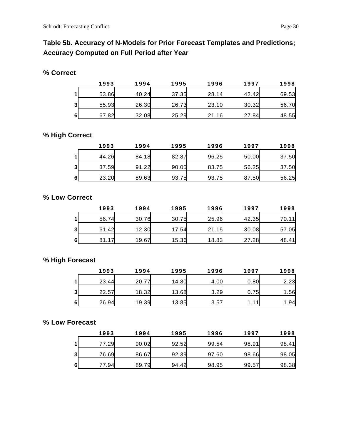# **Table 5b. Accuracy of N-Models for Prior Forecast Templates and Predictions; Accuracy Computed on Full Period after Year**

#### **% Correct**

|                | 1993  | 1994  | 1995  | 1996       | 1997  | 1998  |
|----------------|-------|-------|-------|------------|-------|-------|
|                | 53.86 | 40.24 | 37.35 | 28.14      | 42.42 | 69.53 |
| 3 <sup>1</sup> | 55.93 | 26.30 | 26.73 | 23.10      | 30.32 | 56.70 |
| 6 <sup>1</sup> | 67.82 | 32.08 | 25.29 | .16<br>21. | 27.84 | 48.55 |

#### **% High Correct**

|   | 1993  | 1994  | 1995  | 1996  | 1997  | 1998  |
|---|-------|-------|-------|-------|-------|-------|
|   | 44.26 | 84.18 | 82.87 | 96.25 | 50.00 | 37.50 |
| 3 | 37.59 | 91.22 | 90.05 | 83.75 | 56.25 | 37.50 |
| 6 | 23.20 | 89.63 | 93.75 | 93.75 | 87.50 | 56.25 |

#### **% Low Correct**

|                | 1993  | 1994  | 1995  | 1996  | 1997  | 1998  |
|----------------|-------|-------|-------|-------|-------|-------|
|                | 56.74 | 30.76 | 30.75 | 25.96 | 42.35 | 70.11 |
| $\mathbf{3}$   | 61.42 | 12.30 | 17.54 | 21.15 | 30.08 | 57.05 |
| 6 <sup>1</sup> | 81.17 | 19.67 | 15.36 | 18.83 | 27.28 | 48.41 |

#### **% High Forecast**

|   | 1993  | 1994  | 1995  | 1996 | 1997     | 1998 |
|---|-------|-------|-------|------|----------|------|
|   | 23.44 | 20.77 | 14.80 | 4.00 | 0.80     | 2.23 |
| 3 | 22.57 | 18.32 | 13.68 | 3.29 | 0.75     | 1.56 |
| 6 | 26.94 | 19.39 | 13.85 | 3.57 | 11<br>-1 | 1.94 |

|   | 1993  | 1994  | 1995  | 1996  | 1997  | 1998  |
|---|-------|-------|-------|-------|-------|-------|
|   | 77.29 | 90.02 | 92.52 | 99.54 | 98.91 | 98.41 |
| 3 | 76.69 | 86.67 | 92.39 | 97.60 | 98.66 | 98.05 |
| 6 | 77.94 | 89.79 | 94.42 | 98.95 | 99.57 | 98.38 |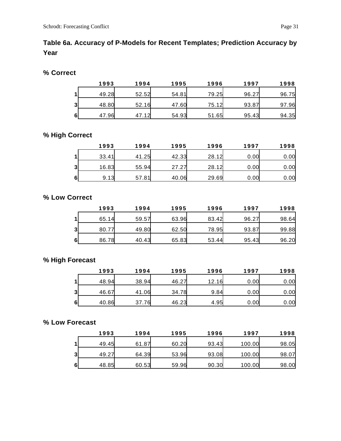## **Table 6a. Accuracy of P-Models for Recent Templates; Prediction Accuracy by Year**

#### **% Correct**

|                | 1993  | 1994  | 1995  | 1996  | 1997  | 1998  |
|----------------|-------|-------|-------|-------|-------|-------|
| 4              | 49.28 | 52.52 | 54.81 | 79.25 | 96.27 | 96.75 |
| 3              | 48.80 | 52.16 | 47.60 | 75.12 | 93.87 | 97.96 |
| 6 <sub>l</sub> | 47.96 | 47.12 | 54.93 | 51.65 | 95.43 | 94.35 |

#### **% High Correct**

|   | 1993  | 1994  | 1995  | 1996  | 1997 | 1998 |
|---|-------|-------|-------|-------|------|------|
|   | 33.41 | 41.25 | 42.33 | 28.12 | 0.00 | 0.00 |
| 3 | 16.83 | 55.94 | 27.27 | 28.12 | 0.00 | 0.00 |
| 6 | 9.13  | 57.81 | 40.06 | 29.69 | 0.00 | 0.00 |

## **% Low Correct**

|                | 1993  | 1994  | 1995  | 1996  | 1997  | 1998  |
|----------------|-------|-------|-------|-------|-------|-------|
|                | 65.14 | 59.57 | 63.96 | 83.42 | 96.27 | 98.64 |
| 3 <sup>1</sup> | 80.77 | 49.80 | 62.50 | 78.95 | 93.87 | 99.88 |
| 6 <sup>1</sup> | 86.78 | 40.43 | 65.83 | 53.44 | 95.43 | 96.20 |

#### **% High Forecast**

|   | 1993  | 1994  | 1995  | 1996  | 1997 | 1998 |
|---|-------|-------|-------|-------|------|------|
|   | 48.94 | 38.94 | 46.27 | 12.16 | 0.00 | 0.00 |
| 3 | 46.67 | 41.06 | 34.78 | 9.84  | 0.00 | 0.00 |
| 6 | 40.86 | 37.76 | 46.23 | 4.95  | 0.00 | 0.00 |

|   | 1993  | 1994  | 1995  | 1996  | 1997   | 1998  |
|---|-------|-------|-------|-------|--------|-------|
|   | 49.45 | 61.87 | 60.20 | 93.43 | 100.00 | 98.05 |
| 3 | 49.27 | 64.39 | 53.96 | 93.08 | 100.00 | 98.07 |
| 6 | 48.85 | 60.53 | 59.96 | 90.30 | 100.00 | 98.00 |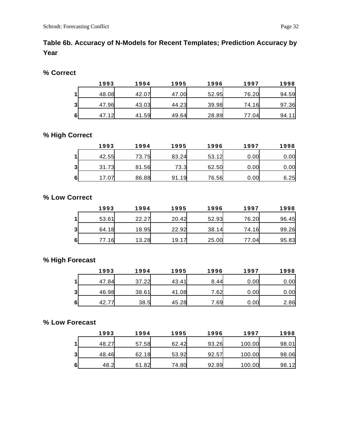## **Table 6b. Accuracy of N-Models for Recent Templates; Prediction Accuracy by Year**

#### **% Correct**

|                         | 1993  | 1994  | 1995  | 1996  | 1997  | 1998  |
|-------------------------|-------|-------|-------|-------|-------|-------|
| $\ddot{\mathbf{1}}$     | 48.08 | 42.07 | 47.00 | 52.95 | 76.20 | 94.59 |
| $\overline{\mathbf{3}}$ | 47.96 | 43.03 | 44.23 | 39.98 | 74.16 | 97.36 |
| 6 <sup>1</sup>          | 47.12 | 41.59 | 49.64 | 28.89 | 77.04 | 94.11 |

#### **% High Correct**

|                | 1993  | 1994  | 1995       | 1996  | 1997 | 1998 |
|----------------|-------|-------|------------|-------|------|------|
|                | 42.55 | 73.75 | 83.24      | 53.12 | 0.00 | 0.00 |
| 3 <sub>l</sub> | 31.73 | 81.56 | 73.3       | 62.50 | 0.00 | 0.00 |
| 6              | 17.07 | 86.88 | .19<br>91. | 76.56 | 0.00 | 6.25 |

## **% Low Correct**

|   | 1993   | 1994  | 1995  | 1996  | 1997  | 1998  |
|---|--------|-------|-------|-------|-------|-------|
|   | 53.61  | 22.27 | 20.42 | 52.93 | 76.20 | 96.45 |
| 3 | 64.18  | 18.95 | 22.92 | 38.14 | 74.16 | 99.26 |
| 6 | 77 16I | 13.28 | 19.17 | 25.00 | 77.04 | 95.83 |

#### **% High Forecast**

|   | 1993  | 1994  | 1995  | 1996 | 1997 | 1998 |
|---|-------|-------|-------|------|------|------|
|   | 47.84 | 37.22 | 43.41 | 8.44 | 0.00 | 0.00 |
| 3 | 46.98 | 38.61 | 41.08 | 7.62 | 0.00 | 0.00 |
| 6 | 42.77 | 38.5  | 45.28 | 7.69 | 0.00 | 2.86 |

|   | 1993  | 1994  | 1995  | 1996  | 1997   | 1998  |
|---|-------|-------|-------|-------|--------|-------|
|   | 48.27 | 57.58 | 62.42 | 93.26 | 100.00 | 98.01 |
| 3 | 48.46 | 62.18 | 53.92 | 92.57 | 100.00 | 98.06 |
| 6 | 48.2  | 61.82 | 74.80 | 92.89 | 100.00 | 98.12 |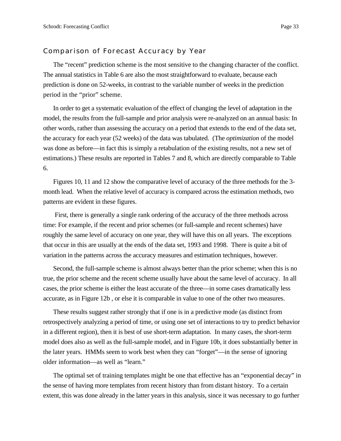#### Comparison of Forecast Accuracy by Year

The "recent" prediction scheme is the most sensitive to the changing character of the conflict. The annual statistics in Table 6 are also the most straightforward to evaluate, because each prediction is done on 52-weeks, in contrast to the variable number of weeks in the prediction period in the "prior" scheme.

In order to get a systematic evaluation of the effect of changing the level of adaptation in the model, the results from the full-sample and prior analysis were re-analyzed on an annual basis: In other words, rather than assessing the accuracy on a period that extends to the end of the data set, the accuracy for each year (52 weeks) of the data was tabulated. (The *optimization* of the model was done as before—in fact this is simply a retabulation of the existing results, not a new set of estimations.) These results are reported in Tables 7 and 8, which are directly comparable to Table 6.

Figures 10, 11 and 12 show the comparative level of accuracy of the three methods for the 3 month lead. When the relative level of accuracy is compared across the estimation methods, two patterns are evident in these figures.

 First, there is generally a single rank ordering of the accuracy of the three methods across time: For example, if the recent and prior schemes (or full-sample and recent schemes) have roughly the same level of accuracy on one year, they will have this on all years. The exceptions that occur in this are usually at the ends of the data set, 1993 and 1998. There is quite a bit of variation in the patterns across the accuracy measures and estimation techniques, however.

Second, the full-sample scheme is almost always better than the prior scheme; when this is no true, the prior scheme and the recent scheme usually have about the same level of accuracy. In all cases, the prior scheme is either the least accurate of the three—in some cases dramatically less accurate, as in Figure 12b , or else it is comparable in value to one of the other two measures.

These results suggest rather strongly that if one is in a predictive mode (as distinct from retrospectively analyzing a period of time, or using one set of interactions to try to predict behavior in a different region), then it is best of use short-term adaptation. In many cases, the short-term model does also as well as the full-sample model, and in Figure 10b, it does substantially better in the later years. HMMs seem to work best when they can "forget"—in the sense of ignoring older information—as well as "learn."

The optimal set of training templates might be one that effective has an "exponential decay" in the sense of having more templates from recent history than from distant history. To a certain extent, this was done already in the latter years in this analysis, since it was necessary to go further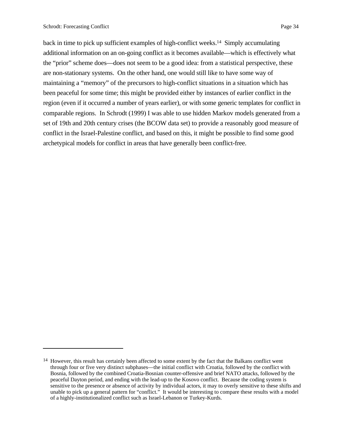l

back in time to pick up sufficient examples of high-conflict weeks.14 Simply accumulating additional information on an on-going conflict as it becomes available—which is effectively what the "prior" scheme does—does not seem to be a good idea: from a statistical perspective, these are non-stationary systems. On the other hand, one would still like to have some way of maintaining a "memory" of the precursors to high-conflict situations in a situation which has been peaceful for some time; this might be provided either by instances of earlier conflict in the region (even if it occurred a number of years earlier), or with some generic templates for conflict in comparable regions. In Schrodt (1999) I was able to use hidden Markov models generated from a set of 19th and 20th century crises (the BCOW data set) to provide a reasonably good measure of conflict in the Israel-Palestine conflict, and based on this, it might be possible to find some good archetypical models for conflict in areas that have generally been conflict-free.

<sup>&</sup>lt;sup>14</sup> However, this result has certainly been affected to some extent by the fact that the Balkans conflict went through four or five very distinct subphases—the initial conflict with Croatia, followed by the conflict with Bosnia, followed by the combined Croatia-Bosnian counter-offensive and brief NATO attacks, followed by the peaceful Dayton period, and ending with the lead-up to the Kosovo conflict. Because the coding system is sensitive to the presence or absence of activity by individual actors, it may to overly sensitive to these shifts and unable to pick up a general pattern for "conflict." It would be interesting to compare these results with a model of a highly-institutionalized conflict such as Israel-Lebanon or Turkey-Kurds.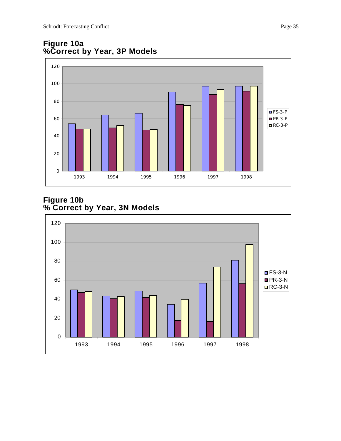## **Figure 10a %Correct by Year, 3P Models**



### **Figure 10b % Correct by Year, 3N Models**

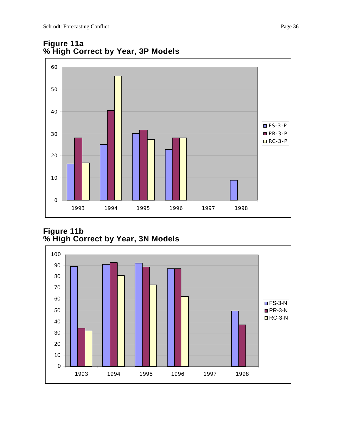

## **Figure 11a % High Correct by Year, 3P Models**

**Figure 11b % High Correct by Year, 3N Models**

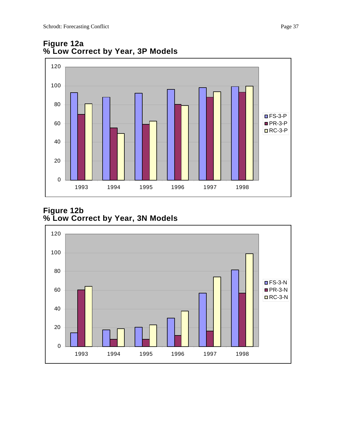



### **Figure 12b % Low Correct by Year, 3N Models**

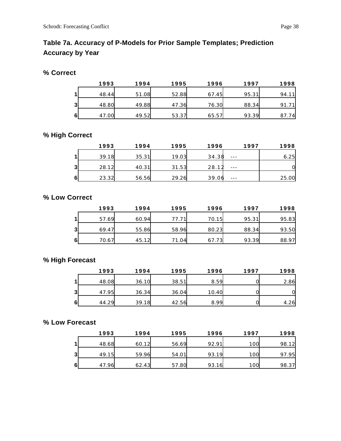# **Table 7a. Accuracy of P-Models for Prior Sample Templates; Prediction Accuracy by Year**

### **% Correct**

|    | 1993  | 1994  | 1995  | 1996  | 1997  | 1998  |
|----|-------|-------|-------|-------|-------|-------|
| 11 | 48.44 | 51.08 | 52.88 | 67.45 | 95.31 | 94.11 |
| 3  | 48.80 | 49.88 | 47.36 | 76.30 | 88.34 | 91.71 |
| 6  | 47.00 | 49.52 | 53.37 | 65.57 | 93.39 | 87.74 |

### **% High Correct**

|   | 1993  | 1994  | 1995  | 1996  | 1997 | 1998  |
|---|-------|-------|-------|-------|------|-------|
|   | 39.18 | 35.31 | 19.03 | 34.38 | ---  | 6.25  |
| າ | 28.12 | 40.31 | 31.53 | 28.1  | ---  |       |
| 6 | 23.32 | 56.56 | 29.26 | 39.06 | ---  | 25.00 |

### **% Low Correct**

|   | 1993  | 1994  | 1995  | 1996  | 1997  | 1998  |
|---|-------|-------|-------|-------|-------|-------|
|   | 57.69 | 60.94 | 77.71 | 70.15 | 95.31 | 95.83 |
| 3 | 69.47 | 55.86 | 58.96 | 80.23 | 88.34 | 93.50 |
| 6 | 70.67 | 45.12 | 71.04 | 67.73 | 93.39 | 88.97 |

### **% High Forecast**

|   | 1993  | 1994  | 1995  | 1996  | 1997 | 1998 |
|---|-------|-------|-------|-------|------|------|
|   | 48.08 | 36.10 | 38.51 | 8.59  |      | 2.86 |
| 3 | 47.95 | 36.34 | 36.04 | 10.40 |      |      |
| 6 | 44.29 | 39.18 | 42.56 | 8.99  |      | 4.26 |

|   | 1993  | 1994  | 1995  | 1996  | 1997 | 1998  |
|---|-------|-------|-------|-------|------|-------|
|   | 48.68 | 60.12 | 56.69 | 92.91 | 100  | 98.12 |
| 3 | 49.15 | 59.96 | 54.01 | 93.19 | 100  | 97.95 |
| 6 | 47.96 | 62.43 | 57.80 | 93.16 | 100  | 98.37 |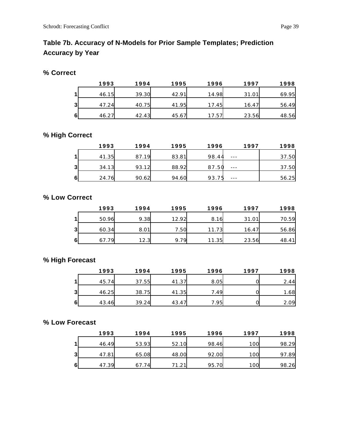# **Table 7b. Accuracy of N-Models for Prior Sample Templates; Prediction Accuracy by Year**

### **% Correct**

|   | 1993  | 1994  | 1995  | 1996  | 1997  | 1998  |
|---|-------|-------|-------|-------|-------|-------|
| 1 | 46.15 | 39.30 | 42.91 | 14.98 | 31.01 | 69.95 |
| 3 | 47.24 | 40.75 | 41.95 | 17.45 | 16.47 | 56.49 |
| 6 | 46.27 | 42.43 | 45.67 | 17.57 | 23.56 | 48.56 |

### **% High Correct**

|   | 1993  | 1994  | 1995  | 1996  | 1997    | 1998  |
|---|-------|-------|-------|-------|---------|-------|
|   | 41.35 | 87.19 | 83.81 | 98.44 | $- - -$ | 37.50 |
| 3 | 34.13 | 93.12 | 88.92 | 87.50 | $- - -$ | 37.50 |
| 6 | 24.76 | 90.62 | 94.60 | 93.75 | $- - -$ | 56.25 |

### **% Low Correct**

|                | 1993  | 1994 | 1995  | 1996  | 1997  | 1998  |
|----------------|-------|------|-------|-------|-------|-------|
|                | 50.96 | 9.38 | 12.92 | 8.16  | 31.01 | 70.59 |
| $\mathbf{3}$   | 60.34 | 8.01 | 7.50  | 11.73 | 16.47 | 56.86 |
| 6 <sup>1</sup> | 67.79 | 12.3 | 979   | 11.35 | 23.56 | 48.41 |

### **% High Forecast**

|   | 1993  | 1994  | 1995  | 1996 | 1997 | 1998 |
|---|-------|-------|-------|------|------|------|
|   | 45.74 | 37.55 | 41.37 | 8.05 |      | 2.44 |
| 3 | 46.25 | 38.75 | 41.35 | 7.49 |      | 1.68 |
| 6 | 43.46 | 39.24 | 43.47 | 7.95 |      | 2.09 |

|   | 1993  | 1994  | 1995  | 1996  | 1997 | 1998  |
|---|-------|-------|-------|-------|------|-------|
|   | 46.49 | 53.93 | 52.10 | 98.46 | 100  | 98.29 |
| 3 | 47.81 | 65.08 | 48.00 | 92.00 | 100  | 97.89 |
| 6 | 47.39 | 67.74 | 71.21 | 95.70 | 100  | 98.26 |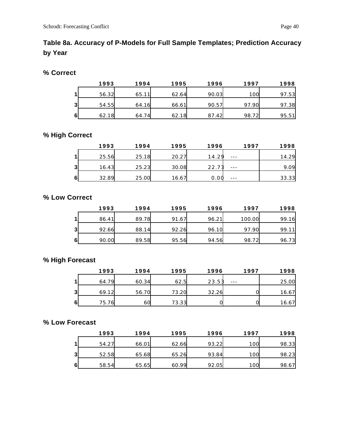# **Table 8a. Accuracy of P-Models for Full Sample Templates; Prediction Accuracy by Year**

### **% Correct**

|                | 1993  | 1994  | 1995  | 1996  | 1997  | 1998  |
|----------------|-------|-------|-------|-------|-------|-------|
| 4              | 56.32 | 65.11 | 62.64 | 90.03 | 100   | 97.53 |
| 3              | 54.55 | 64.16 | 66.61 | 90.57 | 97.90 | 97.38 |
| 6 <sup>1</sup> | 62.18 | 64.74 | 62.18 | 87.42 | 98.72 | 95.51 |

### **% High Correct**

|   | 1993  | 1994  | 1995  | 1996  | 1997    | 1998  |
|---|-------|-------|-------|-------|---------|-------|
|   | 25.56 | 25.18 | 20.27 | 14.29 | $- - -$ | 14.29 |
| າ | 16.43 | 25.23 | 30.08 | 22.73 | ---     | 9.09  |
| 6 | 32.89 | 25.00 | 16.67 | 0.00  | ---     | 33.33 |

### **% Low Correct**

|   | 1993  | 1994  | 1995  | 1996  | 1997   | 1998  |
|---|-------|-------|-------|-------|--------|-------|
| 4 | 86.41 | 89.78 | 91.67 | 96.21 | 100.00 | 99.16 |
| 3 | 92.66 | 88.14 | 92.26 | 96.10 | 97.90  | 99.11 |
| 6 | 90.00 | 89.58 | 95.56 | 94.56 | 98.72  | 96.73 |

### **% High Forecast**

|   | 1993  | 1994  | 1995  | 1996  | 1997 | 1998  |
|---|-------|-------|-------|-------|------|-------|
|   | 64.79 | 60.34 | 62.5  | 23.53 | ---  | 25.00 |
| 3 | 69.12 | 56.70 | 73.20 | 32.26 |      | 16.67 |
| 6 | 75.76 | 60    | 73.33 |       |      | 16.67 |

|   | 1993  | 1994  | 1995  | 1996  | 1997 | 1998  |
|---|-------|-------|-------|-------|------|-------|
|   | 54.27 | 66.01 | 62.66 | 93.22 | 100  | 98.33 |
| 3 | 52.58 | 65.68 | 65.26 | 93.84 | 100  | 98.23 |
| 6 | 58.54 | 65.65 | 60.99 | 92.05 | 100  | 98.67 |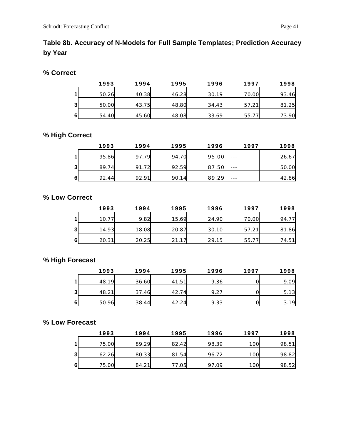## **Table 8b. Accuracy of N-Models for Full Sample Templates; Prediction Accuracy by Year**

### **% Correct**

|                | 1993  | 1994  | 1995  | 1996  | 1997  | 1998  |
|----------------|-------|-------|-------|-------|-------|-------|
|                | 50.26 | 40.38 | 46.28 | 30.19 | 70.00 | 93.46 |
| 3 <sup>1</sup> | 50.00 | 43.75 | 48.80 | 34.43 | 57.21 | 81.25 |
| 6 <sup>1</sup> | 54.40 | 45.60 | 48.08 | 33.69 | 55.77 | 73.90 |

### **% High Correct**

|                   | 1993  | 1994  | 1995  | 1996  | 1997    | 1998  |
|-------------------|-------|-------|-------|-------|---------|-------|
|                   | 95.86 | 97.79 | 94.70 | 95.00 | $- - -$ | 26.67 |
| $\mathbf{\Omega}$ | 89.74 | 91.72 | 92.59 | 87.50 | $- - -$ | 50.00 |
| 6                 | 92.44 | 92.91 | 90.14 | 89.29 | $- - -$ | 42.86 |

### **% Low Correct**

|   | 1993  | 1994  | 1995  | 1996  | 1997  | 1998  |
|---|-------|-------|-------|-------|-------|-------|
| 4 | 10.77 | 9.82  | 15.69 | 24.90 | 70.00 | 94.77 |
| 3 | 14.93 | 18.08 | 20.87 | 30.10 | 57.21 | 81.86 |
| 6 | 20.31 | 20.25 | 21 17 | 29.15 | 55.77 | 74.51 |

### **% High Forecast**

|   | 1993  | 1994  | 1995  | 1996 | 1997 | 1998 |
|---|-------|-------|-------|------|------|------|
|   | 48.19 | 36.60 | 41.51 | 9.36 |      | 9.09 |
| 3 | 48.21 | 37.46 | 42.74 | 9.27 |      | 5.13 |
| 6 | 50.96 | 38.44 | 42.24 | 9.33 |      | 3.19 |

|   | 1993  | 1994  | 1995  | 1996  | 1997 | 1998  |
|---|-------|-------|-------|-------|------|-------|
|   | 75.00 | 89.29 | 82.42 | 98.39 | 100  | 98.51 |
| 3 | 62.26 | 80.33 | 81.54 | 96.72 | 100  | 98.82 |
| 6 | 75.00 | 84.21 | 77.05 | 97.09 | 100  | 98.52 |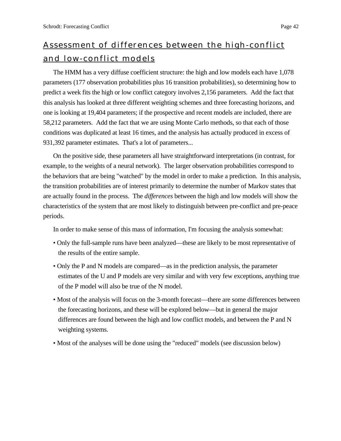# Assessment of differences between the high-conflict and low-conflict models

The HMM has a very diffuse coefficient structure: the high and low models each have 1,078 parameters (177 observation probabilities plus 16 transition probabilities), so determining how to predict a week fits the high or low conflict category involves 2,156 parameters. Add the fact that this analysis has looked at three different weighting schemes and three forecasting horizons, and one is looking at 19,404 parameters; if the prospective and recent models are included, there are 58,212 parameters. Add the fact that we are using Monte Carlo methods, so that each of those conditions was duplicated at least 16 times, and the analysis has actually produced in excess of 931,392 parameter estimates. That's a lot of parameters...

On the positive side, these parameters all have straightforward interpretations (in contrast, for example, to the weights of a neural network). The larger observation probabilities correspond to the behaviors that are being "watched" by the model in order to make a prediction. In this analysis, the transition probabilities are of interest primarily to determine the number of Markov states that are actually found in the process. The *differences* between the high and low models will show the characteristics of the system that are most likely to distinguish between pre-conflict and pre-peace periods.

In order to make sense of this mass of information, I'm focusing the analysis somewhat:

- Only the full-sample runs have been analyzed—these are likely to be most representative of the results of the entire sample.
- Only the P and N models are compared—as in the prediction analysis, the parameter estimates of the U and P models are very similar and with very few exceptions, anything true of the P model will also be true of the N model.
- Most of the analysis will focus on the 3-month forecast—there are some differences between the forecasting horizons, and these will be explored below—but in general the major differences are found between the high and low conflict models, and between the P and N weighting systems.
- Most of the analyses will be done using the "reduced" models (see discussion below)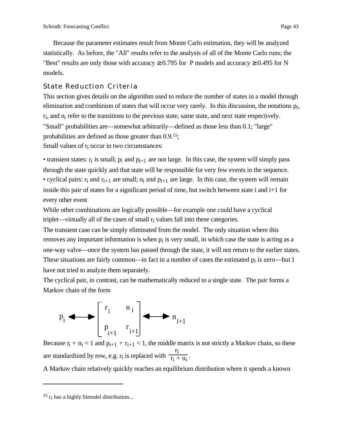Because the parameter estimates result from Monte Carlo estimation, they will be analyzed statistically. As before, the "All" results refer to the analysis of all of the Monte Carlo runs; the "Best" results are only those with accuracy 0.795 for P models and accuracy 0.495 for N models.

### State Reduction Criteria

This section gives details on the algorithm used to reduce the number of states in a model through elimination and combinion of states that will occur very rarely. In this discussion, the notations  $p_i$ ,  $r_i$ , and  $n_i$  refer to the transitions to the previous state, same state, and next state respectively. "Small" probabilities are—somewhat arbitrarily—defined as those less than 0.1; "large" probabilities are defined as those greater than 0.9.15; Small values of  $r_i$  occur in two circumstances:

• transient states:  $r_i$  is small;  $p_i$  and  $p_{i+1}$  are not large. In this case, the system will simply pass through the state quickly and that state will be responsible for very few events in the sequence. • cyclical pairs:  $r_i$  and  $r_{i+1}$  are small;  $n_i$  and  $p_{i+1}$  are large. In this case, the system will remain inside this pair of states for a significant period of time, but switch between state i and i+1 for every other event

While other combinations are logically possible—for example one could have a cyclical triplet—virtually all of the cases of small  $r_i$  values fall into these categories.

The transient case can be simply eliminated from the model. The only situation where this removes any important information is when  $p_i$  is very small, in which case the state is acting as a one-way valve—once the system has passed through the state, it will not return to the earlier states. These situations are fairly common—in fact in a number of cases the estimated  $p_i$  is zero—but I have not tried to analyze them separately.

The cyclical pair, in contrast, can be mathematically reduced to a single state. The pair forms a Markov chain of the form



Because  $r_i + n_i < 1$  and  $p_{i+1} + r_{i+1} < 1$ , the middle matrix is not strictly a Markov chain, so these are standardized by row, e.g.  $r_i$  is replaced with ri  $\frac{1}{r_i + n_i}$ .

A Markov chain relatively quickly reaches an equilibrium distribution where it spends a known

l

<sup>&</sup>lt;sup>15</sup>  $r_i$  has a highly bimodel distribution...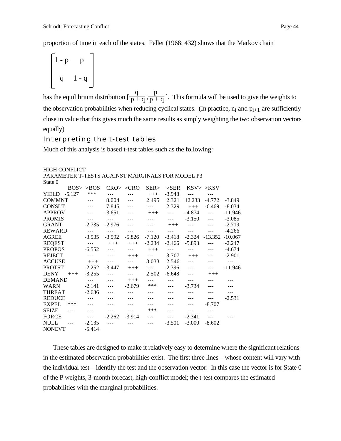proportion of time in each of the states. Feller (1968: 432) shows that the Markov chain

$$
\begin{bmatrix} 1-p & p \\ q & 1-q \end{bmatrix}
$$

has the equilibrium distribution [ q  $\frac{q}{p+q}$ , p  $\frac{p}{p+q}$ ]. This formula will be used to give the weights to the observation probabilities when reducing cyclical states. (In practice,  $n_i$  and  $p_{i+1}$  are sufficiently close in value that this gives much the same results as simply weighting the two observation vectors equally)

### Interpreting the t-test tables

Much of this analysis is based t-test tables such as the following:

HIGH CONFLICT PARAMETER T-TESTS AGAINST MARGINALS FOR MODEL P3 State 0 BOS> >BOS CRO> >CRO SER> >SER KSV> >KSV  $YIELD -5.127$  \*\*\* --- --- +++ -3.948 --- ---COMMNT --- 8.004 --- 2.495 2.321 12.233 -4.772 -3.849 CONSLT --- 7.845 --- --- 2.329 +++ -6.469 -8.034 APPROV --- -3.651 --- +++ --- -4.874 --- -11.946 PROMIS --- --- --- --- --- --- -3.150 --- -3.085 GRANT -2.735 -2.976 --- --- +++ --- --- -2.719 REWARD --- --- --- --- --- --- --- --- -4.266 AGREE -3.535 -3.592 -5.826 -7.120 -3.418 -2.324 -13.352 -10.067 REQEST --- +++ +++ -2.234 -2.466 -5.893 --- -2.247 PROPOS -6.552 --- --- +++ --- --- --- -4.674 REJECT --- --- +++ --- 3.707 +++ --- -2.901 ACCUSE +++ --- --- 3.033 2.546 --- --- --- PROTST -2.252 -3.447 +++ --- -2.396 --- --- -11.946 DENY +++ -3.255 --- --- 2.502 -6.648 --- +++  $DEMAND$  --- --- +++ --- --- --- --- --- ---<br>WAPN 2 141 2 670 \*\*\* 3 734 WARN -2.141 --- -2.679 \*\*\* --- -3.734 --- ---THREAT -2.636 --- --- --- --- --- --- --- REDUCE --- --- --- --- --- --- --- --- --2.531 EXPEL \*\*\* --- --- --- --- --- --- --- -8.707<br>SEIZE --- --- --- --- \*\*\* --- --- ---SEIZE --- --- --- --- \*\*\* --- --- --- FORCE --- -2.262 -3.914 --- --- -2.341 ---NULL --- -2.135 --- --- --- -3.501 -3.000 -8.602 NONEVT -5.414

These tables are designed to make it relatively easy to determine where the significant relations in the estimated observation probabilities exist. The first three lines—whose content will vary with the individual test—identify the test and the observation vector: In this case the vector is for State 0 of the P weights, 3-month forecast, high-conflict model; the t-test compares the estimated probabilities with the marginal probabilities.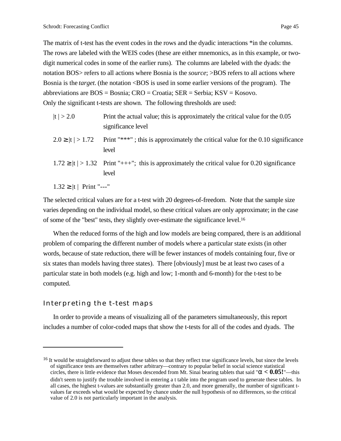The matrix of t-test has the event codes in the rows and the dyadic interactions \*in the columns. The rows are labeled with the WEIS codes (these are either mnemonics, as in this example, or twodigit numerical codes in some of the earlier runs). The columns are labeled with the dyads: the notation BOS> refers to all actions where Bosnia is the *source*; >BOS refers to all actions where Bosnia is the *target.* (the notation <BOS is used in some earlier versions of the program). The abbreviations are BOS = Bosnia; CRO = Croatia; SER = Serbia; KSV = Kosovo. Only the significant t-tests are shown. The following thresholds are used:

| t  > 2.0 |                       | Print the actual value; this is approximately the critical value for the 0.05<br>significance level       |
|----------|-----------------------|-----------------------------------------------------------------------------------------------------------|
|          |                       | 2.0 $ t  > 1.72$ Print "***"; this is approximately the critical value for the 0.10 significance<br>level |
|          |                       | 1.72 $ t  > 1.32$ Print "+++"; this is approximately the critical value for 0.20 significance<br>level    |
|          | 1.32  t   Print "---" |                                                                                                           |

The selected critical values are for a t-test with 20 degrees-of-freedom. Note that the sample size varies depending on the individual model, so these critical values are only approximate; in the case of some of the "best" tests, they slightly over-estimate the significance level.<sup>16</sup>

When the reduced forms of the high and low models are being compared, there is an additional problem of comparing the different number of models where a particular state exists (in other words, because of state reduction, there will be fewer instances of models containing four, five or six states than models having three states). There [obviously] must be at least two cases of a particular state in both models (e.g. high and low; 1-month and 6-month) for the t-test to be computed.

### Interpreting the t-test maps

l

In order to provide a means of visualizing all of the parameters simultaneously, this report includes a number of color-coded maps that show the t-tests for all of the codes and dyads. The

<sup>&</sup>lt;sup>16</sup> It would be straightforward to adjust these tables so that they reflect true significance levels, but since the levels of significance tests are themselves rather arbitrary—contrary to popular belief in social science statistical circles, there is little evidence that Moses descended from Mt. Sinai bearing tablets that said  $\sim 0.05!$ <sup>"</sup>—this didn't seem to justify the trouble involved in entering a t table into the program used to generate these tables. In all cases, the highest t-values are substantially greater than 2.0, and more generally, the number of significant tvalues far exceeds what would be expected by chance under the null hypothesis of no differences, so the critical value of 2.0 is not particularly important in the analysis.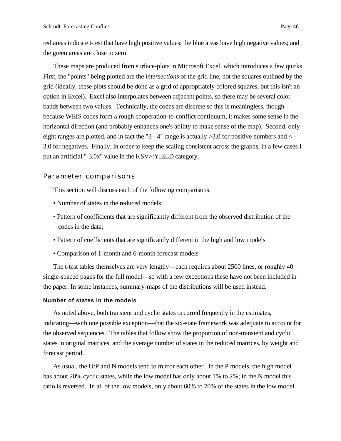red areas indicate t-test that have high positive values; the blue areas have high negative values; and the green areas are close to zero.

These maps are produced from surface-plots in Microsoft Excel, which introduces a few quirks. First, the "points" being plotted are the *intersections* of the grid line, not the squares outlined by the grid (ideally, these plots should be done as a grid of appropriately colored squares, but this isn't an option in Excel). Excel also interpolates between adjacent points, so there may be several color bands between two values. Technically, the codes are discrete so this is meaningless, though because WEIS codes form a rough cooperation-to-conflict continuum, it makes some sense in the horizontal direction (and probably enhances one's ability to make sense of the map). Second, only eight ranges are plotted, and in fact the "3 - 4" range is actually >3.0 for positive numbers and < - 3.0 for negatives. Finally, in order to keep the scaling consistent across the graphs, in a few cases I put an artificial "-3.0x" value in the KSV>:YIELD category.

### Parameter comparisons

This section will discuss each of the following comparisons.

- Number of states in the reduced models;
- Pattern of coefficients that are significantly different from the observed distribution of the codes in the data;
- Pattern of coefficients that are significantly different in the high and low models
- Comparison of 1-month and 6-month forecast models

The t-test tables themselves are very lengthy—each requires about 2500 lines, or roughly 40 single-spaced pages for the full model—so with a few exceptions these have not been included in the paper. In some instances, summary-maps of the distributions will be used instead.

#### **Number of states in the models**

As noted above, both transient and cyclic states occurred frequently in the estimates, indicating—with one possible exception—that the six-state framework was adequate to account for the observed sequences. The tables that follow show the proportion of non-transient and cyclic states in original matrices, and the average number of states in the reduced matrices, by weight and forecast period.

As usual, the U/P and N models tend to mirror each other. In the P models, the high model has about 20% cyclic states, while the low model has only about 1% to 2%; in the N model this ratio is reversed. In all of the low models, only about 60% to 70% of the states in the low model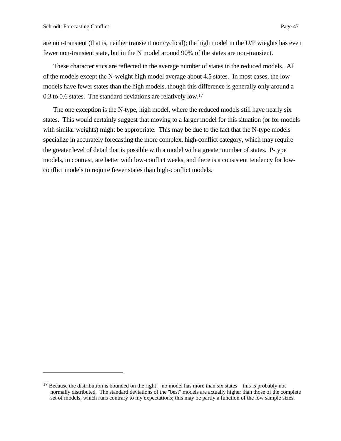l

are non-transient (that is, neither transient nor cyclical); the high model in the U/P wieghts has even fewer non-transient state, but in the N model around 90% of the states are non-transient.

These characteristics are reflected in the average number of states in the reduced models. All of the models except the N-weight high model average about 4.5 states. In most cases, the low models have fewer states than the high models, though this difference is generally only around a 0.3 to 0.6 states. The standard deviations are relatively low.<sup>17</sup>

The one exception is the N-type, high model, where the reduced models still have nearly six states. This would certainly suggest that moving to a larger model for this situation (or for models with similar weights) might be appropriate. This may be due to the fact that the N-type models specialize in accurately forecasting the more complex, high-conflict category, which may require the greater level of detail that is possible with a model with a greater number of states. P-type models, in contrast, are better with low-conflict weeks, and there is a consistent tendency for lowconflict models to require fewer states than high-conflict models.

<sup>&</sup>lt;sup>17</sup> Because the distribution is bounded on the right—no model has more than six states—this is probably not normally distributed. The standard deviations of the "best" models are actually higher than those of the complete set of models, which runs contrary to my expectations; this may be partly a function of the low sample sizes.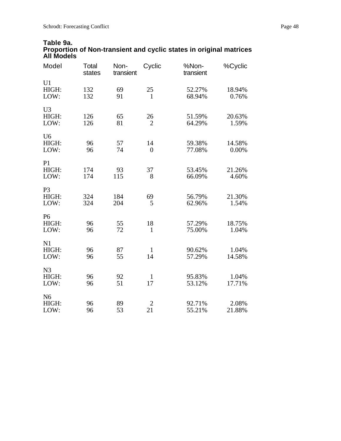| טוטשטווו                        |                 |                   |                      |                    |                 |
|---------------------------------|-----------------|-------------------|----------------------|--------------------|-----------------|
| Model                           | Total<br>states | Non-<br>transient | Cyclic               | %Non-<br>transient | %Cyclic         |
| U <sub>1</sub><br>HIGH:<br>LOW: | 132<br>132      | 69<br>91          | 25<br>1              | 52.27%<br>68.94%   | 18.94%<br>0.76% |
| U <sub>3</sub><br>HIGH:<br>LOW: | 126<br>126      | 65<br>81          | 26<br>$\overline{2}$ | 51.59%<br>64.29%   | 20.63%<br>1.59% |
| U <sub>6</sub><br>HIGH:<br>LOW: | 96<br>96        | 57<br>74          | 14<br>$\overline{0}$ | 59.38%<br>77.08%   | 14.58%<br>0.00% |
| P <sub>1</sub><br>HIGH:<br>LOW: | 174<br>174      | 93<br>115         | 37<br>8              | 53.45%<br>66.09%   | 21.26%<br>4.60% |
| P <sub>3</sub><br>HIGH:<br>LOW: | 324<br>324      | 184<br>204        | 69<br>5              | 56.79%<br>62.96%   | 21.30%<br>1.54% |
| P <sub>6</sub><br>HIGH:<br>LOW: | 96<br>96        | 55<br>72          | 18<br>$\mathbf{1}$   | 57.29%<br>75.00%   | 18.75%<br>1.04% |
| N1<br>HIGH:<br>LOW:             | 96<br>96        | 87<br>55          | $\mathbf{1}$<br>14   | 90.62%<br>57.29%   | 1.04%<br>14.58% |
| N <sub>3</sub><br>HIGH:<br>LOW: | 96<br>96        | 92<br>51          | $\mathbf{1}$<br>17   | 95.83%<br>53.12%   | 1.04%<br>17.71% |
| N <sub>6</sub><br>HIGH:<br>LOW: | 96<br>96        | 89<br>53          | $\overline{2}$<br>21 | 92.71%<br>55.21%   | 2.08%<br>21.88% |

### **Table 9a. Proportion of Non-transient and cyclic states in original matrices All Models**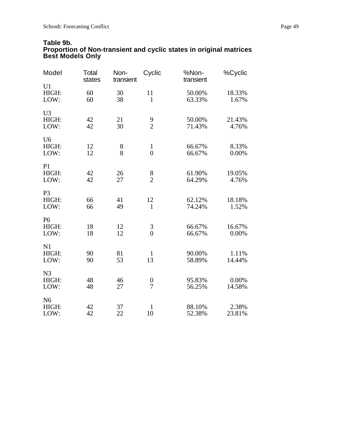| Model                           | <b>Total</b><br>states | Non-<br>transient | Cyclic                             | %Non-<br>transient | %Cyclic         |
|---------------------------------|------------------------|-------------------|------------------------------------|--------------------|-----------------|
| U1<br>HIGH:<br>LOW:             | 60<br>60               | 30<br>38          | 11<br>$\mathbf{1}$                 | 50.00%<br>63.33%   | 18.33%<br>1.67% |
| U <sub>3</sub><br>HIGH:<br>LOW: | 42<br>42               | 21<br>30          | $\frac{9}{2}$                      | 50.00%<br>71.43%   | 21.43%<br>4.76% |
| U <sub>6</sub><br>HIGH:<br>LOW: | 12<br>12               | $8\,$<br>8        | $\mathbf{1}$<br>$\overline{0}$     | 66.67%<br>66.67%   | 8.33%<br>0.00%  |
| P <sub>1</sub><br>HIGH:<br>LOW: | 42<br>42               | 26<br>27          | $\,8\,$<br>$\overline{2}$          | 61.90%<br>64.29%   | 19.05%<br>4.76% |
| P <sub>3</sub><br>HIGH:<br>LOW: | 66<br>66               | 41<br>49          | 12<br>$\mathbf{1}$                 | 62.12%<br>74.24%   | 18.18%<br>1.52% |
| P <sub>6</sub><br>HIGH:<br>LOW: | 18<br>18               | 12<br>12          | 3<br>$\overline{0}$                | 66.67%<br>66.67%   | 16.67%<br>0.00% |
| N1<br>HIGH:<br>LOW:             | 90<br>90               | 81<br>53          | $\mathbf{1}$<br>13                 | 90.00%<br>58.89%   | 1.11%<br>14.44% |
| N <sub>3</sub><br>HIGH:<br>LOW: | 48<br>48               | 46<br>27          | $\boldsymbol{0}$<br>$\overline{7}$ | 95.83%<br>56.25%   | 0.00%<br>14.58% |
| N <sub>6</sub><br>HIGH:<br>LOW: | 42<br>42               | 37<br>22          | $\mathbf{1}$<br>10                 | 88.10%<br>52.38%   | 2.38%<br>23.81% |

### **Table 9b. Proportion of Non-transient and cyclic states in original matrices Best Models Only**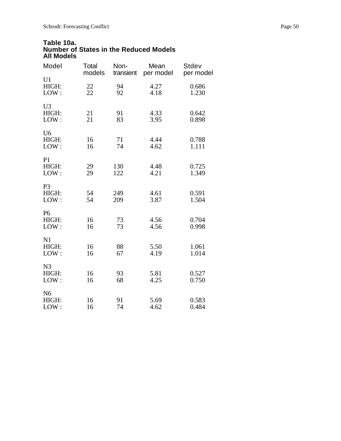| Table 10a.                                    |  |  |  |
|-----------------------------------------------|--|--|--|
| <b>Number of States in the Reduced Models</b> |  |  |  |
| <b>All Models</b>                             |  |  |  |

| Model                           | Total<br>models | Non-<br>transient | Mean<br>per model | Stdev<br>per model |
|---------------------------------|-----------------|-------------------|-------------------|--------------------|
| U1<br>HIGH:<br>LOW:             | 22<br>22        | 94<br>92          | 4.27<br>4.18      | 0.686<br>1.230     |
| U <sub>3</sub><br>HIGH:<br>LOW: | 21<br>21        | 91<br>83          | 4.33<br>3.95      | 0.642<br>0.898     |
| U <sub>6</sub><br>HIGH:<br>LOW: | 16<br>16        | 71<br>74          | 4.44<br>4.62      | 0.788<br>1.111     |
| P1<br>HIGH:<br>LOW:             | 29<br>29        | 130<br>122        | 4.48<br>4.21      | 0.725<br>1.349     |
| P <sub>3</sub><br>HIGH:<br>LOW: | 54<br>54        | 249<br>209        | 4.61<br>3.87      | 0.591<br>1.504     |
| P <sub>6</sub><br>HIGH:<br>LOW: | 16<br>16        | 73<br>73          | 4.56<br>4.56      | 0.704<br>0.998     |
| N1<br>HIGH:<br>LOW:             | 16<br>16        | 88<br>67          | 5.50<br>4.19      | 1.061<br>1.014     |
| N <sub>3</sub><br>HIGH:<br>LOW: | 16<br>16        | 93<br>68          | 5.81<br>4.25      | 0.527<br>0.750     |
| N <sub>6</sub><br>HIGH:<br>LOW: | 16<br>16        | 91<br>74          | 5.69<br>4.62      | 0.583<br>0.484     |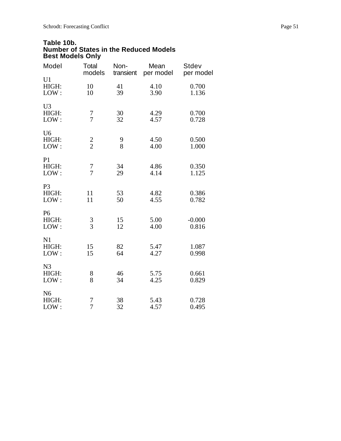### **Table 10b. Number of States in the Reduced Models Best Models Only**

| Model                           | Total<br>models     | Non-<br>transient | Mean<br>per model | Stdev<br>per model |
|---------------------------------|---------------------|-------------------|-------------------|--------------------|
| U1<br>HIGH:<br>LOW:             | 10<br>10            | 41<br>39          | 4.10<br>3.90      | 0.700<br>1.136     |
| U <sub>3</sub><br>HIGH:<br>LOW: | $\frac{7}{7}$       | 30<br>32          | 4.29<br>4.57      | 0.700<br>0.728     |
| U <sub>6</sub><br>HIGH:<br>LOW: | $\frac{2}{2}$       | 9<br>8            | 4.50<br>4.00      | 0.500<br>1.000     |
| P <sub>1</sub><br>HIGH:<br>LOW: | $\frac{7}{7}$       | 34<br>29          | 4.86<br>4.14      | 0.350<br>1.125     |
| P <sub>3</sub><br>HIGH:<br>LOW: | 11<br>11            | 53<br>50          | 4.82<br>4.55      | 0.386<br>0.782     |
| P <sub>6</sub><br>HIGH:<br>LOW: | $rac{3}{3}$         | 15<br>12          | 5.00<br>4.00      | $-0.000$<br>0.816  |
| N1<br>HIGH:<br>LOW:             | 15<br>15            | 82<br>64          | 5.47<br>4.27      | 1.087<br>0.998     |
| N <sub>3</sub><br>HIGH:<br>LOW: | 8<br>8              | 46<br>34          | 5.75<br>4.25      | 0.661<br>0.829     |
| N <sub>6</sub><br>HIGH:<br>LOW: | 7<br>$\overline{7}$ | 38<br>32          | 5.43<br>4.57      | 0.728<br>0.495     |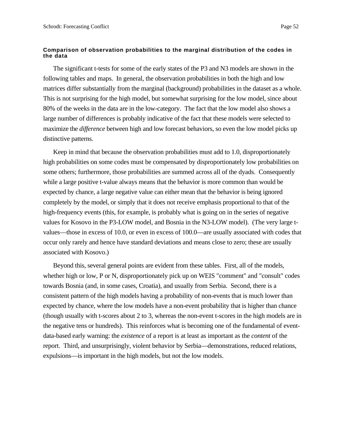#### **Comparison of observation probabilities to the marginal distribution of the codes in the data**

The significant t-tests for some of the early states of the P3 and N3 models are shown in the following tables and maps. In general, the observation probabilities in both the high and low matrices differ substantially from the marginal (background) probabilities in the dataset as a whole. This is not surprising for the high model, but somewhat surprising for the low model, since about 80% of the weeks in the data are in the low-category. The fact that the low model also shows a large number of differences is probably indicative of the fact that these models were selected to maximize the *difference* between high and low forecast behaviors, so even the low model picks up distinctive patterns.

Keep in mind that because the observation probabilities must add to 1.0, disproportionately high probabilities on some codes must be compensated by disproportionately low probabilities on some others; furthermore, those probabilities are summed across all of the dyads. Consequently while a large positive t-value always means that the behavior is more common than would be expected by chance, a large negative value can either mean that the behavior is being ignored completely by the model, or simply that it does not receive emphasis proportional to that of the high-frequency events (this, for example, is probably what is going on in the series of negative values for Kosovo in the P3-LOW model, and Bosnia in the N3-LOW model). (The very large tvalues—those in excess of 10.0, or even in excess of 100.0—are usually associated with codes that occur only rarely and hence have standard deviations and means close to zero; these are usually associated with Kosovo.)

Beyond this, several general points are evident from these tables. First, all of the models, whether high or low, P or N, disproportionately pick up on WEIS "comment" and "consult" codes towards Bosnia (and, in some cases, Croatia), and usually from Serbia. Second, there is a consistent pattern of the high models having a probability of non-events that is much lower than expected by chance, where the low models have a non-event probability that is higher than chance (though usually with t-scores about 2 to 3, whereas the non-event t-scores in the high models are in the negative tens or hundreds). This reinforces what is becoming one of the fundamental of eventdata-based early warning: the *existence* of a report is at least as important as the *content* of the report. Third, and unsurprisingly, violent behavior by Serbia—demonstrations, reduced relations, expulsions—is important in the high models, but not the low models.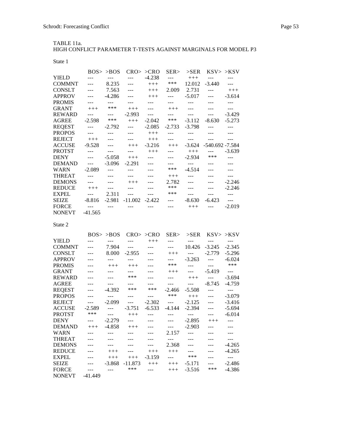#### TABLE 11a. HIGH CONFLICT PARAMETER T-TESTS AGAINST MARGINALS FOR MODEL P3

State 1

|               |                      | BOS > BOS            |                      | $CRO$ > $CRO$  | SER            | $>$ SER              | $KSV$ > $>KSV$       |                |
|---------------|----------------------|----------------------|----------------------|----------------|----------------|----------------------|----------------------|----------------|
| <b>YIELD</b>  |                      |                      | $\frac{1}{2}$        | $-4.238$       | $---$          | $+++$                |                      |                |
| <b>COMMNT</b> | $\frac{1}{2}$        | 8.235                | $\frac{1}{2}$        | $+++$          | ***            | 12.012               | $-3.440$             | $\overline{a}$ |
| <b>CONSLT</b> | $\overline{a}$       | 7.563                | $\frac{1}{2}$        | $+++$          | 2.009          | 2.731                | $\frac{1}{2}$        | $+++$          |
| <b>APPROV</b> | $ -$                 | $-4.286$             | $\frac{1}{2}$        | $+++$          | $\frac{1}{2}$  | $-5.017$             | $  -$                | $-3.614$       |
| <b>PROMIS</b> | $\frac{1}{2}$        | $---$                | $---$                | $\frac{1}{2}$  | $---$          | $---$                | $---$                | $---$          |
| <b>GRANT</b>  | $+++$                | ***                  | $+++$                | $\frac{1}{2}$  | $+++$          | $\frac{1}{2}$        | $---$                | $---$          |
| <b>REWARD</b> | $\overline{a}$       | $\overline{a}$       | $-2.993$             | $  -$          | $\overline{a}$ | $- - -$              | $\sim$ $\sim$ $\sim$ | $-3.429$       |
| <b>AGREE</b>  | $-2.598$             | ***                  | $+++$                | $-2.042$       | ***            | $-3.112$             | $-8.630$             | $-5.273$       |
| <b>REQEST</b> | $\sim$ $\sim$ $\sim$ | $-2.792$             | $\sim$ $\sim$ $\sim$ | $-2.085$       | $-2.733$       | $-3.798$             | $\frac{1}{2}$        | $\frac{1}{2}$  |
| <b>PROPOS</b> | $\frac{1}{2}$        |                      | $\frac{1}{2}$        | $+++$          |                |                      |                      |                |
| <b>REJECT</b> | $+++$                | $---$                | $- - -$              | $+++$          | $- - -$        |                      |                      |                |
| <b>ACCUSE</b> | $-9.528$             | $\frac{1}{2}$        | $+++$                | $-3.216$       | $+++$          | $-3.624$             | $-540.692 -7.584$    |                |
| <b>PROTST</b> | $\frac{1}{2}$        | $\frac{1}{2}$        | $---$                | $+++$          | $\frac{1}{2}$  | $+++$                | $\frac{1}{2}$        | $-3.639$       |
| <b>DENY</b>   | $  -$                | $-5.058$             | $+++$                | $\overline{a}$ | $\overline{a}$ | $-2.934$             | ***                  |                |
| <b>DEMAND</b> | $  -$                | $-3.096$             | $-2.291$             |                | $\frac{1}{2}$  |                      |                      | $---$          |
| <b>WARN</b>   | $-2.089$             | $\sim$ $\sim$ $\sim$ |                      |                | ***            | $-4.514$             |                      |                |
| <b>THREAT</b> | $---$                | $\frac{1}{2}$        |                      | $---$          | $+++$          |                      | $---$                | $\overline{a}$ |
| <b>DEMONS</b> | $\frac{1}{2}$        | $\sim$ $\sim$ $\sim$ | $+++$                | $\overline{a}$ | 2.782          | $\sim$ $\sim$ $\sim$ | $\frac{1}{2}$        | $-2.246$       |
| <b>REDUCE</b> | $+++$                | $\frac{1}{2}$        |                      |                | ***            | $---$                | $---$                | $-2.246$       |
| <b>EXPEL</b>  | $\sim$ $\sim$ $\sim$ | 2.311                | $- - -$              | $\frac{1}{2}$  | ***            |                      | $- - -$              | $---$          |
| <b>SEIZE</b>  | $-8.816$             | $-2.981$             | $-11.002$            | $-2.422$       | $\frac{1}{2}$  | $-8.630$             | $-6.423$             | $  -$          |
| <b>FORCE</b>  | $\frac{1}{2}$        |                      |                      |                |                | $+++$                | $---$                | $-2.019$       |
| <b>NONEVT</b> | $-41.565$            |                      |                      |                |                |                      |                      |                |

|               |           | BOS > BOS            |                      | $CRO$ > $CRO$ | SER           | $>$ SER       |                      | $KSV$ > $>KSV$ |
|---------------|-----------|----------------------|----------------------|---------------|---------------|---------------|----------------------|----------------|
| <b>YIELD</b>  |           |                      |                      | $+++$         |               |               |                      |                |
| <b>COMMNT</b> | $---$     | 7.904                | $- - -$              | $---$         | $- - -$       | 10.426        | $-3.245$             | $-2.345$       |
| <b>CONSLT</b> |           | 8.000                | $-2.955$             |               | $+++$         |               | $-2.779$             | $-5.296$       |
| <b>APPROV</b> |           | ---                  |                      |               | $\frac{1}{2}$ | $-3.263$      | $\overline{a}$       | $-6.024$       |
| <b>PROMIS</b> | $---$     | $+++$                | $+++$                |               | ***           |               |                      | ***            |
| <b>GRANT</b>  |           |                      | ---                  |               | $+++$         | $---$         | $-5.419$             | $\overline{a}$ |
| <b>REWARD</b> | $---$     | $---$                | ***                  | ---           | $\frac{1}{2}$ | $+++$         | $\sim$ $\sim$ $\sim$ | $-3.694$       |
| <b>AGREE</b>  | ---       | ---                  |                      | ---           | $---$         | $---$         | $-8.745$             | $-4.759$       |
| <b>REQEST</b> | $---$     | $-4.392$             | ***                  | ***           | $-2.466$      | $-5.508$      | $\frac{1}{2}$        | $---$          |
| <b>PROPOS</b> | $---$     |                      | $---$                |               | ***           | $+++$         | $---$                | $-3.079$       |
| <b>REJECT</b> | $---$     | $-2.099$             | $\sim$ $\sim$ $\sim$ | $-2.302$      | $  -$         | $-2.125$      | $---$                | $-3.416$       |
| <b>ACCUSE</b> | $-2.589$  | $\sim$ $\sim$ $\sim$ | $-3.751$             | $-6.533$      | $-4.144$      | $-2.394$      | $---$                | $-5.694$       |
| <b>PROTST</b> | ***       | $\frac{1}{2}$        | $+++$                |               | $\frac{1}{2}$ | $---$         | $ -$                 | $-6.014$       |
| <b>DENY</b>   | $---$     | $-2.279$             | $\overline{a}$       | $---$         | $\frac{1}{2}$ | $-2.895$      | $+++$                | $\overline{a}$ |
| <b>DEMAND</b> | $+++$     | $-4.858$             | $+++$                | $---$         | $\frac{1}{2}$ | $-2.903$      |                      | $---$          |
| <b>WARN</b>   | $---$     | $\frac{1}{2}$        | $\frac{1}{2}$        | $---$         | 2.157         | $\frac{1}{2}$ |                      |                |
| <b>THREAT</b> | ---       |                      |                      | $---$         |               |               |                      | $---$          |
| <b>DEMONS</b> |           |                      |                      |               | 2.368         |               | $---$                | $-4.265$       |
| <b>REDUCE</b> |           | $+++$                |                      | $+++$         | $+++$         | $---$         |                      | $-4.265$       |
| <b>EXPEL</b>  | ---       | $+++$                | $+++$                | $-3.159$      |               | ***           | ---                  | $---$          |
| <b>SEIZE</b>  |           | $-3.868$             | $-11.873$            | $+++$         | $+++$         | $-5.171$      | $---$                | $-2.486$       |
| <b>FORCE</b>  | $---$     |                      | ***                  |               | $+++$         | $-3.516$      | ***                  | $-4.386$       |
| <b>NONEVT</b> | $-41.449$ |                      |                      |               |               |               |                      |                |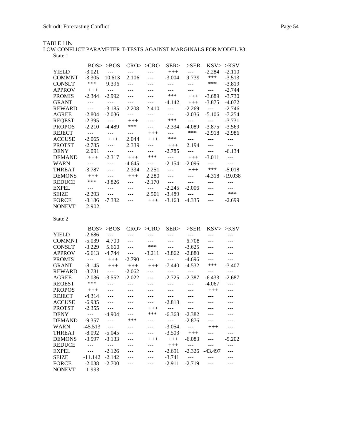#### TABLE 11b.

LOW CONFLICT PARAMETER T-TESTS AGAINST MARGINALS FOR MODEL P3 State 1

|               |                      | BOS > BOS            |               | $CRO$ > $CRO$ | SER            | $>$ SER       |                | KSV > KSV |
|---------------|----------------------|----------------------|---------------|---------------|----------------|---------------|----------------|-----------|
| <b>YIELD</b>  | $-3.021$             | $---$                | $---$         | $---$         | $+++$          | $- - -$       | $-2.284$       | $-2.110$  |
| <b>COMMNT</b> | $-3.305$             | 10.613               | 2.106         | $\frac{1}{2}$ | $-3.004$       | 9.739         | ***            | $-3.513$  |
| <b>CONSLT</b> | ***                  | 9.396                | $\frac{1}{2}$ |               | $---$          | $---$         | ***            | $-3.819$  |
| <b>APPROV</b> | $+++$                |                      | $- - -$       |               |                |               |                | $-2.744$  |
| <b>PROMIS</b> | $-2.344$             | $-2.992$             |               |               | ***            | $+++$         | $-3.689$       | $-3.730$  |
| <b>GRANT</b>  |                      |                      | $---$         | $---$         | $-4.142$       | $+++$         | $-3.875$       | $-4.072$  |
| <b>REWARD</b> | $\sim$ $\sim$ $\sim$ | $-3.185$             | $-2.208$      | 2.410         | $\frac{1}{2}$  | $-2.269$      |                | $-2.746$  |
| <b>AGREE</b>  | $-2.804$             | $-2.036$             |               |               | $\frac{1}{2}$  | $-2.036$      | $-5.106$       | $-7.254$  |
| <b>REQEST</b> | $-2.395$             | $\sim$ $\sim$ $\sim$ | $+++$         | $---$         | ***            | $- - -$       |                | $-3.731$  |
| <b>PROPOS</b> | $-2.210$             | $-4.489$             | ***           |               | $-2.334$       | $-4.089$      | $-3.875$       | $-3.569$  |
| <b>REJECT</b> |                      |                      | ---           | $+++$         | $---$          | ***           | $-2.918$       | $-2.986$  |
| <b>ACCUSE</b> | $-2.065$             | $+++$                | 2.044         | $+++$         | ***            |               |                |           |
| <b>PROTST</b> | $-2.785$             | $\frac{1}{2}$        | 2.339         | $ -$          | $+++$          | 2.194         | $\overline{a}$ |           |
| <b>DENY</b>   | 2.091                | $---$                | $---$         | $---$         | $-2.785$       | $---$         | $---$          | $-6.134$  |
| <b>DEMAND</b> | $+++$                | $-2.317$             | $+++$         | ***           |                | $+++$         | $-3.011$       |           |
| <b>WARN</b>   | $\overline{a}$       | $---$                | $-4.645$      | $\frac{1}{2}$ | $-2.154$       | $-2.096$      |                |           |
| <b>THREAT</b> | $-3.787$             | $\overline{a}$       | 2.334         | 2.251         | $\overline{a}$ | $+++$         | ***            | $-5.018$  |
| <b>DEMONS</b> | $+++$                | $---$                | $+++$         | 2.280         | $\frac{1}{2}$  | $\frac{1}{2}$ | $-4.318$       | $-19.038$ |
| <b>REDUCE</b> | ***                  | $-3.826$             | ---           | $-2.170$      |                |               |                |           |
| <b>EXPEL</b>  | ---                  |                      |               | $\frac{1}{2}$ | $-2.245$       | $-2.006$      |                |           |
| <b>SEIZE</b>  | $-2.293$             | $---$                |               | 2.501         | $-3.489$       | $\frac{1}{2}$ |                | ***       |
| <b>FORCE</b>  | $-8.186$             | $-7.382$             |               | $+++$         | $-3.163$       | $-4.335$      | $---$          | $-2.699$  |
| <b>NONEVT</b> | 2.902                |                      |               |               |                |               |                |           |

|               |                      | BOS> >BOS            |               | $CRO$ > $CRO$  | SER      | $>$ SER        |          | $KSV$ > $>KSV$ |
|---------------|----------------------|----------------------|---------------|----------------|----------|----------------|----------|----------------|
| <b>YIELD</b>  | $-2.686$             |                      |               |                |          |                |          |                |
| <b>COMMNT</b> | $-5.039$             | 4.700                | $\sim$        |                | بالأباد  | 6.708          | $- - -$  | $\sim$         |
| <b>CONSLT</b> | $-3.229$             | 5.660                | $\sim$ $\sim$ | ***            | $---$    | $-3.625$       | $---$    |                |
| <b>APPROV</b> | $-6.613$             | $-4.744$             | $ -$          | $-3.211$       | $-3.862$ | $-2.880$       | ---      |                |
| <b>PROMIS</b> | $\frac{1}{2}$        | $+++$                | $-2.790$      | $---$          | $---$    | $-4.696$       | $---$    | $---$          |
| <b>GRANT</b>  | $-8.145$             | $+++$                | $+++$         | $+++$          | $-7.440$ | $-4.532$       | ***      | $-3.407$       |
| <b>REWARD</b> | $-3.781$             | $- - -$              | $-2.062$      | $\overline{a}$ | $---$    | $\frac{1}{2}$  | $---$    | $---$          |
| <b>AGREE</b>  | $-2.036$             | $-3.552$             | $-2.022$      | $ -$           | $-2.725$ | $-2.387$       | $-6.433$ | $-2.687$       |
| <b>REQEST</b> | ***                  | $---$                | $---$         | ---            | $ -$     | $---$          | $-4.067$ | $\overline{a}$ |
| <b>PROPOS</b> | $+++$                | $---$                | $---$         | ---            |          | $---$          | $+++$    | $---$          |
| <b>REJECT</b> | $-4.314$             | $\sim$               |               |                |          |                |          |                |
| <b>ACCUSE</b> | $-6.935$             | $\overline{a}$       | $---$         | ---            | $-2.818$ |                | $---$    | $---$          |
| <b>PROTST</b> | $-2.355$             | $ -$                 |               | $+++$          | $---$    | ---            |          |                |
| <b>DENY</b>   | $\sim$ $\sim$ $\sim$ | $-4.904$             | $- - -$       | ***            | $-6.368$ | $-2.382$       | $---$    |                |
| <b>DEMAND</b> | $-9.357$             | $\frac{1}{2}$        | ***           | ---            |          | $-2.876$       | $- - -$  |                |
| <b>WARN</b>   | $-45.513$            | $\sim$ $\sim$ $\sim$ | ---           | $---$          | $-3.054$ | $\overline{a}$ | $+++$    |                |
| <b>THREAT</b> | $-8.092$             | $-5.045$             | $---$         | $---$          | $-3.503$ | $+++$          |          | $---$          |
| <b>DEMONS</b> | $-3.597$             | $-3.133$             | $---$         | $+++$          | $+++$    | $-6.083$       |          | $-5.202$       |
| <b>REDUCE</b> |                      |                      |               | ---            | $+++$    |                | ---      | ---            |
| <b>EXPEL</b>  | $---$                | $-2.126$             | ---           | $---$          | $-2.691$ | $-2.326$       | -43.497  | $\overline{a}$ |
| <b>SEIZE</b>  | $-11.142$            | $-2.142$             | ---           | $---$          | $-3.741$ | $---$          | $---$    | ---            |
| <b>FORCE</b>  | $-2.038$             | $-2.700$             | ---           | $---$          | $-2.911$ | $-2.719$       |          |                |
| <b>NONEVT</b> | 1.993                |                      |               |                |          |                |          |                |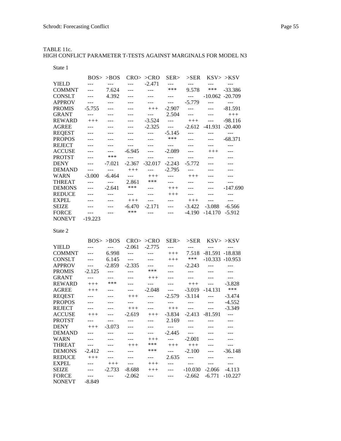| TABLE 11c.                                                     |  |
|----------------------------------------------------------------|--|
| HIGH CONFLICT PARAMETER T-TESTS AGAINST MARGINALS FOR MODEL N3 |  |

| State 1       |           |               |                |                |                      |                      |                      |                    |
|---------------|-----------|---------------|----------------|----------------|----------------------|----------------------|----------------------|--------------------|
|               |           | BOS > BOS     |                | $CRO$ > $CRO$  | SER                  | $>$ SER              |                      | $KSV$ > $>KSV$     |
| <b>YIELD</b>  | $---$     | $---$         | $---$          | $-2.471$       | $\frac{1}{2}$        | $\frac{1}{2}$        |                      |                    |
| <b>COMMNT</b> | $---$     | 7.624         | $---$          | $---$          | ***                  | 9.578                | ***                  | $-33.386$          |
| <b>CONSLT</b> |           | 4.392         | $---$          | $---$          | $\frac{1}{2}$        | $ -$                 |                      | $-10.062 -20.709$  |
| <b>APPROV</b> |           |               |                |                | $---$                | $-5.779$             | $\frac{1}{2}$        | $---$              |
| <b>PROMIS</b> | $-5.755$  | $---$         |                | $+++$          | $-2.907$             | $\sim$ $\sim$ $\sim$ | $\sim$ $\sim$ $\sim$ | $-81.591$          |
| <b>GRANT</b>  | $---$     |               | $---$          | $---$          | 2.504                | $---$                | $\overline{a}$       | $+++$              |
| <b>REWARD</b> | $+++$     |               | $---$          | $-3.524$       | $\frac{1}{2}$        | $+++$                | $\frac{1}{2}$        | $-98.116$          |
| <b>AGREE</b>  | $---$     |               | $---$          | $-2.325$       | $\sim$ $\sim$ $\sim$ | $-2.612$             |                      | $-41.931 - 20.400$ |
| <b>REQEST</b> | ---       | ---           | ---            |                | $-5.145$             |                      |                      |                    |
| <b>PROPOS</b> | $---$     |               |                | $---$          | ***                  | $---$                | $---$                | $-68.371$          |
| <b>REJECT</b> | ---       | $---$         |                |                |                      |                      |                      |                    |
| <b>ACCUSE</b> | ---       | $\frac{1}{2}$ | $-6.945$       | $\overline{a}$ | $-2.089$             |                      | $+++$                |                    |
| <b>PROTST</b> | $---$     | ***           |                | $---$          |                      |                      |                      |                    |
| <b>DENY</b>   | ---       | $-7.021$      | $-2.367$       | $-32.017$      | $-2.243$             | $-5.772$             |                      |                    |
| <b>DEMAND</b> | ---       | $---$         | $+++$          |                | $-2.795$             |                      |                      |                    |
| <b>WARN</b>   | $-3.000$  | $-6.464$      | $\overline{a}$ | $+++$          |                      | $+++$                |                      |                    |
| <b>THREAT</b> | $---$     | $---$         | 2.861          | ***            |                      |                      |                      |                    |
| <b>DEMONS</b> | $---$     | $-2.641$      | ***            |                | $+++$                |                      |                      | $-147.690$         |
| <b>REDUCE</b> |           |               |                |                | $+++$                |                      |                      |                    |
| <b>EXPEL</b>  |           | ---           | $+++$          |                | $---$                | $+++$                |                      |                    |
| <b>SEIZE</b>  | ---       |               | $-6.470$       | $-2.171$       | $---$                | $-3.422$             | $-3.088$             | $-6.566$           |
| <b>FORCE</b>  | ---       |               | ***            |                | $---$                | $-4.190$             | $-14.170$            | $-5.912$           |
| <b>NONEVT</b> | $-19.223$ |               |                |                |                      |                      |                      |                    |

|               |          |               |                | SER           | $>$ SER   |                    | $KSV$ > $>KSV$ |
|---------------|----------|---------------|----------------|---------------|-----------|--------------------|----------------|
|               |          | $-2.061$      | $-2.775$       | $---$         |           |                    |                |
| ---           | 6.998    | $---$         |                | $+++$         | 7.518     | -81.591            | $-18.838$      |
| ---           | 6.145    | $---$         |                | $+++$         | ***       | $-10.333 - 10.953$ |                |
| $\frac{1}{2}$ | $-2.859$ | $-2.335$      | $---$          | $---$         | $-2.243$  |                    |                |
| $-2.125$      | $---$    | $---$         | ***            |               |           |                    |                |
|               |          |               | $+++$          |               |           |                    |                |
| $+++$         | ***      |               | $\overline{a}$ |               | $+++$     |                    | $-3.828$       |
| $+++$         |          | $\frac{1}{2}$ | $-2.048$       | $\frac{1}{2}$ | $-3.019$  | $-14.131$          | ***            |
|               |          | $+++$         | $---$          | $-2.579$      | $-3.114$  | $- - -$            | $-3.474$       |
|               |          |               |                |               |           |                    | $-4.552$       |
|               |          | $+++$         |                | $+++$         | $---$     |                    | $-3.349$       |
| $+++$         | $---$    | $-2.619$      | $+++$          | $-3.834$      | $-2.413$  | $-81.591$          |                |
|               |          |               |                | 2.169         |           |                    | $---$          |
| $+++$         | $-3.073$ |               |                |               |           |                    |                |
|               |          |               | ---            | $-2.445$      |           |                    |                |
|               |          |               | $+++$          | $---$         | $-2.001$  |                    |                |
| $---$         |          | $+++$         | ***            | $+++$         | $+++$     |                    | ---            |
| $-2.412$      |          |               | ***            | $\frac{1}{2}$ | $-2.100$  | $---$              | $-36.148$      |
| $+++$         |          |               | ---            | 2.635         |           |                    |                |
| ---           | $+++$    |               | $+++$          |               |           |                    |                |
| $\frac{1}{2}$ | $-2.733$ | $-8.688$      | $+++$          | $\frac{1}{2}$ | $-10.030$ | $-2.066$           | $-4.113$       |
| $\frac{1}{2}$ |          | $-2.062$      |                |               | $-2.662$  | $-6.771$           | $-10.227$      |
| $-8.849$      |          |               |                |               |           |                    |                |
|               |          | BOS > BOS     |                | $CRO$ > $CRO$ |           |                    |                |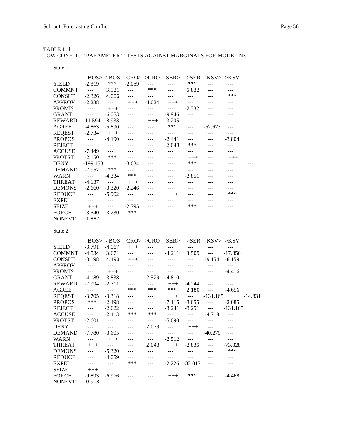| TABLE 11d.                                                    |  |
|---------------------------------------------------------------|--|
| LOW CONFLICT PARAMETER T-TESTS AGAINST MARGINALS FOR MODEL N3 |  |

| State 1                       |                                                                                                                                                                                                                                                                                                                                                                                              |                      |                     |                |                   |                      |                        |                  |           |
|-------------------------------|----------------------------------------------------------------------------------------------------------------------------------------------------------------------------------------------------------------------------------------------------------------------------------------------------------------------------------------------------------------------------------------------|----------------------|---------------------|----------------|-------------------|----------------------|------------------------|------------------|-----------|
|                               |                                                                                                                                                                                                                                                                                                                                                                                              |                      |                     |                |                   |                      |                        |                  |           |
|                               |                                                                                                                                                                                                                                                                                                                                                                                              | BOS > BOS<br>***     |                     | $CRO$ > $CRO$  | SER               | $>$ SER<br>***       |                        | $KSV$ > $>KSV$   |           |
| YIELD                         | $-2.319$<br>$ -$                                                                                                                                                                                                                                                                                                                                                                             |                      | $-2.059$<br>$- - -$ | $---$<br>***   | $---$             |                      | ---                    | $---$            |           |
| <b>COMMNT</b>                 |                                                                                                                                                                                                                                                                                                                                                                                              | 3.921                |                     |                | ---               | 6.832                | $\frac{1}{2}$<br>$---$ | $---$<br>***     |           |
| <b>CONSLT</b>                 | $-2.326$                                                                                                                                                                                                                                                                                                                                                                                     | 4.006                | $- - -$             | $---$          | ---               | ---                  |                        |                  |           |
| <b>APPROV</b>                 | $-2.238$                                                                                                                                                                                                                                                                                                                                                                                     | $ -$                 | $+++$               | $-4.024$       | $++++$            | $---$                | ---                    | $---$            |           |
| <b>PROMIS</b>                 | $---$                                                                                                                                                                                                                                                                                                                                                                                        | $+++$                | ---                 | ---            | $ -$              | $-2.332$             | ---                    | ---              |           |
| <b>GRANT</b>                  | ---                                                                                                                                                                                                                                                                                                                                                                                          | $-6.053$             | $---$               | ---            | $-9.946$          | ---                  | $---$                  | $---$            |           |
| <b>REWARD</b>                 | $-11.594$                                                                                                                                                                                                                                                                                                                                                                                    | $-8.933$             | $\frac{1}{2}$       | $+++$          | $-3.205$          | ---                  | ---                    | ---              |           |
| <b>AGREE</b>                  | $-4.863$                                                                                                                                                                                                                                                                                                                                                                                     | $-5.890$             | ---                 | ---            | ***               | $---$                | $-52.673$              | ---              |           |
| <b>REQEST</b>                 | $-2.734$                                                                                                                                                                                                                                                                                                                                                                                     | $+++$                | $---$               | ---            | $\frac{1}{2}$     | ---                  | ---                    | $---$            |           |
| <b>PROPOS</b>                 | $---$                                                                                                                                                                                                                                                                                                                                                                                        | $-4.190$             | ---                 | ---            | $-2.441$          | ---                  | ---                    | $-3.804$         |           |
| <b>REJECT</b>                 | ---                                                                                                                                                                                                                                                                                                                                                                                          | ---                  | $---$               | ---            | 2.043             | ***                  | ---                    | $---$            |           |
| <b>ACCUSE</b>                 | $-7.449$                                                                                                                                                                                                                                                                                                                                                                                     | ---                  | $---$               | ---            | $\frac{1}{2}$     | $---$                | $---$                  | $---$            |           |
| <b>PROTST</b>                 | $-2.150$                                                                                                                                                                                                                                                                                                                                                                                     | ***                  | ---                 | ---            | $---$             | $+++$                | $---$                  | $+++$            |           |
| <b>DENY</b>                   | $-199.153$                                                                                                                                                                                                                                                                                                                                                                                   |                      | $-3.634$            | ---            | ---               | ***                  | ---                    | ---              |           |
| <b>DEMAND</b>                 | $-7.957$                                                                                                                                                                                                                                                                                                                                                                                     | ***                  | ---                 | ---            | $\frac{1}{2}$     | ---                  | $\frac{1}{2}$          | $---$            |           |
| <b>WARN</b>                   | $---$                                                                                                                                                                                                                                                                                                                                                                                        | $-4.334$             | ***                 | $---$          | $ -$              | $-3.851$             | $\frac{1}{2}$          | $---$            |           |
| THREAT                        | $-4.137$                                                                                                                                                                                                                                                                                                                                                                                     | $\sim$ $\sim$ $\sim$ | $+++$               | $---$          | ---               | ---                  | ---                    | ---              |           |
| <b>DEMONS</b>                 | $-2.660$                                                                                                                                                                                                                                                                                                                                                                                     | $-3.320$             | $-2.246$            | $---$          | $\frac{1}{2}$     | ---                  | $---$                  | ---              |           |
| <b>REDUCE</b>                 | ---                                                                                                                                                                                                                                                                                                                                                                                          | $-5.902$             | ---                 | ---            | $+++$             | ---                  | $---$                  | ***              |           |
| <b>EXPEL</b>                  | ---                                                                                                                                                                                                                                                                                                                                                                                          | $ -$                 | $ -$                | ---            | ---               | $---$                | ---                    | ---              |           |
| <b>SEIZE</b>                  | $+++$                                                                                                                                                                                                                                                                                                                                                                                        | $ -$                 | $-2.795$            | ---            | $- - -$           | ***                  | ---                    | ---              |           |
| <b>FORCE</b>                  | $-3.540$                                                                                                                                                                                                                                                                                                                                                                                     | $-3.230$             | ***                 | ---            | $---$             | ---                  | $---$                  | $---$            |           |
| <b>NONEVT</b>                 | 1.887                                                                                                                                                                                                                                                                                                                                                                                        |                      |                     |                |                   |                      |                        |                  |           |
|                               |                                                                                                                                                                                                                                                                                                                                                                                              |                      |                     |                |                   |                      |                        |                  |           |
|                               |                                                                                                                                                                                                                                                                                                                                                                                              |                      |                     |                |                   |                      |                        |                  |           |
| State 2                       |                                                                                                                                                                                                                                                                                                                                                                                              |                      |                     |                |                   |                      |                        |                  |           |
|                               |                                                                                                                                                                                                                                                                                                                                                                                              |                      |                     |                |                   |                      |                        |                  |           |
|                               |                                                                                                                                                                                                                                                                                                                                                                                              | BOS > BOS            |                     | $CRO$ > $>CRO$ | SER               | $>$ SER              |                        | $KSV$ > $>KSV$   |           |
| <b>YIELD</b>                  | $-3.791$                                                                                                                                                                                                                                                                                                                                                                                     | $-4.067$             | $+++$               | ---            | $- - -$           | $ -$                 | ---                    | ---              |           |
| <b>COMMNT</b>                 | $-4.534$                                                                                                                                                                                                                                                                                                                                                                                     | 3.671                | $---$               | ---            | $-4.211$          | 3.509                | $\overline{a}$         | $-17.856$        |           |
| <b>CONSLT</b>                 | $-3.198$                                                                                                                                                                                                                                                                                                                                                                                     | 4.490                | $+++$               | ---            | $---$             | $ -$                 | $-9.154$               | $-8.159$         |           |
| <b>APPROV</b>                 | ---                                                                                                                                                                                                                                                                                                                                                                                          | $\overline{a}$       | ---                 | ---            | ---               | $---$                | ---                    | $---$            |           |
| <b>PROMIS</b>                 | $---$                                                                                                                                                                                                                                                                                                                                                                                        | $+++$                | $---$               | ---            | ---               | ---                  | ---                    | $-4.416$         |           |
| <b>GRANT</b>                  | $-4.189$                                                                                                                                                                                                                                                                                                                                                                                     | $-3.838$             | $\frac{1}{2}$       | 2.529          | $-4.810$          | $---$                | ---                    | $ -$             |           |
| <b>REWARD</b>                 | $-7.994$                                                                                                                                                                                                                                                                                                                                                                                     | $-2.711$             | $---$               | ---            | $++++$            | $-4.244$             | $ -$                   | $ -$             |           |
| <b>AGREE</b>                  | $ -$                                                                                                                                                                                                                                                                                                                                                                                         | $\overline{a}$       | ***                 | ***            | ***               | 2.180                | $- - -$                | $-4.656$         |           |
| <b>REQEST</b>                 | $-3.705$                                                                                                                                                                                                                                                                                                                                                                                     | $-3.318$             | $\frac{1}{2}$       | $---$          | $+++$             | $\sim$ $\sim$ $\sim$ | $-131.165$             |                  | $-14.831$ |
| <b>PROPOS</b>                 | ***                                                                                                                                                                                                                                                                                                                                                                                          | $-2.498$             | ---                 | ---            | $-7.115$          | $-3.055$             | $---$                  | $-2.085$         |           |
| <b>REJECT</b>                 | $---$                                                                                                                                                                                                                                                                                                                                                                                        | $-2.622$             | ---                 | ---            | $-3.241$          | $-3.251$             | $ -$                   | $-131.165$       |           |
| <b>ACCUSE</b>                 | $\frac{1}{2} \frac{1}{2} \frac{1}{2} \frac{1}{2} \frac{1}{2} \frac{1}{2} \frac{1}{2} \frac{1}{2} \frac{1}{2} \frac{1}{2} \frac{1}{2} \frac{1}{2} \frac{1}{2} \frac{1}{2} \frac{1}{2} \frac{1}{2} \frac{1}{2} \frac{1}{2} \frac{1}{2} \frac{1}{2} \frac{1}{2} \frac{1}{2} \frac{1}{2} \frac{1}{2} \frac{1}{2} \frac{1}{2} \frac{1}{2} \frac{1}{2} \frac{1}{2} \frac{1}{2} \frac{1}{2} \frac{$ | $-2.413$             | ***                 | ***            | $---$             | ---                  | $-4.718$               |                  |           |
| <b>PROTST</b>                 | $-2.601$                                                                                                                                                                                                                                                                                                                                                                                     | ---                  | ---                 | $---$          | $-5.090$          | ---                  | ---                    |                  |           |
| <b>DENY</b>                   | ---                                                                                                                                                                                                                                                                                                                                                                                          | ---                  | ---                 | 2.079          | $---$             | $+++$                | ---                    |                  |           |
| <b>DEMAND</b>                 |                                                                                                                                                                                                                                                                                                                                                                                              | $-3.605$             |                     | ---            | $ -$              | $---$                |                        | ---              |           |
| WARN                          | $-7.780$<br>---                                                                                                                                                                                                                                                                                                                                                                              |                      |                     | ---            |                   | ---                  | $-40.279$<br>---       |                  |           |
|                               |                                                                                                                                                                                                                                                                                                                                                                                              | $+++$<br>$ -$        |                     | 2.043          | $-2.512$<br>$+++$ |                      | ---                    |                  |           |
| <b>THREAT</b>                 | $+++$                                                                                                                                                                                                                                                                                                                                                                                        |                      |                     |                | ---               | $-2.836$             | ---                    | $-73.328$<br>*** |           |
| <b>DEMONS</b>                 |                                                                                                                                                                                                                                                                                                                                                                                              | $-5.320$             |                     | ---<br>---     |                   | ---                  |                        | ---              |           |
| <b>REDUCE</b>                 | ---                                                                                                                                                                                                                                                                                                                                                                                          | $-4.059$             | ---<br>***          |                |                   |                      | ---                    |                  |           |
| <b>EXPEL</b>                  |                                                                                                                                                                                                                                                                                                                                                                                              | ---                  |                     | ---            | $-2.226$          | $-32.017$            | ---                    |                  |           |
| <b>SEIZE</b>                  | $+++$                                                                                                                                                                                                                                                                                                                                                                                        | $ -$                 |                     | ---            | $ -$              | ***                  | ---                    | ---              |           |
| <b>FORCE</b><br><b>NONEVT</b> | $-9.893$<br>0.908                                                                                                                                                                                                                                                                                                                                                                            | $-6.976$             |                     |                | $+++$             |                      |                        | $-4.468$         |           |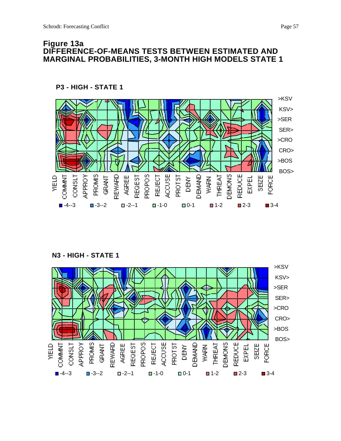### **Figure 13a DIFFERENCE-OF-MEANS TESTS BETWEEN ESTIMATED AND MARGINAL PROBABILITIES, 3-MONTH HIGH MODELS STATE 1**



**P3 - HIGH - STATE 1**

**N3 - HIGH - STATE 1**

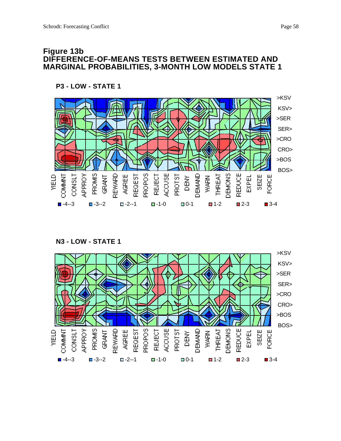### **Figure 13b DIFFERENCE-OF-MEANS TESTS BETWEEN ESTIMATED AND MARGINAL PROBABILITIES, 3-MONTH LOW MODELS STATE 1**



**P3 - LOW - STATE 1**

**N3 - LOW - STATE 1**

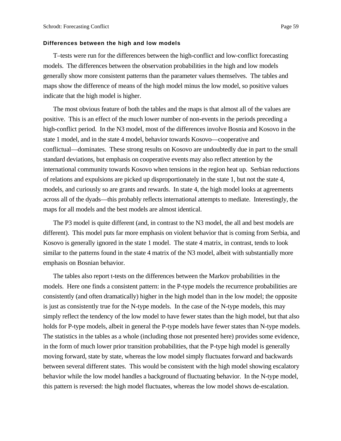T–tests were run for the differences between the high-conflict and low-conflict forecasting models. The differences between the observation probabilities in the high and low models generally show more consistent patterns than the parameter values themselves. The tables and maps show the difference of means of the high model minus the low model, so positive values indicate that the high model is higher.

The most obvious feature of both the tables and the maps is that almost all of the values are positive. This is an effect of the much lower number of non-events in the periods preceding a high-conflict period. In the N3 model, most of the differences involve Bosnia and Kosovo in the state 1 model, and in the state 4 model, behavior towards Kosovo—cooperative and conflictual—dominates. These strong results on Kosovo are undoubtedly due in part to the small standard deviations, but emphasis on cooperative events may also reflect attention by the international community towards Kosovo when tensions in the region heat up. Serbian reductions of relations and expulsions are picked up disproportionately in the state 1, but not the state 4, models, and curiously so are grants and rewards. In state 4, the high model looks at agreements across all of the dyads—this probably reflects international attempts to mediate. Interestingly, the maps for all models and the best models are almost identical.

The P3 model is quite different (and, in contrast to the N3 model, the all and best models are different). This model puts far more emphasis on violent behavior that is coming from Serbia, and Kosovo is generally ignored in the state 1 model. The state 4 matrix, in contrast, tends to look similar to the patterns found in the state 4 matrix of the N3 model, albeit with substantially more emphasis on Bosnian behavior.

The tables also report t-tests on the differences between the Markov probabilities in the models. Here one finds a consistent pattern: in the P-type models the recurrence probabilities are consistently (and often dramatically) higher in the high model than in the low model; the opposite is just as consistently true for the N-type models. In the case of the N-type models, this may simply reflect the tendency of the low model to have fewer states than the high model, but that also holds for P-type models, albeit in general the P-type models have fewer states than N-type models. The statistics in the tables as a whole (including those not presented here) provides some evidence, in the form of much lower prior transition probabilities, that the P-type high model is generally moving forward, state by state, whereas the low model simply fluctuates forward and backwards between several different states. This would be consistent with the high model showing escalatory behavior while the low model handles a background of fluctuating behavior. In the N-type model, this pattern is reversed: the high model fluctuates, whereas the low model shows de-escalation.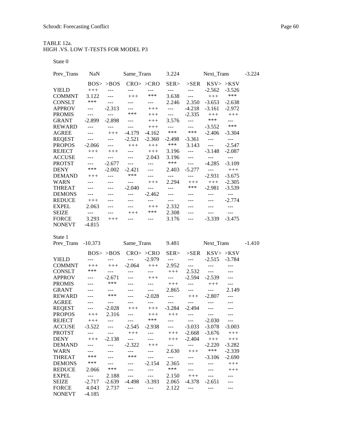#### TABLE 12a. HIGH .VS. LOW T-TESTS FOR MODEL P3

| Prev_Trans                    | <b>NaN</b>                                                                                                                                                                                                                                                                                                                                                                                   |                                        | Same_Trans |                      | 3.224          |               | Next_Trans          |                | $-3.224$ |
|-------------------------------|----------------------------------------------------------------------------------------------------------------------------------------------------------------------------------------------------------------------------------------------------------------------------------------------------------------------------------------------------------------------------------------------|----------------------------------------|------------|----------------------|----------------|---------------|---------------------|----------------|----------|
|                               |                                                                                                                                                                                                                                                                                                                                                                                              | BOS> >BOS                              |            | $CRO$ > $CRO$        | SER            | $>$ SER       | $KSV$ > > $KSV$     |                |          |
| <b>YIELD</b>                  | $+++$                                                                                                                                                                                                                                                                                                                                                                                        | $- - -$                                | ---        | ---                  | $- - -$        | $- - -$       | $-2.562$            | $-3.526$       |          |
| <b>COMMNT</b>                 | 3.122                                                                                                                                                                                                                                                                                                                                                                                        | ---                                    | $+++$      | ***                  | 3.638          | $\frac{1}{2}$ | $+++$               | ***            |          |
| <b>CONSLT</b>                 | ***                                                                                                                                                                                                                                                                                                                                                                                          | $\overline{a}$                         | $---$      | ---                  | 2.246          | 2.350         | $-3.653$            | $-2.638$       |          |
| <b>APPROV</b>                 | $---$                                                                                                                                                                                                                                                                                                                                                                                        | $-2.313$                               | ---        | $+++$                | $---$          | $-4.218$      | $-3.161$            | $-2.972$       |          |
| <b>PROMIS</b>                 | ---                                                                                                                                                                                                                                                                                                                                                                                          | $ -$                                   | ***        | $+++$                | $ -$           | $-2.335$      | $+++$               | $+++$          |          |
| <b>GRANT</b>                  | $-2.899$                                                                                                                                                                                                                                                                                                                                                                                     | $-2.898$                               | ---        | $+++$                | 3.576          | $---$         | ***                 | $\overline{a}$ |          |
| <b>REWARD</b>                 | ---                                                                                                                                                                                                                                                                                                                                                                                          | $---$                                  | ---        | $+++$                | $- - -$        | ---           | $-3.552$            | ***            |          |
| <b>AGREE</b>                  | $ -$                                                                                                                                                                                                                                                                                                                                                                                         | $+++$                                  | $-4.179$   | $-4.162$             | ***            | ***           | $-2.406$            | $-3.304$       |          |
| <b>REQEST</b>                 | $\frac{1}{2}$                                                                                                                                                                                                                                                                                                                                                                                | $---$                                  | $-2.521$   | $-2.360$             | $-2.498$       | $-3.361$      | $ -$                | $---$          |          |
| <b>PROPOS</b>                 | $-2.066$                                                                                                                                                                                                                                                                                                                                                                                     | $---$                                  | $+++$      | $+++$                | ***            | 3.143         | $ -$                | $-2.547$       |          |
| <b>REJECT</b>                 | $++++$                                                                                                                                                                                                                                                                                                                                                                                       | $+++$                                  | $ -$       | $+++$                | 3.196          | $ -$          | $-3.148$            | $-2.087$       |          |
| <b>ACCUSE</b>                 | $---$                                                                                                                                                                                                                                                                                                                                                                                        | $ -$                                   | ---        | 2.043                | 3.196          | $---$         | $ -$                | $\sim$ $\sim$  |          |
| <b>PROTST</b>                 | ---                                                                                                                                                                                                                                                                                                                                                                                          | $-2.677$                               | $ -$       | ---                  | ***            | $ -$          | $-4.285$            | $-3.109$       |          |
| <b>DENY</b>                   | ***                                                                                                                                                                                                                                                                                                                                                                                          | $-2.002$                               | $-2.421$   | $---$                | 2.403          | $-5.277$      | $\overline{a}$      |                |          |
| <b>DEMAND</b>                 |                                                                                                                                                                                                                                                                                                                                                                                              |                                        | ***        |                      |                |               |                     | $+++$          |          |
|                               | $+++$                                                                                                                                                                                                                                                                                                                                                                                        | $---$                                  |            | ---                  | $- - -$        | $---$         | $-2.931$            | $-3.675$       |          |
| WARN                          | ---                                                                                                                                                                                                                                                                                                                                                                                          | ---                                    | $---$      | $+++$                | 2.294          | $+++$<br>***  | $+++$               | $-2.305$       |          |
| <b>THREAT</b>                 | $---$                                                                                                                                                                                                                                                                                                                                                                                        | $ -$                                   | $-2.040$   | $---$                | ---            |               | $-2.981$            | $-3.539$       |          |
| <b>DEMONS</b>                 | ---                                                                                                                                                                                                                                                                                                                                                                                          | $ -$                                   | $- - -$    | $-2.462$             | ---            | ---           | $\cdots$            | $\sim$ $\sim$  |          |
| <b>REDUCE</b>                 | $+++$                                                                                                                                                                                                                                                                                                                                                                                        | $\frac{1}{2}$                          | $---$      | ---                  | $- - -$        | $---$         | ---                 | $-2.774$       |          |
| <b>EXPEL</b>                  | 2.063                                                                                                                                                                                                                                                                                                                                                                                        | ---                                    | $---$      | $+++$                | 2.332          | $ -$          | ---                 | $---$          |          |
| <b>SEIZE</b>                  | $\frac{1}{2} \frac{1}{2} \frac{1}{2} \frac{1}{2} \frac{1}{2} \frac{1}{2} \frac{1}{2} \frac{1}{2} \frac{1}{2} \frac{1}{2} \frac{1}{2} \frac{1}{2} \frac{1}{2} \frac{1}{2} \frac{1}{2} \frac{1}{2} \frac{1}{2} \frac{1}{2} \frac{1}{2} \frac{1}{2} \frac{1}{2} \frac{1}{2} \frac{1}{2} \frac{1}{2} \frac{1}{2} \frac{1}{2} \frac{1}{2} \frac{1}{2} \frac{1}{2} \frac{1}{2} \frac{1}{2} \frac{$ | $---$                                  | $+++$      | ***                  | 2.308          | $ -$          | $\qquad \qquad - -$ | $---$          |          |
| <b>FORCE</b>                  | 3.293                                                                                                                                                                                                                                                                                                                                                                                        | $+++$                                  | $---$      | ---                  | 3.176          | $---$         | $-3.339$            | $-3.475$       |          |
| <b>NONEVT</b>                 | $-4.815$                                                                                                                                                                                                                                                                                                                                                                                     |                                        |            |                      |                |               |                     |                |          |
|                               |                                                                                                                                                                                                                                                                                                                                                                                              |                                        |            |                      |                |               |                     |                |          |
|                               |                                                                                                                                                                                                                                                                                                                                                                                              |                                        |            |                      |                |               |                     |                |          |
| State 1                       |                                                                                                                                                                                                                                                                                                                                                                                              |                                        |            |                      |                |               |                     |                |          |
| Prev_Trans                    | $-10.373$                                                                                                                                                                                                                                                                                                                                                                                    |                                        | Same_Trans |                      | 9.481          |               | Next_Trans          |                | $-1.410$ |
|                               |                                                                                                                                                                                                                                                                                                                                                                                              | BOS> >BOS                              |            | $CRO$ > $CRO$        | SER            | $>$ SER       |                     | $KSV$ > $>KSV$ |          |
| <b>YIELD</b>                  | $---$                                                                                                                                                                                                                                                                                                                                                                                        | $---$                                  | $ -$       | $-2.979$             | $ -$           | $---$         | $-2.515$            | $-3.784$       |          |
| <b>COMMNT</b>                 | $+++$                                                                                                                                                                                                                                                                                                                                                                                        | $+++$                                  | $-2.064$   | $+++$                | 2.952          | $- - -$       | $---$               | ---            |          |
| <b>CONSLT</b>                 | ***                                                                                                                                                                                                                                                                                                                                                                                          | $ -$                                   | $ -$       | $ -$                 | $++++$         | 2.532         | $---$               | ---            |          |
| <b>APPROV</b>                 | $ -$                                                                                                                                                                                                                                                                                                                                                                                         | $-2.671$                               | $ -$       | $+++$                | $\cdots$       | $-2.594$      |                     | $---$          |          |
|                               | ---                                                                                                                                                                                                                                                                                                                                                                                          | ***                                    | ---        | ---                  |                | ---           | $-2.539$<br>$+++$   | $---$          |          |
| <b>PROMIS</b><br><b>GRANT</b> | $\frac{1}{2}$                                                                                                                                                                                                                                                                                                                                                                                | ---                                    | $---$      | $\sim$ $\sim$ $\sim$ | $+++$<br>2.865 | $---$         | $ -$                | 2.149          |          |
|                               | $\frac{1}{2}$                                                                                                                                                                                                                                                                                                                                                                                | ***                                    | $---$      |                      | $---$          | $+++$         |                     | $\overline{a}$ |          |
| <b>REWARD</b>                 | $---$                                                                                                                                                                                                                                                                                                                                                                                        | $---$                                  | ---        | $-2.028$<br>$---$    | $---$          | $---$         | $-2.807$<br>---     | $---$          |          |
| <b>AGREE</b>                  | $ -$                                                                                                                                                                                                                                                                                                                                                                                         |                                        |            |                      |                |               | ---                 | $---$          |          |
| <b>REQEST</b>                 |                                                                                                                                                                                                                                                                                                                                                                                              | $-2.028$                               | $+++$      | $+++$                | $-3.284$       | $-2.494$      |                     | $---$          |          |
| <b>PROPOS</b>                 | $+++$                                                                                                                                                                                                                                                                                                                                                                                        | 2.316                                  | $---$      | $+++$<br>***         | $+++$          | $ -$<br>----  | $ -$                | ----           |          |
| <b>REJECT</b>                 | $+++$                                                                                                                                                                                                                                                                                                                                                                                        |                                        |            |                      |                |               | $-2.030$            |                |          |
| <b>ACCUSE</b>                 | $-3.522$                                                                                                                                                                                                                                                                                                                                                                                     | $\scriptstyle\cdots\scriptstyle\cdots$ | $-2.545$   | $-2.938$             | ---            | $-3.033$      | $-3.078$            | $-3.003$       |          |
| <b>PROTST</b>                 | $---$                                                                                                                                                                                                                                                                                                                                                                                        | ---                                    | $+++$      | $---$                | $+++$          | $-2.668$      | $-3.676$            | $+++$          |          |
| <b>DENY</b>                   | $+++$                                                                                                                                                                                                                                                                                                                                                                                        | $-2.138$                               | $- - -$    | ---                  | $+++$          | $-2.404$      | $+++$               | $+++$          |          |
| <b>DEMAND</b>                 |                                                                                                                                                                                                                                                                                                                                                                                              | $---$                                  | $-2.322$   | $++++$               | $---$          | $---$         | $-2.220$            | $-3.282$       |          |
| <b>WARN</b>                   |                                                                                                                                                                                                                                                                                                                                                                                              | ---                                    | $---$      | ---                  | 2.630          | $+++$         | ***                 | $-2.339$       |          |
| <b>THREAT</b>                 | ***                                                                                                                                                                                                                                                                                                                                                                                          | ---                                    | ***        | ---                  | ---            | ---           | $-3.106$            | $-2.690$       |          |
| <b>DEMONS</b>                 | ***                                                                                                                                                                                                                                                                                                                                                                                          | ---                                    | ---        | $-2.154$             | 2.365          | ---           | ---                 | $+++$          |          |
| <b>REDUCE</b>                 | 2.066                                                                                                                                                                                                                                                                                                                                                                                        | ***                                    | $ -$       | $ -$                 | ***            | $---$         | ---                 | $+++$          |          |
| <b>EXPEL</b>                  | $\frac{1}{2} \frac{1}{2} \frac{1}{2} \frac{1}{2} \frac{1}{2} \frac{1}{2} \frac{1}{2} \frac{1}{2} \frac{1}{2} \frac{1}{2} \frac{1}{2} \frac{1}{2} \frac{1}{2} \frac{1}{2} \frac{1}{2} \frac{1}{2} \frac{1}{2} \frac{1}{2} \frac{1}{2} \frac{1}{2} \frac{1}{2} \frac{1}{2} \frac{1}{2} \frac{1}{2} \frac{1}{2} \frac{1}{2} \frac{1}{2} \frac{1}{2} \frac{1}{2} \frac{1}{2} \frac{1}{2} \frac{$ | 2.188                                  | $ -$       | $ -$                 | 2.150          | $++++$        | ---                 |                |          |
| <b>SEIZE</b>                  | $-2.717$                                                                                                                                                                                                                                                                                                                                                                                     | $-2.639$                               | $-4.498$   | $-3.393$             | 2.065          | $-4.378$      | $-2.651$            |                |          |
| <b>FORCE</b><br><b>NONEVT</b> | 4.043<br>$-4.185$                                                                                                                                                                                                                                                                                                                                                                            | 2.737                                  | $---$      | ---                  | 2.122          | $---$         | ---                 |                |          |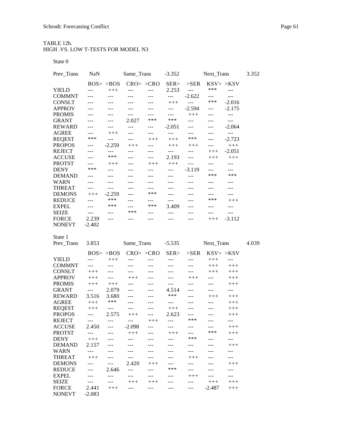#### TABLE 12b. HIGH .VS. LOW T-TESTS FOR MODEL N3

| Prev_Trans                     | NaN           |                | Same_Trans        |                | $-3.352$     |                | Next_Trans        |                | 3.352 |
|--------------------------------|---------------|----------------|-------------------|----------------|--------------|----------------|-------------------|----------------|-------|
|                                |               | BOS> >BOS      |                   | $CRO$ > $>CRO$ | SER          | $>$ SER        |                   | $KSV$ > $>KSV$ |       |
| <b>YIELD</b>                   | ---           | $+++$          | $---$             | $\frac{1}{2}$  | 2.253        | $ -$           | ***               | $---$          |       |
| <b>COMMNT</b>                  | $- - -$       | ---            | $---$             | ---            | $---$        | $-2.622$       | ---               | $---$          |       |
| <b>CONSLT</b>                  | ---           | ---            | $---$             | $---$          | $+++$        | $\overline{a}$ | ***               | $-2.016$       |       |
| <b>APPROV</b>                  | $---$         | ---            | ---               | $---$          | $ -$         | $-2.594$       | ---               | $-2.175$       |       |
| <b>PROMIS</b>                  | $- - -$       | ---            | $---$             | ---            | $---$        | $+++$          | ---               | $---$          |       |
| <b>GRANT</b>                   | ---           | ---            | 2.027             | ***            | ***          | ---            | ---               | $---$          |       |
| <b>REWARD</b>                  | $---$         | ---            | ---               | ---            | $-2.051$     | $---$          | ---               | $-2.064$       |       |
| <b>AGREE</b>                   | ---           | $++++$         | ---               | ---            | ---          | $- - -$        | ---               | ---            |       |
| <b>REQEST</b>                  | ***           | $ -$           | $---$             | $+++$          | $+++$        | $***$          | ---               | $-2.723$       |       |
| <b>PROPOS</b>                  | ---           | $-2.259$       | $+++$             | ---            | $+++$        | $+++$          | ---               | $+++$          |       |
| <b>REJECT</b>                  | ---           | ---            | ---               | $---$          | ---          | $---$          | $^{+++}$          | $-2.051$       |       |
| <b>ACCUSE</b>                  | $---$         | ***            | $---$             | ---            | 2.193        | ---            | $+++$             | $+++$          |       |
| <b>PROTST</b>                  | $---$         |                | ---               | $+++$          | $+++$        | $ -$           | ---               | ---            |       |
| <b>DENY</b>                    | ***           | $+++$<br>---   | ---               | $---$          |              | -3.119         | ---               | ---            |       |
|                                |               |                |                   |                | ---          |                | ***               | ***            |       |
| <b>DEMAND</b>                  | ---           | $---$          | $---$             | $---$          | $---$        | ---            |                   |                |       |
| WARN                           | ---           | ---            | ---               | $---$          | $---$        | $---$          | ---               | $---$          |       |
| <b>THREAT</b>                  | ---           | $\frac{1}{2}$  | ---               | ---            | ---          | ---            | ---               | ---            |       |
| <b>DEMONS</b>                  | $+++$         | $-2.259$       | ---               | ***            | $---$        | ---            | ---               | ---            |       |
| <b>REDUCE</b>                  | $---$         | ***            | $---$             | $---$          | $---$        | ---            | ***               | $+++$          |       |
| <b>EXPEL</b>                   | $- - -$       | ***            | $- - -$           | ***            | 3.409        | ---            | ---               | ---            |       |
| <b>SEIZE</b>                   | ---           | ---            | ***               | ---            | ---          | ---            | ---               | ---            |       |
| <b>FORCE</b>                   | 2.239         | $---$          | ---               | $---$          | $---$        | ---            | $+++$             | $-3.112$       |       |
| <b>NONEVT</b>                  | $-2.402$      |                |                   |                |              |                |                   |                |       |
|                                |               |                |                   |                |              |                |                   |                |       |
|                                |               |                |                   |                |              |                |                   |                |       |
| State 1                        |               |                |                   |                |              |                |                   |                |       |
| Prev_Trans                     | 3.853         |                | Same_Trans        |                | $-5.535$     |                | Next_Trans        |                | 4.039 |
|                                |               | BOS> >BOS      |                   | $CRO$ > $CRO$  | SER          | $>$ SER        |                   | $KSV$ > $>KSV$ |       |
| <b>YIELD</b>                   | ---           | $+++$          | $\frac{1}{2}$     | $\frac{1}{2}$  | ---          | ---            | $+++$             | ---            |       |
| <b>COMMNT</b>                  | $\frac{1}{2}$ | ---            | ---               | $---$          | $---$        | $---$          | $+++$             | $+++$          |       |
| <b>CONSLT</b>                  | $+++$         | ---            | ---               | ---            | $---$        | ---            | $+++$             | $+++$          |       |
|                                | $++++$        | ---            | $+++$             | $---$          | ---          | $++++$         | ---               | $+++$          |       |
| <b>APPROV</b><br><b>PROMIS</b> | $+++$         |                | $---$             | $---$          | $---$        | $---$          | ---               | $+++$          |       |
| <b>GRANT</b>                   | ---           | $+++$<br>2.079 | ---               | ---            | 4.514        | ---            | ---               | ---            |       |
|                                |               |                | $---$             | $---$          | ***          | ---            |                   |                |       |
| <b>REWARD</b>                  | 3.516         | 3.680<br>***   | $---$             | $---$          | $---$        | $---$          | $+++$<br>---      | $^{+++}$       |       |
| <b>AGREE</b>                   | $+++$         | $---$          | ---               | $---$          |              | ---            | ---               | $+++$          |       |
| <b>REQEST</b>                  | $^{+++}$      |                |                   |                | $^{+++}$     | $---$          | ---               | $^{+++}$       |       |
| <b>PROPOS</b>                  | ---<br>$---$  | 2.575<br>---   | $^{+++}$<br>$---$ | $\frac{1}{2}$  | 2.623<br>--- | ***            | ---               | $^{+++}$       |       |
| <b>REJECT</b>                  |               |                |                   | $+++$          |              |                |                   |                |       |
| <b>ACCUSE</b>                  | 2.450         | ---            | $-2.098$          | ---            | $---$        | ---            | ---<br>***        | $+++$          |       |
| <b>PROTST</b>                  | $ -$          | ---            | $+++$             | ---            | $+++$        | ***            |                   | $+++$          |       |
| <b>DENY</b>                    | $+++$         | ---            | ---               | ---            | ---          | ---            | ---               | $\overline{a}$ |       |
| <b>DEMAND</b>                  | 2.157         | ---            |                   |                |              |                |                   | $+++$          |       |
| <b>WARN</b>                    | ---           |                |                   |                |              |                |                   | ---            |       |
| <b>THREAT</b>                  | $+++$         | ---            |                   | ---            | ---          | $+++$          | ---               | ---            |       |
| <b>DEMONS</b>                  |               | ---            | 2.420             | $+++$          | ---          |                |                   | $+++$          |       |
| <b>REDUCE</b>                  |               | 2.646          | $---$             | ---            | ***          |                |                   | ---            |       |
| <b>EXPEL</b>                   |               | ---            | $---$             | ---            |              | $+++$          | ---               | ---            |       |
| <b>SEIZE</b><br><b>FORCE</b>   | ---<br>2.441  | ---<br>$+++$   | $+++$             | $+++$          |              |                | $+++$<br>$-2.487$ | $+++$<br>$+++$ |       |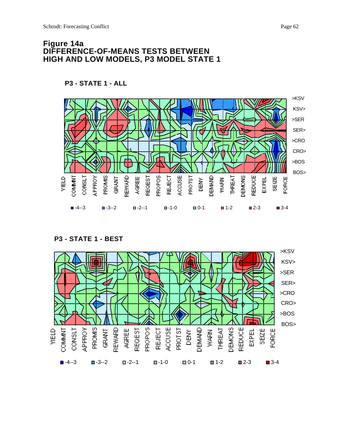### **Figure 14a DIFFERENCE-OF-MEANS TESTS BETWEEN HIGH AND LOW MODELS, P3 MODEL STATE 1**

**P3 - STATE 1 - ALL**



**P3 - STATE 1 - BEST**

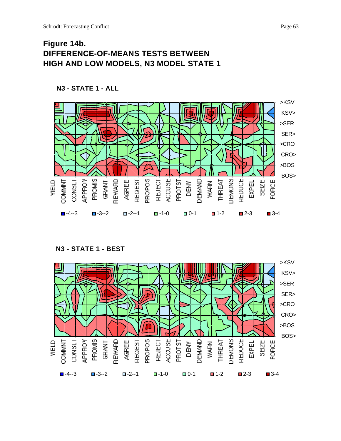# **Figure 14b. DIFFERENCE-OF-MEANS TESTS BETWEEN HIGH AND LOW MODELS, N3 MODEL STATE 1**

**N3 - STATE 1 - ALL**



**N3 - STATE 1 - BEST**

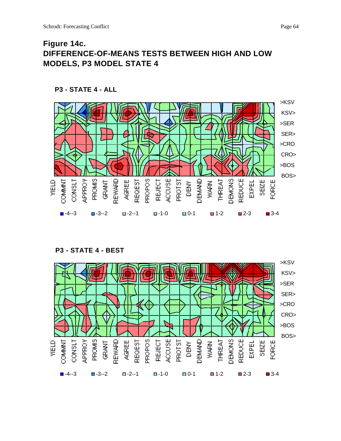# **Figure 14c. DIFFERENCE-OF-MEANS TESTS BETWEEN HIGH AND LOW MODELS, P3 MODEL STATE 4**

**P3 - STATE 4 - ALL**



**P3 - STATE 4 - BEST**

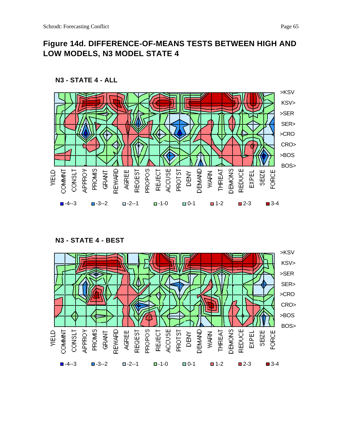# **Figure 14d. DIFFERENCE-OF-MEANS TESTS BETWEEN HIGH AND LOW MODELS, N3 MODEL STATE 4**

### **N3 - STATE 4 - ALL**



**N3 - STATE 4 - BEST**

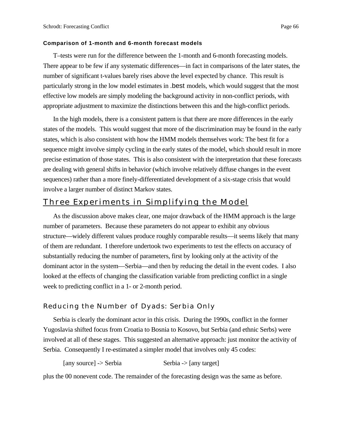#### **Comparison of 1-month and 6-month forecast models**

T–tests were run for the difference between the 1-month and 6-month forecasting models. There appear to be few if any systematic differences—in fact in comparisons of the later states, the number of significant t-values barely rises above the level expected by chance. This result is particularly strong in the low model estimates in .best models, which would suggest that the most effective low models are simply modeling the background activity in non-conflict periods, with appropriate adjustment to maximize the distinctions between this and the high-conflict periods.

In the high models, there is a consistent pattern is that there are more differences in the early states of the models. This would suggest that more of the discrimination may be found in the early states, which is also consistent with how the HMM models themselves work: The best fit for a sequence might involve simply cycling in the early states of the model, which should result in more precise estimation of those states. This is also consistent with the interpretation that these forecasts are dealing with general shifts in behavior (which involve relatively diffuse changes in the event sequences) rather than a more finely-differentiated development of a six-stage crisis that would involve a larger number of distinct Markov states.

### Three Experiments in Simplifying the Model

As the discussion above makes clear, one major drawback of the HMM approach is the large number of parameters. Because these parameters do not appear to exhibit any obvious structure—widely different values produce roughly comparable results—it seems likely that many of them are redundant. I therefore undertook two experiments to test the effects on accuracy of substantially reducing the number of parameters, first by looking only at the activity of the dominant actor in the system—Serbia—and then by reducing the detail in the event codes. I also looked at the effects of changing the classification variable from predicting conflict in a single week to predicting conflict in a 1- or 2-month period.

### Reducing the Number of Dyads: Serbia Only

Serbia is clearly the dominant actor in this crisis. During the 1990s, conflict in the former Yugoslavia shifted focus from Croatia to Bosnia to Kosovo, but Serbia (and ethnic Serbs) were involved at all of these stages. This suggested an alternative approach: just monitor the activity of Serbia. Consequently I re-estimated a simpler model that involves only 45 codes:

[any source] -> Serbia Serbia -> [any target]

plus the 00 nonevent code. The remainder of the forecasting design was the same as before.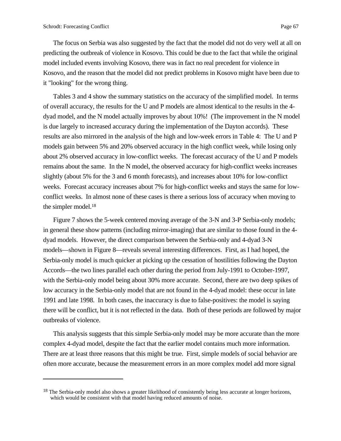l

The focus on Serbia was also suggested by the fact that the model did not do very well at all on predicting the outbreak of violence in Kosovo. This could be due to the fact that while the original model included events involving Kosovo, there was in fact no real precedent for violence in Kosovo, and the reason that the model did not predict problems in Kosovo might have been due to it "looking" for the wrong thing.

Tables 3 and 4 show the summary statistics on the accuracy of the simplified model. In terms of overall accuracy, the results for the U and P models are almost identical to the results in the 4 dyad model, and the N model actually improves by about 10%! (The improvement in the N model is due largely to increased accuracy during the implementation of the Dayton accords). These results are also mirrored in the analysis of the high and low-week errors in Table 4: The U and P models gain between 5% and 20% observed accuracy in the high conflict week, while losing only about 2% observed accuracy in low-conflict weeks. The forecast accuracy of the U and P models remains about the same. In the N model, the observed accuracy for high-conflict weeks increases slightly (about 5% for the 3 and 6 month forecasts), and increases about 10% for low-conflict weeks. Forecast accuracy increases about 7% for high-conflict weeks and stays the same for lowconflict weeks. In almost none of these cases is there a serious loss of accuracy when moving to the simpler model.<sup>18</sup>

Figure 7 shows the 5-week centered moving average of the 3-N and 3-P Serbia-only models; in general these show patterns (including mirror-imaging) that are similar to those found in the 4 dyad models. However, the direct comparison between the Serbia-only and 4-dyad 3-N models—shown in Figure 8—reveals several interesting differences. First, as I had hoped, the Serbia-only model is much quicker at picking up the cessation of hostilities following the Dayton Accords—the two lines parallel each other during the period from July-1991 to October-1997, with the Serbia-only model being about 30% more accurate. Second, there are two deep spikes of low accuracy in the Serbia-only model that are not found in the 4-dyad model: these occur in late 1991 and late 1998. In both cases, the inaccuracy is due to false-positives: the model is saying there will be conflict, but it is not reflected in the data. Both of these periods are followed by major outbreaks of violence.

This analysis suggests that this simple Serbia-only model may be more accurate than the more complex 4-dyad model, despite the fact that the earlier model contains much more information. There are at least three reasons that this might be true. First, simple models of social behavior are often more accurate, because the measurement errors in an more complex model add more signal

<sup>&</sup>lt;sup>18</sup> The Serbia-only model also shows a greater likelihood of consistently being less accurate at longer horizons, which would be consistent with that model having reduced amounts of noise.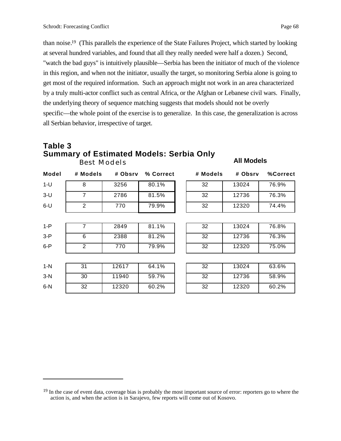l

than noise.19 (This parallels the experience of the State Failures Project, which started by looking at several hundred variables, and found that all they really needed were half a dozen.) Second, "watch the bad guys" is intuitively plausible—Serbia has been the initiator of much of the violence in this region, and when not the initiator, usually the target, so monitoring Serbia alone is going to get most of the required information. Such an approach might not work in an area characterized

by a truly multi-actor conflict such as central Africa, or the Afghan or Lebanese civil wars. Finally, the underlying theory of sequence matching suggests that models should not be overly specific—the whole point of the exercise is to generalize. In this case, the generalization is across all Serbian behavior, irrespective of target.

### **Table 3 Summary of Estimated Models: Serbia Only** Best Models **All Models**

| <b>Model</b> | # Models       | # Obsrv | % Correct | # Models | # Obsrv | %Correct |
|--------------|----------------|---------|-----------|----------|---------|----------|
| $1-U$        | 8              | 3256    | 80.1%     | 32       | 13024   | 76.9%    |
| $3-U$        | $\overline{7}$ | 2786    | 81.5%     | 32       | 12736   | 76.3%    |
| $6-U$        | 2              | 770     | 79.9%     | 32       | 12320   | 74.4%    |
|              |                |         |           |          |         |          |
| $1-P$        | $\overline{7}$ | 2849    | 81.1%     | 32       | 13024   | 76.8%    |
| $3-P$        | 6              | 2388    | 81.2%     | 32       | 12736   | 76.3%    |
| $6-P$        | $\overline{2}$ | 770     | 79.9%     | 32       | 12320   | 75.0%    |
|              |                |         |           |          |         |          |
| $1-N$        | 31             | 12617   | 64.1%     | 32       | 13024   | 63.6%    |
| $3-N$        | 30             | 11940   | 59.7%     | 32       | 12736   | 58.9%    |
| $6-N$        | 32             | 12320   | 60.2%     | 32       | 12320   | 60.2%    |

<sup>&</sup>lt;sup>19</sup> In the case of event data, coverage bias is probably the most important source of error: reporters go to where the action is, and when the action is in Sarajevo, few reports will come out of Kosovo.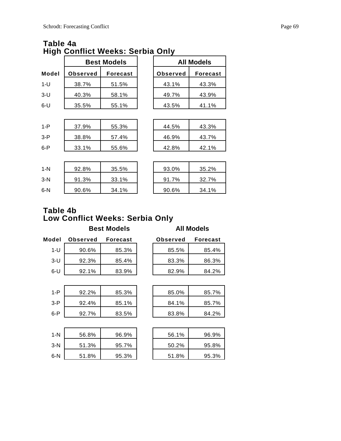## **Table 4a High Conflict Weeks: Serbia Only**

|         | <b>Best Models</b> |                 |  | <b>All Models</b> |                 |  |
|---------|--------------------|-----------------|--|-------------------|-----------------|--|
| Model   | <b>Observed</b>    | <b>Forecast</b> |  | <b>Observed</b>   | <b>Forecast</b> |  |
| $1-U$   | 38.7%              | 51.5%           |  | 43.1%             | 43.3%           |  |
| $3-U$   | 40.3%              | 58.1%           |  | 49.7%             | 43.9%           |  |
| $6 - U$ | 35.5%              | 55.1%           |  | 43.5%             | 41.1%           |  |
|         |                    |                 |  |                   |                 |  |
| $1 - P$ | 37.9%              | 55.3%           |  | 44.5%             | 43.3%           |  |
| $3-P$   | 38.8%              | 57.4%           |  | 46.9%             | 43.7%           |  |
| $6-P$   | 33.1%              | 55.6%           |  | 42.8%             | 42.1%           |  |
|         |                    |                 |  |                   |                 |  |
| $1-N$   | 92.8%              | 35.5%           |  | 93.0%             | 35.2%           |  |
| $3-N$   | 91.3%              | 33.1%           |  | 91.7%             | 32.7%           |  |
| $6-N$   | 90.6%              | 34.1%           |  | 90.6%             | 34.1%           |  |

# **Table 4b Low Conflict Weeks: Serbia Only**

### **Best Models All Models**

| Model | <b>Observed</b> | <b>Forecast</b> | <b>Observed</b> | <b>Forecast</b> |
|-------|-----------------|-----------------|-----------------|-----------------|
| 1-U   | 90.6%           | 85.3%           | 85.5%           | 85.4%           |
| $3-U$ | 92.3%           | 85.4%           | 83.3%           | 86.3%           |
| 6-U   | 92.1%           | 83.9%           | 82.9%           | 84.2%           |

| <b>Observed</b> | Forecast |
|-----------------|----------|
| 85.5%           | 85.4%    |
| 83.3%           | 86.3%    |
| 82.9%           | 84.2%    |

| $1 - P$ | 92.2% | 85.3% | 85.0% | 85.7% |
|---------|-------|-------|-------|-------|
| $3-P$   | 92.4% | 85.1% | 84.1% | 85.7% |
| $6-P$   | 92.7% | 83.5% | 83.8% | 84.2% |

| 85.0% | 85.7% |
|-------|-------|
| 84.1% | 85.7% |
| 83.8% | 84.2% |
|       |       |

| $1-N$ | 56.8% | 96.9% | 56.1% | 96.9% |
|-------|-------|-------|-------|-------|
| $3-N$ | 51.3% | 95.7% | 50.2% | 95.8% |
| 6-N   | 51.8% | 95.3% | 51.8% | 95.3% |

| 56.1% | 96.9% |
|-------|-------|
| 50.2% | 95.8% |
| 51.8% | 95.3% |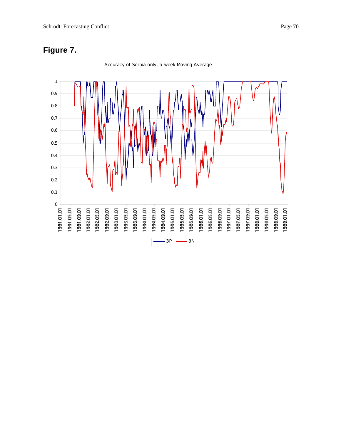# **Figure 7.**



Accuracy of Serbia-only, 5-week Moving Average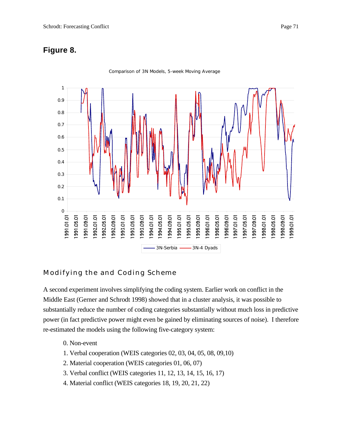## **Figure 8.**



Comparison of 3N Models, 5-week Moving Average

### Modifying the and Coding Scheme

A second experiment involves simplifying the coding system. Earlier work on conflict in the Middle East (Gerner and Schrodt 1998) showed that in a cluster analysis, it was possible to substantially reduce the number of coding categories substantially without much loss in predictive power (in fact predictive power might even be gained by eliminating sources of noise). I therefore re-estimated the models using the following five-category system:

- 0. Non-event
- 1. Verbal cooperation (WEIS categories 02, 03, 04, 05, 08, 09,10)
- 2. Material cooperation (WEIS categories 01, 06, 07)
- 3. Verbal conflict (WEIS categories 11, 12, 13, 14, 15, 16, 17)
- 4. Material conflict (WEIS categories 18, 19, 20, 21, 22)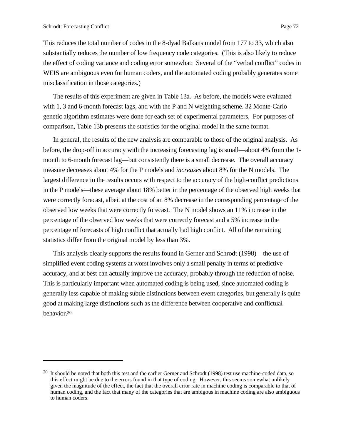l

This reduces the total number of codes in the 8-dyad Balkans model from 177 to 33, which also substantially reduces the number of low frequency code categories. (This is also likely to reduce the effect of coding variance and coding error somewhat: Several of the "verbal conflict" codes in WEIS are ambiguous even for human coders, and the automated coding probably generates some misclassification in those categories.)

The results of this experiment are given in Table 13a. As before, the models were evaluated with 1, 3 and 6-month forecast lags, and with the P and N weighting scheme. 32 Monte-Carlo genetic algorithm estimates were done for each set of experimental parameters. For purposes of comparison, Table 13b presents the statistics for the original model in the same format.

In general, the results of the new analysis are comparable to those of the original analysis. As before, the drop-off in accuracy with the increasing forecasting lag is small—about 4% from the 1 month to 6-month forecast lag—but consistently there is a small decrease. The overall accuracy measure decreases about 4% for the P models and *increases* about 8% for the N models. The largest difference in the results occurs with respect to the accuracy of the high-conflict predictions in the P models—these average about 18% better in the percentage of the observed high weeks that were correctly forecast, albeit at the cost of an 8% decrease in the corresponding percentage of the observed low weeks that were correctly forecast. The N model shows an 11% increase in the percentage of the observed low weeks that were correctly forecast and a 5% increase in the percentage of forecasts of high conflict that actually had high conflict. All of the remaining statistics differ from the original model by less than 3%.

This analysis clearly supports the results found in Gerner and Schrodt (1998)—the use of simplified event coding systems at worst involves only a small penalty in terms of predictive accuracy, and at best can actually improve the accuracy, probably through the reduction of noise. This is particularly important when automated coding is being used, since automated coding is generally less capable of making subtle distinctions between event categories, but generally is quite good at making large distinctions such as the difference between cooperative and conflictual behavior.<sup>20</sup>

 $20$  It should be noted that both this test and the earlier Gerner and Schrodt (1998) test use machine-coded data, so this effect might be due to the errors found in that type of coding. However, this seems somewhat unlikely given the magnitude of the effect, the fact that the overall error rate in machine coding is comparable to that of human coding, and the fact that many of the categories that are ambigous in machine coding are also ambiguous to human coders.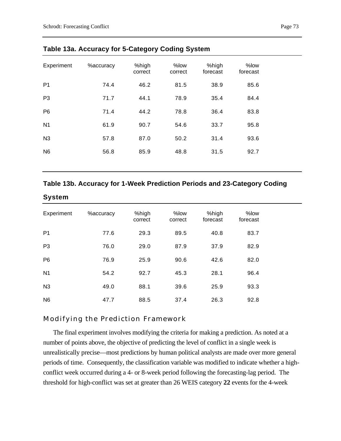| Experiment     | %accuracy | %high<br>correct | %low<br>correct | %high<br>forecast | %low<br>forecast |
|----------------|-----------|------------------|-----------------|-------------------|------------------|
| P <sub>1</sub> | 74.4      | 46.2             | 81.5            | 38.9              | 85.6             |
| P <sub>3</sub> | 71.7      | 44.1             | 78.9            | 35.4              | 84.4             |
| P <sub>6</sub> | 71.4      | 44.2             | 78.8            | 36.4              | 83.8             |
| N <sub>1</sub> | 61.9      | 90.7             | 54.6            | 33.7              | 95.8             |
| N3             | 57.8      | 87.0             | 50.2            | 31.4              | 93.6             |
| N <sub>6</sub> | 56.8      | 85.9             | 48.8            | 31.5              | 92.7             |
|                |           |                  |                 |                   |                  |

#### **Table 13a. Accuracy for 5-Category Coding System**

#### **Table 13b. Accuracy for 1-Week Prediction Periods and 23-Category Coding**

| <b>System</b>  |           |                  |                 |                   |                  |  |
|----------------|-----------|------------------|-----------------|-------------------|------------------|--|
| Experiment     | %accuracy | %high<br>correct | %low<br>correct | %high<br>forecast | %low<br>forecast |  |
| P <sub>1</sub> | 77.6      | 29.3             | 89.5            | 40.8              | 83.7             |  |
| P <sub>3</sub> | 76.0      | 29.0             | 87.9            | 37.9              | 82.9             |  |
| P <sub>6</sub> | 76.9      | 25.9             | 90.6            | 42.6              | 82.0             |  |
| N <sub>1</sub> | 54.2      | 92.7             | 45.3            | 28.1              | 96.4             |  |
| N3             | 49.0      | 88.1             | 39.6            | 25.9              | 93.3             |  |
| N <sub>6</sub> | 47.7      | 88.5             | 37.4            | 26.3              | 92.8             |  |

#### Modifying the Prediction Framework

The final experiment involves modifying the criteria for making a prediction. As noted at a number of points above, the objective of predicting the level of conflict in a single week is unrealistically precise—most predictions by human political analysts are made over more general periods of time. Consequently, the classification variable was modified to indicate whether a highconflict week occurred during a 4- or 8-week period following the forecasting-lag period. The threshold for high-conflict was set at greater than 26 WEIS category **22** events for the 4-week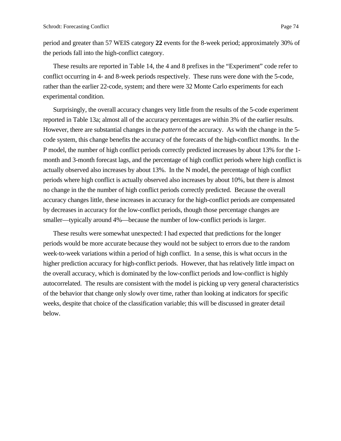period and greater than 57 WEIS category **22** events for the 8-week period; approximately 30% of the periods fall into the high-conflict category.

These results are reported in Table 14, the 4 and 8 prefixes in the "Experiment" code refer to conflict occurring in 4- and 8-week periods respectively. These runs were done with the 5-code, rather than the earlier 22-code, system; and there were 32 Monte Carlo experiments for each experimental condition.

Surprisingly, the overall accuracy changes very little from the results of the 5-code experiment reported in Table 13a; almost all of the accuracy percentages are within 3% of the earlier results. However, there are substantial changes in the *pattern* of the accuracy. As with the change in the 5 code system, this change benefits the accuracy of the forecasts of the high-conflict months. In the P model, the number of high conflict periods correctly predicted increases by about 13% for the 1 month and 3-month forecast lags, and the percentage of high conflict periods where high conflict is actually observed also increases by about 13%. In the N model, the percentage of high conflict periods where high conflict is actually observed also increases by about 10%, but there is almost no change in the the number of high conflict periods correctly predicted. Because the overall accuracy changes little, these increases in accuracy for the high-conflict periods are compensated by decreases in accuracy for the low-conflict periods, though those percentage changes are smaller—typically around 4%—because the number of low-conflict periods is larger.

These results were somewhat unexpected: I had expected that predictions for the longer periods would be more accurate because they would not be subject to errors due to the random week-to-week variations within a period of high conflict. In a sense, this is what occurs in the higher prediction accuracy for high-conflict periods. However, that has relatively little impact on the overall accuracy, which is dominated by the low-conflict periods and low-conflict is highly autocorrelated. The results are consistent with the model is picking up very general characteristics of the behavior that change only slowly over time, rather than looking at indicators for specific weeks, despite that choice of the classification variable; this will be discussed in greater detail below.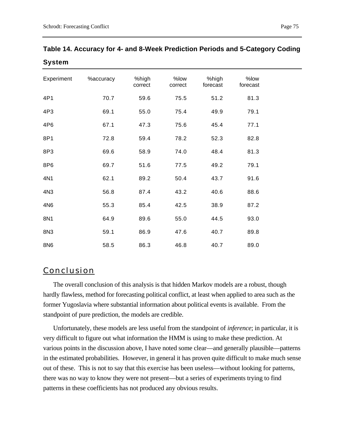**System**

| Experiment | %accuracy | %high<br>correct | %low<br>correct | %high<br>forecast | %low<br>forecast |  |
|------------|-----------|------------------|-----------------|-------------------|------------------|--|
| 4P1        | 70.7      | 59.6             | 75.5            | 51.2              | 81.3             |  |
| 4P3        | 69.1      | 55.0             | 75.4            | 49.9              | 79.1             |  |
| 4P6        | 67.1      | 47.3             | 75.6            | 45.4              | 77.1             |  |
| 8P1        | 72.8      | 59.4             | 78.2            | 52.3              | 82.8             |  |
| 8P3        | 69.6      | 58.9             | 74.0            | 48.4              | 81.3             |  |
| 8P6        | 69.7      | 51.6             | 77.5            | 49.2              | 79.1             |  |
| 4N1        | 62.1      | 89.2             | 50.4            | 43.7              | 91.6             |  |
| 4N3        | 56.8      | 87.4             | 43.2            | 40.6              | 88.6             |  |
| 4N6        | 55.3      | 85.4             | 42.5            | 38.9              | 87.2             |  |
| 8N1        | 64.9      | 89.6             | 55.0            | 44.5              | 93.0             |  |
| 8N3        | 59.1      | 86.9             | 47.6            | 40.7              | 89.8             |  |
| 8N6        | 58.5      | 86.3             | 46.8            | 40.7              | 89.0             |  |

# **Table 14. Accuracy for 4- and 8-Week Prediction Periods and 5-Category Coding**

## **Conclusion**

The overall conclusion of this analysis is that hidden Markov models are a robust, though hardly flawless, method for forecasting political conflict, at least when applied to area such as the former Yugoslavia where substantial information about political events is available. From the standpoint of pure prediction, the models are credible.

Unfortunately, these models are less useful from the standpoint of *inference*; in particular, it is very difficult to figure out what information the HMM is using to make these prediction. At various points in the discussion above, I have noted some clear—and generally plausible—patterns in the estimated probabilities. However, in general it has proven quite difficult to make much sense out of these. This is not to say that this exercise has been useless—without looking for patterns, there was no way to know they were not present—but a series of experiments trying to find patterns in these coefficients has not produced any obvious results.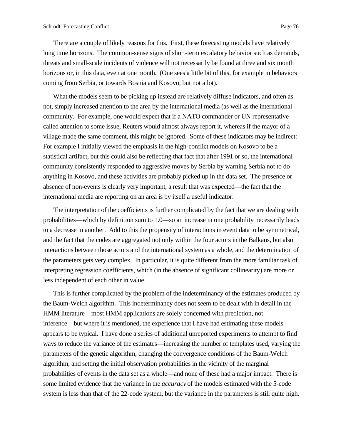There are a couple of likely reasons for this. First, these forecasting models have relatively long time horizons. The common-sense signs of short-term escalatory behavior such as demands, threats and small-scale incidents of violence will not necessarily be found at three and six month horizons or, in this data, even at one month. (One sees a little bit of this, for example in behaviors coming from Serbia, or towards Bosnia and Kosovo, but not a lot).

What the models seem to be picking up instead are relatively diffuse indicators, and often as not, simply increased attention to the area by the international media (as well as the international community. For example, one would expect that if a NATO commander or UN representative called attention to some issue, Reuters would almost always report it, whereas if the mayor of a village made the same comment, this might be ignored. Some of these indicators may be indirect: For example I initially viewed the emphasis in the high-conflict models on Kosovo to be a statistical artifact, but this could also be reflecting that fact that after 1991 or so, the international community consistently responded to aggressive moves by Serbia by warning Serbia not to do anything in Kosovo, and these activities are probably picked up in the data set. The presence or absence of non-events is clearly very important, a result that was expected—the fact that the international media are reporting on an area is by itself a useful indicator.

The interpretation of the coefficients is further complicated by the fact that we are dealing with probabilities—which by definition sum to 1.0—so an increase in one probability necessarily leads to a decrease in another. Add to this the propensity of interactions in event data to be symmetrical, and the fact that the codes are aggregated not only within the four actors in the Balkans, but also interactions between those actors and the international system as a whole, and the determination of the parameters gets very complex. In particular, it is quite different from the more familiar task of interpreting regression coefficients, which (in the absence of significant collinearity) are more or less independent of each other in value.

This is further complicated by the problem of the indeterminancy of the estimates produced by the Baum-Welch algorithm. This indeterminancy does not seem to be dealt with in detail in the HMM literature—most HMM applications are solely concerned with prediction, not inference—but where it is mentioned, the experience that I have had estimating these models appears to be typical. I have done a series of additional unreported experiments to attempt to find ways to reduce the variance of the estimates—increasing the number of templates used, varying the parameters of the genetic algorithm, changing the convergence conditions of the Baum-Welch algorithm, and setting the initial observation probabilities in the vicinity of the marginal probabilities of events in the data set as a whole—and none of these had a major impact. There is some limited evidence that the variance in the *accuracy* of the models estimated with the 5-code system is less than that of the 22-code system, but the variance in the parameters is still quite high.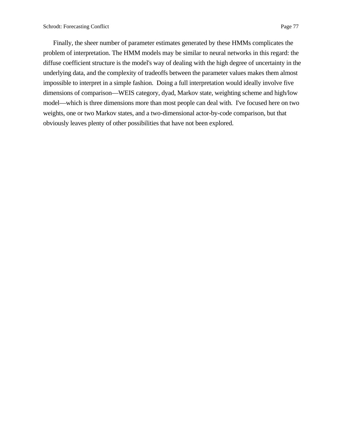Finally, the sheer number of parameter estimates generated by these HMMs complicates the problem of interpretation. The HMM models may be similar to neural networks in this regard: the diffuse coefficient structure is the model's way of dealing with the high degree of uncertainty in the underlying data, and the complexity of tradeoffs between the parameter values makes them almost impossible to interpret in a simple fashion. Doing a full interpretation would ideally involve five dimensions of comparison—WEIS category, dyad, Markov state, weighting scheme and high/low model—which is three dimensions more than most people can deal with. I've focused here on two weights, one or two Markov states, and a two-dimensional actor-by-code comparison, but that obviously leaves plenty of other possibilities that have not been explored.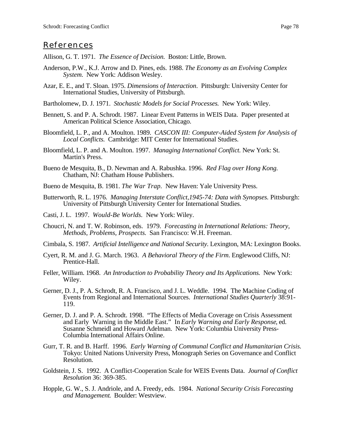## References

Allison, G. T. 1971. *The Essence of Decision.* Boston: Little, Brown.

- Anderson, P.W., K.J. Arrow and D. Pines, eds. 1988. *The Economy as an Evolving Complex System.* New York: Addison Wesley.
- Azar, E. E., and T. Sloan. 1975. *Dimensions of Interaction*. Pittsburgh: University Center for International Studies, University of Pittsburgh.

Bartholomew, D. J. 1971. *Stochastic Models for Social Processes.* New York: Wiley.

- Bennett, S. and P. A. Schrodt. 1987. Linear Event Patterns in WEIS Data. Paper presented at American Political Science Association, Chicago.
- Bloomfield, L. P., and A. Moulton. 1989. *CASCON III: Computer-Aided System for Analysis of Local Conflicts.* Cambridge: MIT Center for International Studies.
- Bloomfield, L. P. and A. Moulton. 1997. *Managing International Conflict.* New York: St. Martin's Press.
- Bueno de Mesquita, B., D. Newman and A. Rabushka. 1996. *Red Flag over Hong Kong.* Chatham, NJ: Chatham House Publishers.
- Bueno de Mesquita, B. 1981. *The War Trap.* New Haven: Yale University Press.
- Butterworth, R. L. 1976. *Managing Interstate Conflict,1945-74: Data with Synopses.* Pittsburgh: University of Pittsburgh University Center for International Studies.
- Casti, J. L. 1997. *Would-Be Worlds.* New York: Wiley.
- Choucri, N. and T. W. Robinson, eds. 1979. *Forecasting in International Relations: Theory, Methods, Problems, Prospects.* San Francisco: W.H. Freeman.
- Cimbala, S. 1987. *Artificial Intelligence and National Security.* Lexington, MA: Lexington Books.
- Cyert, R. M. and J. G. March. 1963. *A Behavioral Theory of the Firm*. Englewood Cliffs, NJ: Prentice-Hall.
- Feller, William. 1968. *An Introduction to Probability Theory and Its Applications.* New York: Wiley.
- Gerner, D. J., P. A. Schrodt, R. A. Francisco, and J. L. Weddle. 1994. The Machine Coding of Events from Regional and International Sources. *International Studies Quarterly* 38:91- 119.
- Gerner, D. J. and P. A. Schrodt. 1998. "The Effects of Media Coverage on Crisis Assessment and Early Warning in the Middle East." In *Early Warning and Early Response*, ed. Susanne Schmeidl and Howard Adelman. New York: Columbia University Press-Columbia International Affairs Online.
- Gurr, T. R. and B. Harff. 1996. *Early Warning of Communal Conflict and Humanitarian Crisis.* Tokyo: United Nations University Press, Monograph Series on Governance and Conflict Resolution.
- Goldstein, J. S. 1992. A Conflict-Cooperation Scale for WEIS Events Data. *Journal of Conflict Resolution* 36: 369-385.
- Hopple, G. W., S. J. Andriole, and A. Freedy, eds. 1984. *National Security Crisis Forecasting and Management*. Boulder: Westview.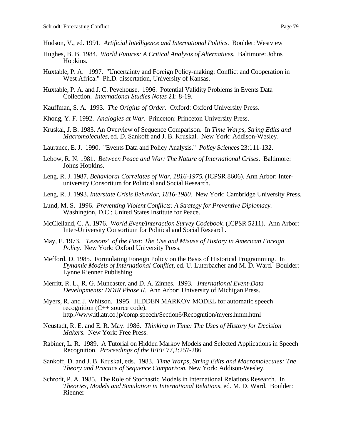- Hughes, B. B. 1984. *World Futures: A Critical Analysis of Alternatives.* Baltimore: Johns Hopkins.
- Huxtable, P. A. 1997. "Uncertainty and Foreign Policy-making: Conflict and Cooperation in West Africa." Ph.D. dissertation, University of Kansas.
- Huxtable, P. A. and J. C. Pevehouse. 1996. Potential Validity Problems in Events Data Collection. *International Studies Notes* 21: 8-19.
- Kauffman, S. A. 1993. *The Origins of Order.* Oxford: Oxford University Press.
- Khong, Y. F. 1992. *Analogies at War*. Princeton: Princeton University Press.
- Kruskal, J. B. 1983. An Overview of Sequence Comparison. In *Time Warps, String Edits and Macromolecules,* ed. D. Sankoff and J. B. Kruskal. New York: Addison-Wesley.
- Laurance, E. J. 1990. "Events Data and Policy Analysis." *Policy Sciences* 23:111-132.
- Lebow, R. N. 1981. *Between Peace and War: The Nature of International Crises.* Baltimore: Johns Hopkins.
- Leng, R. J. 1987. *Behavioral Correlates of War, 1816-1975*. (ICPSR 8606). Ann Arbor: Interuniversity Consortium for Political and Social Research.
- Leng, R. J. 1993. *Interstate Crisis Behavior, 1816-1980.* New York: Cambridge University Press.
- Lund, M. S. 1996. *Preventing Violent Conflicts: A Strategy for Preventive Diplomacy.* Washington, D.C.: United States Institute for Peace.
- McClelland, C. A. 1976. *World Event/Interaction Survey Codebook.* (ICPSR 5211). Ann Arbor: Inter-University Consortium for Political and Social Research.
- May, E. 1973. *"Lessons" of the Past: The Use and Misuse of History in American Foreign Policy.* New York: Oxford University Press.
- Mefford, D. 1985. Formulating Foreign Policy on the Basis of Historical Programming. In *Dynamic Models of International Conflict*, ed. U. Luterbacher and M. D. Ward*.* Boulder: Lynne Rienner Publishing.
- Merritt, R. L., R. G. Muncaster, and D. A. Zinnes. 1993. *International Event-Data Developments: DDIR Phase II*. Ann Arbor: University of Michigan Press.
- Myers, R. and J. Whitson. 1995. HIDDEN MARKOV MODEL for automatic speech recognition (C++ source code). http://www.itl.atr.co.jp/comp.speech/Section6/Recognition/myers.hmm.html
- Neustadt, R. E. and E. R. May. 1986. *Thinking in Time: The Uses of History for Decision Makers.* New York: Free Press.
- Rabiner, L. R. 1989. A Tutorial on Hidden Markov Models and Selected Applications in Speech Recognition. *Proceedings of the IEEE* 77,2:257-286
- Sankoff, D. and J. B. Kruskal, eds. 1983. *Time Warps, String Edits and Macromolecules: The Theory and Practice of Sequence Comparison.* New York: Addison-Wesley.
- Schrodt, P. A. 1985. The Role of Stochastic Models in International Relations Research. In *Theories, Models and Simulation in International Relations*, ed. M. D. Ward. Boulder: Rienner